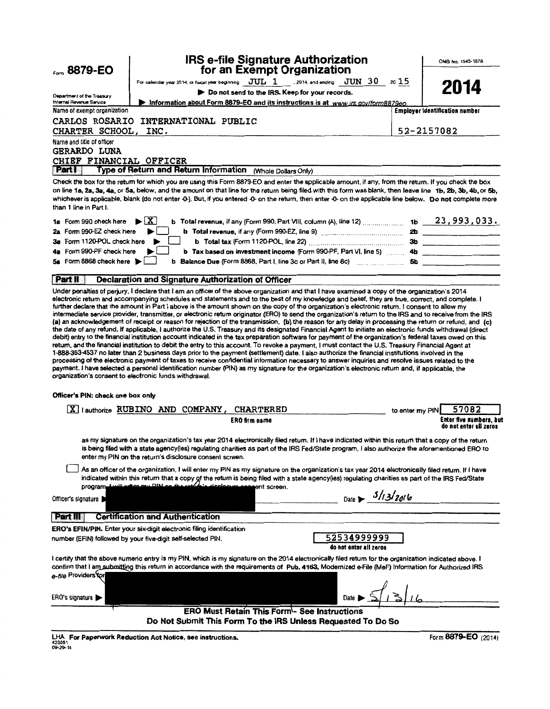| Form 8879-EO                                           |                                                                                                                                                                                                                                                                                                                                                                                                                                                                                                                                                                                                                                                                                                                                                                                                                                                                                                                                                                                                                                                                                                                                                                | <b>IRS e-file Signature Authorization</b><br>for an Exempt Organization |                                                                                                                     |                 | OMB No. 1545-1878              |
|--------------------------------------------------------|----------------------------------------------------------------------------------------------------------------------------------------------------------------------------------------------------------------------------------------------------------------------------------------------------------------------------------------------------------------------------------------------------------------------------------------------------------------------------------------------------------------------------------------------------------------------------------------------------------------------------------------------------------------------------------------------------------------------------------------------------------------------------------------------------------------------------------------------------------------------------------------------------------------------------------------------------------------------------------------------------------------------------------------------------------------------------------------------------------------------------------------------------------------|-------------------------------------------------------------------------|---------------------------------------------------------------------------------------------------------------------|-----------------|--------------------------------|
|                                                        | For calendar year 2014, or fiscal year beginning $\overline{JUL}$ 1  2014, and ending $\overline{JUN}$ 30  2015                                                                                                                                                                                                                                                                                                                                                                                                                                                                                                                                                                                                                                                                                                                                                                                                                                                                                                                                                                                                                                                |                                                                         |                                                                                                                     |                 |                                |
|                                                        |                                                                                                                                                                                                                                                                                                                                                                                                                                                                                                                                                                                                                                                                                                                                                                                                                                                                                                                                                                                                                                                                                                                                                                | Do not send to the IRS. Keep for your records.                          |                                                                                                                     |                 | 2014                           |
| Department of the Treasury<br>Internal Revenue Service | Information about Form 8879-EO and its instructions is at www.irs.gov/form8879eo.                                                                                                                                                                                                                                                                                                                                                                                                                                                                                                                                                                                                                                                                                                                                                                                                                                                                                                                                                                                                                                                                              |                                                                         |                                                                                                                     |                 |                                |
| Name of exempt organization                            |                                                                                                                                                                                                                                                                                                                                                                                                                                                                                                                                                                                                                                                                                                                                                                                                                                                                                                                                                                                                                                                                                                                                                                |                                                                         |                                                                                                                     |                 | Employer identification number |
|                                                        | CARLOS ROSARIO INTERNATIONAL PUBLIC                                                                                                                                                                                                                                                                                                                                                                                                                                                                                                                                                                                                                                                                                                                                                                                                                                                                                                                                                                                                                                                                                                                            |                                                                         |                                                                                                                     |                 |                                |
| CHARTER SCHOOL,                                        | INC.                                                                                                                                                                                                                                                                                                                                                                                                                                                                                                                                                                                                                                                                                                                                                                                                                                                                                                                                                                                                                                                                                                                                                           |                                                                         |                                                                                                                     |                 | 52-2157082                     |
| Name and title of officer<br>GERARDO LUNA              |                                                                                                                                                                                                                                                                                                                                                                                                                                                                                                                                                                                                                                                                                                                                                                                                                                                                                                                                                                                                                                                                                                                                                                |                                                                         |                                                                                                                     |                 |                                |
| CHIEF FINANCIAL OFFICER                                |                                                                                                                                                                                                                                                                                                                                                                                                                                                                                                                                                                                                                                                                                                                                                                                                                                                                                                                                                                                                                                                                                                                                                                |                                                                         |                                                                                                                     |                 |                                |
| Part                                                   | Type of Return and Return Information (Whole Dollars Only)                                                                                                                                                                                                                                                                                                                                                                                                                                                                                                                                                                                                                                                                                                                                                                                                                                                                                                                                                                                                                                                                                                     |                                                                         |                                                                                                                     |                 |                                |
| than 1 line in Part I.                                 | Check the box for the return for which you are using this Form 8879-EO and enter the applicable amount, if any, from the return. If you check the box<br>on line 1a, 2a, 3a, 4a, or 5a, below, and the amount on that line for the return being filed with this form was blank, then leave line 1b, 2b, 3b, 4b, or 5b,<br>whichever is applicable, blank (do not enter -0-). But, if you entered -0- on the return, then enter -0- on the applicable line below. Do not complete more                                                                                                                                                                                                                                                                                                                                                                                                                                                                                                                                                                                                                                                                          |                                                                         |                                                                                                                     |                 |                                |
| 1a Form 990 check here                                 | 1 X I                                                                                                                                                                                                                                                                                                                                                                                                                                                                                                                                                                                                                                                                                                                                                                                                                                                                                                                                                                                                                                                                                                                                                          |                                                                         | <b>b</b> Total revenue, if any (Form 990, Part VIII, column (A), line 12) $\ldots$ 1b $23,993,033.$                 |                 |                                |
| 2a Form 990-EZ check here                              |                                                                                                                                                                                                                                                                                                                                                                                                                                                                                                                                                                                                                                                                                                                                                                                                                                                                                                                                                                                                                                                                                                                                                                |                                                                         |                                                                                                                     |                 |                                |
| 3a Form 1120-POL check here                            |                                                                                                                                                                                                                                                                                                                                                                                                                                                                                                                                                                                                                                                                                                                                                                                                                                                                                                                                                                                                                                                                                                                                                                |                                                                         |                                                                                                                     |                 |                                |
| 4a Form 990-PF check here                              |                                                                                                                                                                                                                                                                                                                                                                                                                                                                                                                                                                                                                                                                                                                                                                                                                                                                                                                                                                                                                                                                                                                                                                |                                                                         | b Tax based on investment income (Form 990-PF, Part VI, line 5) [2010] 4b [2010] 40 [2010] 4b [2010] [2010] [30] 4b |                 |                                |
| 5a Form 8868 check here                                |                                                                                                                                                                                                                                                                                                                                                                                                                                                                                                                                                                                                                                                                                                                                                                                                                                                                                                                                                                                                                                                                                                                                                                |                                                                         |                                                                                                                     |                 |                                |
| Part II                                                | <b>Declaration and Signature Authorization of Officer</b>                                                                                                                                                                                                                                                                                                                                                                                                                                                                                                                                                                                                                                                                                                                                                                                                                                                                                                                                                                                                                                                                                                      |                                                                         |                                                                                                                     |                 |                                |
| Officer's PIN: check one box only                      | (a) an acknowledgement of receipt or reason for rejection of the transmission, (b) the reason for any delay in processing the return or refund, and (c)<br>the date of any refund. If applicable, I authorize the U.S. Treasury and its designated Financial Agent to initiate an electronic funds withdrawal (direct<br>debit) entry to the financial institution account indicated in the tax preparation software for payment of the organization's federal taxes owed on this<br>return, and the financial institution to debit the entry to this account. To revoke a payment, I must contact the U.S. Treasury Financial Agent at<br>1-888-353-4537 no later than 2 business days prior to the payment (settlement) date. I also authorize the financial institutions involved in the<br>processing of the electronic payment of taxes to receive confidential information necessary to answer inquiries and resolve issues related to the<br>payment. I have selected a personal identification number (PIN) as my signature for the organization's electronic return and, if applicable, the<br>organization's consent to electronic funds withdrawal. |                                                                         |                                                                                                                     |                 |                                |
| $\boxed{\text{X}}$   authorize RUBINO AND              | COMPANY,                                                                                                                                                                                                                                                                                                                                                                                                                                                                                                                                                                                                                                                                                                                                                                                                                                                                                                                                                                                                                                                                                                                                                       | <b>CHARTERED</b>                                                        |                                                                                                                     |                 | 57082                          |
|                                                        |                                                                                                                                                                                                                                                                                                                                                                                                                                                                                                                                                                                                                                                                                                                                                                                                                                                                                                                                                                                                                                                                                                                                                                | ERO firm name                                                           |                                                                                                                     | to enter my PIN | Enter five numbers, but        |
|                                                        | as my signature on the organization's tax year 2014 electronically filed retum. If I have indicated within this retum that a copy of the return<br>is being filed with a state agency(ies) regulating charities as part of the IRS Fed/State program, I also authorize the aforementioned ERO to<br>enter my PIN on the return's disclosure consent screen.<br>As an officer of the organization, I will enter my PIN as my signature on the organization's tax year 2014 electronically filed return. If I have                                                                                                                                                                                                                                                                                                                                                                                                                                                                                                                                                                                                                                               |                                                                         |                                                                                                                     |                 | do not enter all zeros         |
|                                                        | indicated within this return that a copy of the return is being filed with a state agency(ies) regulating charities as part of the IRS Fed/State<br>program Luill office my Dial on the return's disclosure competit screen.                                                                                                                                                                                                                                                                                                                                                                                                                                                                                                                                                                                                                                                                                                                                                                                                                                                                                                                                   |                                                                         |                                                                                                                     |                 |                                |
| Officer's signature                                    |                                                                                                                                                                                                                                                                                                                                                                                                                                                                                                                                                                                                                                                                                                                                                                                                                                                                                                                                                                                                                                                                                                                                                                |                                                                         | Date > $3/13/2016$                                                                                                  |                 |                                |
| <b>Part III</b>                                        | <b>Certification and Authentication</b>                                                                                                                                                                                                                                                                                                                                                                                                                                                                                                                                                                                                                                                                                                                                                                                                                                                                                                                                                                                                                                                                                                                        |                                                                         |                                                                                                                     |                 |                                |
|                                                        | ERO's EFIN/PIN. Enter your six-digit electronic filing identification                                                                                                                                                                                                                                                                                                                                                                                                                                                                                                                                                                                                                                                                                                                                                                                                                                                                                                                                                                                                                                                                                          |                                                                         |                                                                                                                     |                 |                                |
|                                                        | number (EFIN) followed by your five-digit self-selected PIN.                                                                                                                                                                                                                                                                                                                                                                                                                                                                                                                                                                                                                                                                                                                                                                                                                                                                                                                                                                                                                                                                                                   |                                                                         | 52534999999<br>do not enter all zeros                                                                               |                 |                                |
|                                                        | I certify that the above numeric entry is my PIN, which is my signature on the 2014 electronically filed retum for the organization indicated above. I<br>confirm that I am submitting this return in accordance with the requirements of Pub. 4163, Modernized e-File (MeF) Information for Authorized IRS                                                                                                                                                                                                                                                                                                                                                                                                                                                                                                                                                                                                                                                                                                                                                                                                                                                    |                                                                         |                                                                                                                     |                 |                                |
| e-file Providers for                                   |                                                                                                                                                                                                                                                                                                                                                                                                                                                                                                                                                                                                                                                                                                                                                                                                                                                                                                                                                                                                                                                                                                                                                                |                                                                         |                                                                                                                     |                 |                                |
| ERO's signature                                        |                                                                                                                                                                                                                                                                                                                                                                                                                                                                                                                                                                                                                                                                                                                                                                                                                                                                                                                                                                                                                                                                                                                                                                |                                                                         | Date $\blacktriangleright$ $\leq 7$                                                                                 |                 |                                |
|                                                        | Do Not Submit This Form To the IRS Unless Requested To Do So                                                                                                                                                                                                                                                                                                                                                                                                                                                                                                                                                                                                                                                                                                                                                                                                                                                                                                                                                                                                                                                                                                   | <b>ERO Must Retain This Form- See Instructions</b>                      |                                                                                                                     |                 |                                |

LHA For Paperwork Reduction Act Notice, see instructions. 09-29-14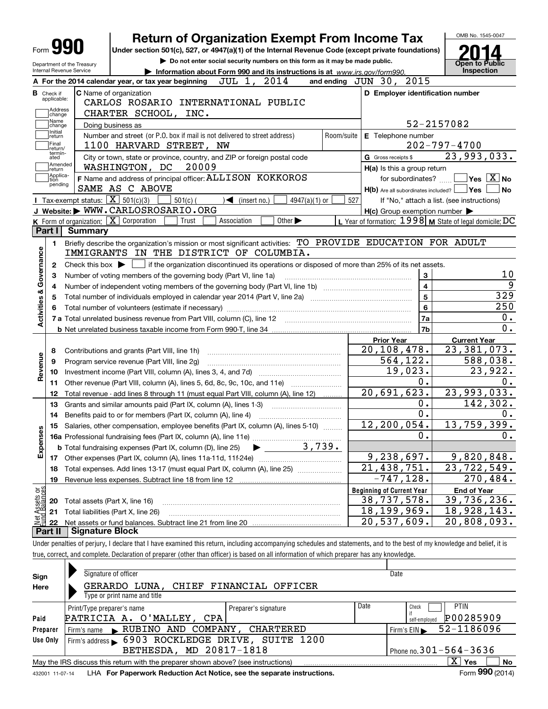|                                                                   | <b>Return of Organization Exempt From Income Tax</b>                                                       |            |                                                           | OMB No. 1545-0047                                |
|-------------------------------------------------------------------|------------------------------------------------------------------------------------------------------------|------------|-----------------------------------------------------------|--------------------------------------------------|
| Form y                                                            | Under section 501(c), 527, or 4947(a)(1) of the Internal Revenue Code (except private foundations)         |            |                                                           |                                                  |
| Department of the Treasury                                        | Do not enter social security numbers on this form as it may be made public.                                |            |                                                           | <b>Open to Public</b>                            |
| Internal Revenue Service                                          | Information about Form 990 and its instructions is at www.irs.gov/form990.                                 |            |                                                           | Inspection                                       |
|                                                                   | A For the 2014 calendar year, or tax year beginning JUL 1, 2014                                            |            | 2015<br>and ending $JUN$ $30$ ,                           |                                                  |
| C Name of organization<br><b>B</b> Check if<br>applicable:        |                                                                                                            |            | D Employer identification number                          |                                                  |
| Address                                                           | CARLOS ROSARIO INTERNATIONAL PUBLIC<br>CHARTER SCHOOL, INC.                                                |            |                                                           |                                                  |
| change<br>Name<br>Doing business as<br>change                     |                                                                                                            |            |                                                           | 52-2157082                                       |
| Initial<br>return                                                 | Number and street (or P.O. box if mail is not delivered to street address)                                 | Room/suite | E Telephone number                                        |                                                  |
| Final<br>return/                                                  | 1100 HARVARD STREET, NW                                                                                    |            |                                                           | $202 - 797 - 4700$                               |
| termin-<br>ated                                                   | City or town, state or province, country, and ZIP or foreign postal code                                   |            | G Gross receipts \$                                       | 23,993,033.                                      |
| Amended<br>return                                                 | WASHINGTON, DC 20009                                                                                       |            | H(a) Is this a group return                               |                                                  |
| Applica-<br>tion                                                  | F Name and address of principal officer: ALLISON KOKKOROS                                                  |            | for subordinates? $\Box$                                  | $\sqrt{}$ Yes $\sqrt{}$ $\overline{\text{X}}$ No |
| pending<br>SAME AS C ABOVE                                        |                                                                                                            |            | $H(b)$ Are all subordinates included?                     | ∣Yes<br><b>No</b>                                |
| Tax-exempt status: $\boxed{\mathbf{X}}$ 501(c)(3)                 | 4947(a)( $1)$ or<br>$501(c)$ (<br>$\sqrt{\phantom{a}}$ (insert no.)                                        | 527        |                                                           | If "No," attach a list. (see instructions)       |
| J Website: WWW.CARLOSROSARIO.ORG                                  |                                                                                                            |            | $H(c)$ Group exemption number $\blacktriangleright$       |                                                  |
| <b>K</b> Form of organization: $\boxed{\mathbf{X}}$ Corporation   | Other $\blacktriangleright$<br>Trust<br>Association                                                        |            | L Year of formation: $1998$ M State of legal domicile: DC |                                                  |
| Part I<br><b>Summary</b>                                          |                                                                                                            |            |                                                           |                                                  |
| 1.                                                                | Briefly describe the organization's mission or most significant activities: TO PROVIDE EDUCATION FOR ADULT |            |                                                           |                                                  |
| Governance                                                        | IMMIGRANTS IN THE DISTRICT OF COLUMBIA.                                                                    |            |                                                           |                                                  |
| Check this box $\blacktriangleright$<br>2                         | if the organization discontinued its operations or disposed of more than 25% of its net assets.            |            |                                                           |                                                  |
| З                                                                 | Number of voting members of the governing body (Part VI, line 1a)                                          |            | 3                                                         | 10<br>9                                          |
| 4<br><b>Activities &amp;</b>                                      |                                                                                                            |            | $\overline{4}$<br>5                                       | 329                                              |
| 5                                                                 |                                                                                                            |            | 6                                                         | 250                                              |
| 6                                                                 |                                                                                                            |            | 7a                                                        | 0.                                               |
|                                                                   |                                                                                                            |            | 7b                                                        | 0.                                               |
|                                                                   |                                                                                                            |            | <b>Prior Year</b>                                         | <b>Current Year</b>                              |
| Contributions and grants (Part VIII, line 1h)<br>8                |                                                                                                            |            | 20, 108, 478.                                             | 23,381,073.                                      |
| Revenue<br>Program service revenue (Part VIII, line 2g)<br>9      |                                                                                                            |            | 564, 122.                                                 | 588,038.                                         |
| 10                                                                |                                                                                                            |            | 19,023.                                                   | 23,922.                                          |
| 11                                                                | Other revenue (Part VIII, column (A), lines 5, 6d, 8c, 9c, 10c, and 11e)                                   |            | 0.                                                        | О.                                               |
| 12                                                                | Total revenue - add lines 8 through 11 (must equal Part VIII, column (A), line 12)                         |            | 20,691,623.                                               | 23,993,033.                                      |
| 13                                                                | Grants and similar amounts paid (Part IX, column (A), lines 1-3)                                           |            | 0.                                                        | 142,302.                                         |
| 14                                                                | Benefits paid to or for members (Part IX, column (A), line 4)                                              |            | $\overline{0}$ .                                          | 0.                                               |
| 15<br>w                                                           | Salaries, other compensation, employee benefits (Part IX, column (A), lines 5-10)                          |            | 12, 200, 054.                                             | 13,759,399.                                      |
|                                                                   |                                                                                                            |            | 0.                                                        | 0.                                               |
| Expense                                                           | 3,739.<br><b>b</b> Total fundraising expenses (Part IX, column (D), line 25)                               |            |                                                           |                                                  |
| 17                                                                | Other expenses (Part IX, column (A), lines 11a-11d, 11f-24e)                                               |            | 9,238,697.                                                | 9,820,848.                                       |
| 18                                                                | Total expenses. Add lines 13-17 (must equal Part IX, column (A), line 25)                                  |            | $\overline{21}$ , 438, 751.                               | 23,722,549.                                      |
| 19                                                                | Revenue less expenses. Subtract line 18 from line 12                                                       |            | $-747, 128.$                                              | 270,484.                                         |
|                                                                   |                                                                                                            |            | <b>Beginning of Current Year</b>                          | <b>End of Year</b>                               |
| t Assets or<br>d Balances<br>Total assets (Part X, line 16)<br>20 |                                                                                                            |            | 38,737,578.                                               | 39,736,236.                                      |
| Total liabilities (Part X, line 26)<br>21                         |                                                                                                            |            | 18, 199, 969.                                             | 18,928,143.                                      |
| 22                                                                |                                                                                                            |            | $\overline{20}$ , 537, 609.                               | 20,808,093.                                      |
| Part II<br><b>Signature Block</b>                                 |                                                                                                            |            |                                                           |                                                  |

true, correct, and complete. Declaration of preparer (other than officer) is based on all information of which preparer has any knowledge.

| Sign     | Signature of officer                                                                                         |                              | Date                        |  |  |  |  |  |  |  |  |
|----------|--------------------------------------------------------------------------------------------------------------|------------------------------|-----------------------------|--|--|--|--|--|--|--|--|
| Here     | GERARDO LUNA.<br>CHIEF FINANCIAL OFFICER                                                                     |                              |                             |  |  |  |  |  |  |  |  |
|          | Type or print name and title                                                                                 |                              |                             |  |  |  |  |  |  |  |  |
|          | Print/Type preparer's name<br>Preparer's signature                                                           | Date                         | <b>PTIN</b><br>Check        |  |  |  |  |  |  |  |  |
| Paid     | PATRICIA A. O'MALLEY, CPA                                                                                    |                              | P00285909<br>self-emploved  |  |  |  |  |  |  |  |  |
| Preparer | Firm's name RUBINO AND COMPANY, CHARTERED                                                                    |                              | 52-1186096<br>Firm's $EIN$  |  |  |  |  |  |  |  |  |
| Use Only | Firm's address > 6903 ROCKLEDGE DRIVE, SUITE 1200                                                            |                              |                             |  |  |  |  |  |  |  |  |
|          | BETHESDA, MD 20817-1818                                                                                      | Phone no. $301 - 564 - 3636$ |                             |  |  |  |  |  |  |  |  |
|          | May the IRS discuss this return with the preparer shown above? (see instructions)                            |                              | $\mathbf{X}$<br>No<br>∣ Yes |  |  |  |  |  |  |  |  |
|          | Form 990 (2014)<br>LHA For Paperwork Reduction Act Notice, see the separate instructions.<br>432001 11-07-14 |                              |                             |  |  |  |  |  |  |  |  |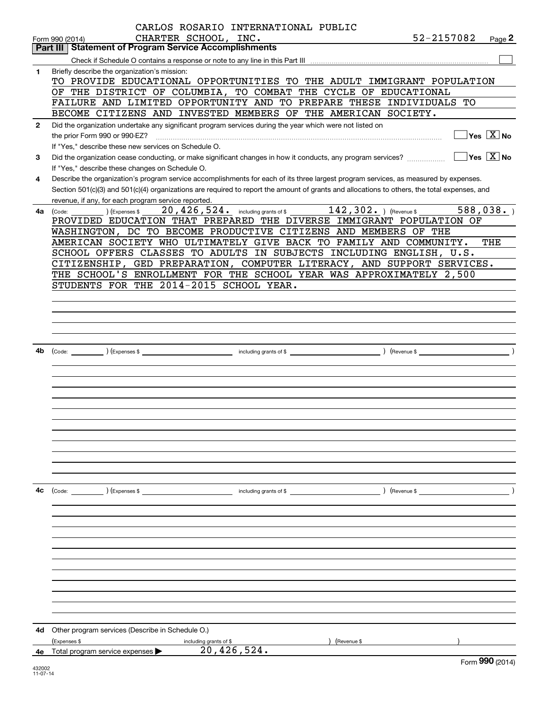|              | CARLOS ROSARIO INTERNATIONAL PUBLIC                                                                                                          |                                        |        |
|--------------|----------------------------------------------------------------------------------------------------------------------------------------------|----------------------------------------|--------|
|              | CHARTER SCHOOL, INC.<br>52-2157082<br>Form 990 (2014)                                                                                        |                                        | Page 2 |
|              | <b>Statement of Program Service Accomplishments</b><br>Part III                                                                              |                                        |        |
|              |                                                                                                                                              |                                        |        |
| 1            | Briefly describe the organization's mission:                                                                                                 |                                        |        |
|              | TO PROVIDE EDUCATIONAL OPPORTUNITIES TO THE ADULT IMMIGRANT POPULATION                                                                       |                                        |        |
|              | OF THE DISTRICT OF COLUMBIA, TO COMBAT THE CYCLE OF EDUCATIONAL<br>FAILURE AND LIMITED OPPORTUNITY AND TO PREPARE THESE INDIVIDUALS TO       |                                        |        |
|              | BECOME CITIZENS AND INVESTED MEMBERS OF THE AMERICAN SOCIETY.                                                                                |                                        |        |
| $\mathbf{2}$ | Did the organization undertake any significant program services during the year which were not listed on                                     |                                        |        |
|              | the prior Form 990 or 990-EZ?                                                                                                                | $Yes \ \boxed{X}$ No                   |        |
|              | If "Yes," describe these new services on Schedule O.                                                                                         |                                        |        |
| 3            | Did the organization cease conducting, or make significant changes in how it conducts, any program services?                                 | $\sqrt{}$ Yes $\sqrt{}$ X $\sqrt{}$ No |        |
|              | If "Yes," describe these changes on Schedule O.                                                                                              |                                        |        |
| 4            | Describe the organization's program service accomplishments for each of its three largest program services, as measured by expenses.         |                                        |        |
|              | Section 501(c)(3) and 501(c)(4) organizations are required to report the amount of grants and allocations to others, the total expenses, and |                                        |        |
|              | revenue, if any, for each program service reported.                                                                                          |                                        |        |
| 4a           | 20, 426, 524. including grants of \$142, 302. Hevenue \$588, 038. 1<br>$(Ex)$ (Expenses \$<br>(Code:                                         |                                        |        |
|              | PROVIDED EDUCATION THAT PREPARED THE DIVERSE IMMIGRANT POPULATION OF                                                                         |                                        |        |
|              | WASHINGTON, DC TO BECOME PRODUCTIVE CITIZENS AND MEMBERS OF THE                                                                              |                                        |        |
|              | AMERICAN SOCIETY WHO ULTIMATELY GIVE BACK TO FAMILY AND COMMUNITY.                                                                           | THE                                    |        |
|              | SCHOOL OFFERS CLASSES TO ADULTS IN SUBJECTS INCLUDING ENGLISH, U.S.                                                                          |                                        |        |
|              | CITIZENSHIP, GED PREPARATION, COMPUTER LITERACY, AND SUPPORT SERVICES.                                                                       |                                        |        |
|              | THE SCHOOL'S ENROLLMENT FOR THE SCHOOL YEAR WAS APPROXIMATELY 2,500                                                                          |                                        |        |
|              | STUDENTS FOR THE 2014-2015 SCHOOL YEAR.                                                                                                      |                                        |        |
|              |                                                                                                                                              |                                        |        |
|              |                                                                                                                                              |                                        |        |
|              |                                                                                                                                              |                                        |        |
|              |                                                                                                                                              |                                        |        |
| 4b           |                                                                                                                                              |                                        |        |
|              |                                                                                                                                              |                                        |        |
|              |                                                                                                                                              |                                        |        |
|              |                                                                                                                                              |                                        |        |
|              |                                                                                                                                              |                                        |        |
|              |                                                                                                                                              |                                        |        |
|              |                                                                                                                                              |                                        |        |
|              |                                                                                                                                              |                                        |        |
|              |                                                                                                                                              |                                        |        |
|              |                                                                                                                                              |                                        |        |
|              |                                                                                                                                              |                                        |        |
|              |                                                                                                                                              |                                        |        |
|              |                                                                                                                                              |                                        |        |
| 4c           | (Code: ) (Expenses \$<br>) (Revenue \$<br>including grants of \$                                                                             |                                        |        |
|              |                                                                                                                                              |                                        |        |
|              |                                                                                                                                              |                                        |        |
|              |                                                                                                                                              |                                        |        |
|              |                                                                                                                                              |                                        |        |
|              |                                                                                                                                              |                                        |        |
|              |                                                                                                                                              |                                        |        |
|              |                                                                                                                                              |                                        |        |
|              |                                                                                                                                              |                                        |        |
|              |                                                                                                                                              |                                        |        |
|              |                                                                                                                                              |                                        |        |
|              |                                                                                                                                              |                                        |        |
| 4d           | Other program services (Describe in Schedule O.)                                                                                             |                                        |        |
|              | (Expenses \$<br>Revenue \$<br>including grants of \$<br>20,426,524.                                                                          |                                        |        |
|              | 4e Total program service expenses >                                                                                                          | Form 990 (2014)                        |        |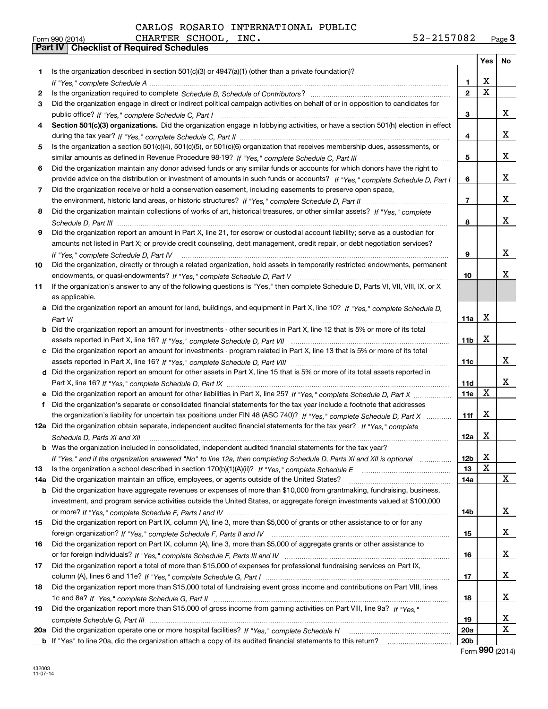|     |                                                                                                                                   |                 | Yes                     | No |
|-----|-----------------------------------------------------------------------------------------------------------------------------------|-----------------|-------------------------|----|
| 1   | Is the organization described in section $501(c)(3)$ or $4947(a)(1)$ (other than a private foundation)?                           |                 |                         |    |
|     |                                                                                                                                   | 1.              | х                       |    |
| 2   |                                                                                                                                   | $\overline{2}$  | $\overline{\mathbf{x}}$ |    |
| 3   | Did the organization engage in direct or indirect political campaign activities on behalf of or in opposition to candidates for   |                 |                         |    |
|     |                                                                                                                                   | 3               |                         | x  |
| 4   | Section 501(c)(3) organizations. Did the organization engage in lobbying activities, or have a section 501(h) election in effect  |                 |                         |    |
|     |                                                                                                                                   | 4               |                         | x  |
| 5.  | Is the organization a section 501(c)(4), 501(c)(5), or 501(c)(6) organization that receives membership dues, assessments, or      |                 |                         |    |
|     |                                                                                                                                   | 5               |                         | x  |
| 6   | Did the organization maintain any donor advised funds or any similar funds or accounts for which donors have the right to         |                 |                         |    |
|     | provide advice on the distribution or investment of amounts in such funds or accounts? If "Yes," complete Schedule D, Part I      | 6               |                         | x  |
| 7   | Did the organization receive or hold a conservation easement, including easements to preserve open space,                         |                 |                         |    |
|     |                                                                                                                                   | $\overline{7}$  |                         | x  |
| 8   | Did the organization maintain collections of works of art, historical treasures, or other similar assets? If "Yes," complete      |                 |                         |    |
|     |                                                                                                                                   | 8               |                         | x  |
| 9   | Did the organization report an amount in Part X, line 21, for escrow or custodial account liability; serve as a custodian for     |                 |                         |    |
|     | amounts not listed in Part X; or provide credit counseling, debt management, credit repair, or debt negotiation services?         |                 |                         |    |
|     | If "Yes," complete Schedule D, Part IV                                                                                            | 9               |                         | x  |
| 10  | Did the organization, directly or through a related organization, hold assets in temporarily restricted endowments, permanent     |                 |                         |    |
|     |                                                                                                                                   | 10              |                         | x  |
| 11  | If the organization's answer to any of the following questions is "Yes," then complete Schedule D, Parts VI, VIII, VIII, IX, or X |                 |                         |    |
|     | as applicable.                                                                                                                    |                 |                         |    |
| a   | Did the organization report an amount for land, buildings, and equipment in Part X, line 10? If "Yes," complete Schedule D,       |                 |                         |    |
|     |                                                                                                                                   | 11a             | х                       |    |
| b   | Did the organization report an amount for investments - other securities in Part X, line 12 that is 5% or more of its total       |                 |                         |    |
|     |                                                                                                                                   | 11 <sub>b</sub> | X                       |    |
| c   | Did the organization report an amount for investments - program related in Part X, line 13 that is 5% or more of its total        |                 |                         |    |
|     |                                                                                                                                   | 11c             |                         | x  |
|     | d Did the organization report an amount for other assets in Part X, line 15 that is 5% or more of its total assets reported in    |                 |                         |    |
|     |                                                                                                                                   | 11d             |                         | x  |
| е   | Did the organization report an amount for other liabilities in Part X, line 25? If "Yes," complete Schedule D, Part X             | 11e             | Х                       |    |
| f   | Did the organization's separate or consolidated financial statements for the tax year include a footnote that addresses           |                 |                         |    |
|     | the organization's liability for uncertain tax positions under FIN 48 (ASC 740)? If "Yes," complete Schedule D, Part X            | 11f             | Х                       |    |
|     | 12a Did the organization obtain separate, independent audited financial statements for the tax year? If "Yes," complete           |                 |                         |    |
|     | Schedule D, Parts XI and XII                                                                                                      | 12a             | Х                       |    |
|     | <b>b</b> Was the organization included in consolidated, independent audited financial statements for the tax year?                |                 |                         |    |
|     | If "Yes," and if the organization answered "No" to line 12a, then completing Schedule D, Parts XI and XII is optional manum       | 12b             | X                       |    |
| 13  |                                                                                                                                   | 13              | х                       |    |
| 14a | Did the organization maintain an office, employees, or agents outside of the United States?                                       | 14a             |                         | X  |
| b   | Did the organization have aggregate revenues or expenses of more than \$10,000 from grantmaking, fundraising, business,           |                 |                         |    |
|     | investment, and program service activities outside the United States, or aggregate foreign investments valued at \$100,000        |                 |                         |    |
|     |                                                                                                                                   | 14b             |                         | X. |
| 15  | Did the organization report on Part IX, column (A), line 3, more than \$5,000 of grants or other assistance to or for any         |                 |                         |    |
|     |                                                                                                                                   | 15              |                         | x  |
| 16  | Did the organization report on Part IX, column (A), line 3, more than \$5,000 of aggregate grants or other assistance to          |                 |                         |    |
|     |                                                                                                                                   | 16              |                         | x  |
| 17  | Did the organization report a total of more than \$15,000 of expenses for professional fundraising services on Part IX,           |                 |                         |    |
|     |                                                                                                                                   | 17              |                         | x  |
| 18  | Did the organization report more than \$15,000 total of fundraising event gross income and contributions on Part VIII, lines      |                 |                         |    |
|     |                                                                                                                                   | 18              |                         | x  |
| 19  | Did the organization report more than \$15,000 of gross income from gaming activities on Part VIII, line 9a? If "Yes."            |                 |                         |    |
|     |                                                                                                                                   | 19              |                         | X  |
| 20a |                                                                                                                                   | 20a             |                         | X  |
|     |                                                                                                                                   | 20 <sub>b</sub> |                         |    |

Form (2014) **990**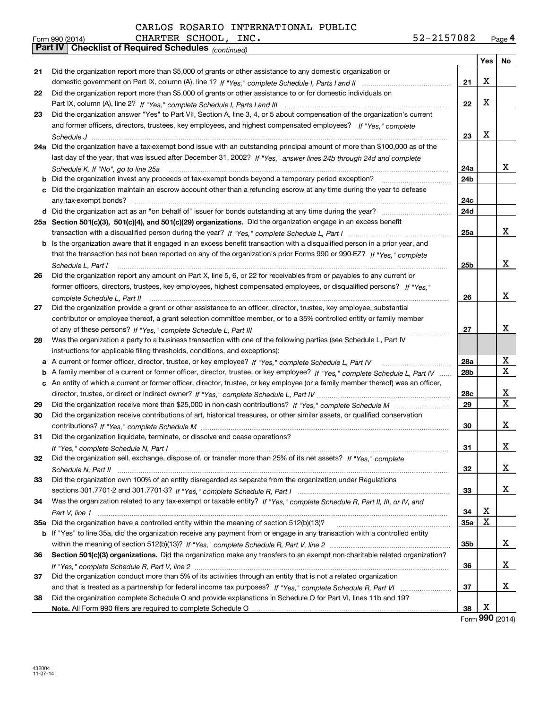| 52-2157082 | Page 4 |
|------------|--------|
|------------|--------|

|    | CHARTER SCHOOL, INC.<br>Form 990 (2014)                                                                                                              | 52-2157082      |                          | Page 4 |
|----|------------------------------------------------------------------------------------------------------------------------------------------------------|-----------------|--------------------------|--------|
|    | Part IV   Checklist of Required Schedules (continued)                                                                                                |                 |                          |        |
|    |                                                                                                                                                      |                 | Yes                      | No     |
| 21 | Did the organization report more than \$5,000 of grants or other assistance to any domestic organization or                                          |                 |                          |        |
|    |                                                                                                                                                      | 21              | X                        |        |
| 22 | Did the organization report more than \$5,000 of grants or other assistance to or for domestic individuals on                                        |                 |                          |        |
|    |                                                                                                                                                      | 22              | х                        |        |
| 23 | Did the organization answer "Yes" to Part VII, Section A, line 3, 4, or 5 about compensation of the organization's current                           |                 |                          |        |
|    | and former officers, directors, trustees, key employees, and highest compensated employees? If "Yes," complete                                       |                 |                          |        |
|    |                                                                                                                                                      | 23              | х                        |        |
|    | 24a Did the organization have a tax-exempt bond issue with an outstanding principal amount of more than \$100,000 as of the                          |                 |                          |        |
|    | last day of the year, that was issued after December 31, 2002? If "Yes," answer lines 24b through 24d and complete                                   |                 |                          |        |
|    | Schedule K. If "No", go to line 25a                                                                                                                  | 24a             |                          | x      |
| b  |                                                                                                                                                      | 24b             |                          |        |
| c  | Did the organization maintain an escrow account other than a refunding escrow at any time during the year to defease                                 |                 |                          |        |
|    |                                                                                                                                                      | 24c             |                          |        |
|    |                                                                                                                                                      | 24d             |                          |        |
|    | 25a Section 501(c)(3), 501(c)(4), and 501(c)(29) organizations. Did the organization engage in an excess benefit                                     |                 |                          |        |
|    |                                                                                                                                                      | 25a             |                          | x      |
| b  | Is the organization aware that it engaged in an excess benefit transaction with a disqualified person in a prior year, and                           |                 |                          |        |
|    | that the transaction has not been reported on any of the organization's prior Forms 990 or 990-EZ? If "Yes," complete                                |                 |                          |        |
|    |                                                                                                                                                      | 25b             |                          | x      |
| 26 | Schedule L, Part I<br>Did the organization report any amount on Part X, line 5, 6, or 22 for receivables from or payables to any current or          |                 |                          |        |
|    | former officers, directors, trustees, key employees, highest compensated employees, or disqualified persons? If "Yes."                               |                 |                          |        |
|    |                                                                                                                                                      | 26              |                          | x      |
| 27 | complete Schedule L, Part II<br>Did the organization provide a grant or other assistance to an officer, director, trustee, key employee, substantial |                 |                          |        |
|    | contributor or employee thereof, a grant selection committee member, or to a 35% controlled entity or family member                                  |                 |                          |        |
|    |                                                                                                                                                      | 27              |                          | x      |
|    | Was the organization a party to a business transaction with one of the following parties (see Schedule L, Part IV                                    |                 |                          |        |
| 28 |                                                                                                                                                      |                 |                          |        |
|    | instructions for applicable filing thresholds, conditions, and exceptions):                                                                          | 28a             |                          | х      |
|    | a A current or former officer, director, trustee, or key employee? If "Yes," complete Schedule L, Part IV                                            |                 |                          | X      |
| b  | A family member of a current or former officer, director, trustee, or key employee? If "Yes," complete Schedule L, Part IV                           | 28 <sub>b</sub> |                          |        |
|    | c An entity of which a current or former officer, director, trustee, or key employee (or a family member thereof) was an officer,                    |                 |                          | х      |
|    |                                                                                                                                                      | 28c             |                          | X      |
| 29 |                                                                                                                                                      | 29              |                          |        |
| 30 | Did the organization receive contributions of art, historical treasures, or other similar assets, or qualified conservation                          |                 |                          |        |
|    |                                                                                                                                                      | 30              |                          | x      |
|    | Did the organization liquidate, terminate, or dissolve and cease operations?                                                                         |                 |                          |        |
|    |                                                                                                                                                      | 31              |                          | x      |
| 32 | Did the organization sell, exchange, dispose of, or transfer more than 25% of its net assets? If "Yes," complete                                     |                 |                          |        |
|    |                                                                                                                                                      | 32              |                          | х      |
| 33 | Did the organization own 100% of an entity disregarded as separate from the organization under Regulations                                           |                 |                          |        |
|    |                                                                                                                                                      | 33              |                          | х      |
| 34 | Was the organization related to any tax-exempt or taxable entity? If "Yes," complete Schedule R, Part II, III, or IV, and                            |                 |                          |        |
|    |                                                                                                                                                      | 34              | х                        |        |
|    |                                                                                                                                                      | 35a             | X                        |        |
|    | b If "Yes" to line 35a, did the organization receive any payment from or engage in any transaction with a controlled entity                          |                 |                          |        |
|    |                                                                                                                                                      | 35b             |                          | х      |
| 36 | Section 501(c)(3) organizations. Did the organization make any transfers to an exempt non-charitable related organization?                           |                 |                          |        |
|    |                                                                                                                                                      | 36              |                          | х      |
| 37 | Did the organization conduct more than 5% of its activities through an entity that is not a related organization                                     |                 |                          |        |
|    |                                                                                                                                                      | 37              |                          | х      |
| 38 | Did the organization complete Schedule O and provide explanations in Schedule O for Part VI, lines 11b and 19?                                       |                 |                          |        |
|    |                                                                                                                                                      | 38              | х<br>$000 \, \text{GeV}$ |        |
|    |                                                                                                                                                      |                 |                          |        |

Form (2014) **990**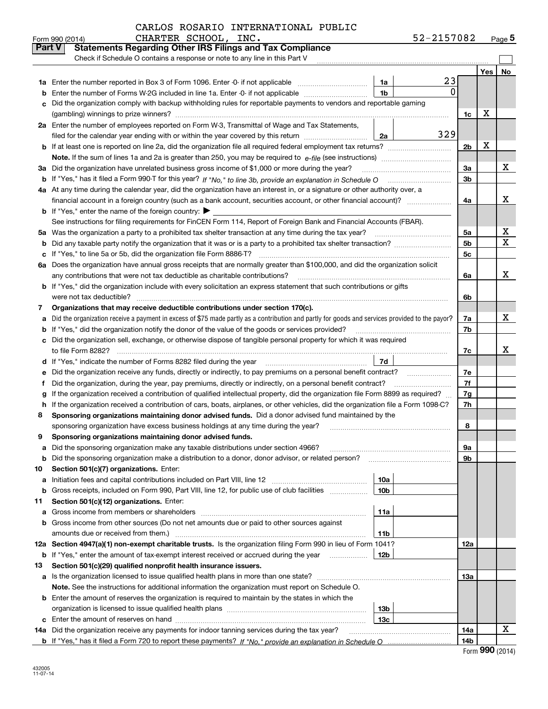|        | CHARTER SCHOOL, INC.<br>Form 990 (2014)                                                                                                         |                 | 52-2157082 |                |     | Page $5$ |
|--------|-------------------------------------------------------------------------------------------------------------------------------------------------|-----------------|------------|----------------|-----|----------|
| Part V | <b>Statements Regarding Other IRS Filings and Tax Compliance</b>                                                                                |                 |            |                |     |          |
|        | Check if Schedule O contains a response or note to any line in this Part V                                                                      |                 |            |                |     |          |
|        |                                                                                                                                                 |                 |            |                | Yes | No       |
| 1a     | Enter the number reported in Box 3 of Form 1096. Enter -0- if not applicable                                                                    | 1a              | 23         |                |     |          |
| b      | Enter the number of Forms W-2G included in line 1a. Enter -0- if not applicable                                                                 | 1 <sub>b</sub>  | $\Omega$   |                |     |          |
| c      | Did the organization comply with backup withholding rules for reportable payments to vendors and reportable gaming                              |                 |            |                |     |          |
|        |                                                                                                                                                 |                 |            | 1c             | х   |          |
|        | 2a Enter the number of employees reported on Form W-3, Transmittal of Wage and Tax Statements,                                                  |                 |            |                |     |          |
|        | filed for the calendar year ending with or within the year covered by this return                                                               | 2a              | 329        |                |     |          |
|        |                                                                                                                                                 |                 |            | 2 <sub>b</sub> | х   |          |
|        |                                                                                                                                                 |                 |            |                |     |          |
| За     | Did the organization have unrelated business gross income of \$1,000 or more during the year?                                                   |                 |            | 3a             |     | х        |
|        |                                                                                                                                                 |                 |            | 3b             |     |          |
|        | 4a At any time during the calendar year, did the organization have an interest in, or a signature or other authority over, a                    |                 |            |                |     |          |
|        | financial account in a foreign country (such as a bank account, securities account, or other financial account)?                                |                 |            | 4a             |     | X        |
|        | <b>b</b> If "Yes," enter the name of the foreign country: $\blacktriangleright$                                                                 |                 |            |                |     |          |
|        | See instructions for filing requirements for FinCEN Form 114, Report of Foreign Bank and Financial Accounts (FBAR).                             |                 |            |                |     |          |
|        | 5a Was the organization a party to a prohibited tax shelter transaction at any time during the tax year?                                        |                 |            | 5a             |     | x        |
| b      |                                                                                                                                                 |                 |            | 5 <sub>b</sub> |     | X        |
|        | c If "Yes," to line 5a or 5b, did the organization file Form 8886-T?                                                                            |                 |            | 5с             |     |          |
|        | 6a Does the organization have annual gross receipts that are normally greater than \$100,000, and did the organization solicit                  |                 |            |                |     |          |
|        |                                                                                                                                                 |                 |            | 6a             |     | x        |
|        | <b>b</b> If "Yes," did the organization include with every solicitation an express statement that such contributions or gifts                   |                 |            |                |     |          |
|        | were not tax deductible?                                                                                                                        |                 |            | 6b             |     |          |
| 7      | Organizations that may receive deductible contributions under section 170(c).                                                                   |                 |            |                |     |          |
| a      | Did the organization receive a payment in excess of \$75 made partly as a contribution and partly for goods and services provided to the payor? |                 |            | 7a             |     | x        |
|        | <b>b</b> If "Yes," did the organization notify the donor of the value of the goods or services provided?                                        |                 |            | 7b             |     |          |
|        | c Did the organization sell, exchange, or otherwise dispose of tangible personal property for which it was required                             |                 |            |                |     |          |
|        |                                                                                                                                                 |                 |            | 7c             |     | x        |
|        |                                                                                                                                                 | 7d              |            |                |     |          |
| е      | Did the organization receive any funds, directly or indirectly, to pay premiums on a personal benefit contract?                                 |                 |            | 7e             |     |          |
| f      | Did the organization, during the year, pay premiums, directly or indirectly, on a personal benefit contract?                                    |                 |            | 7f             |     |          |
| g      | If the organization received a contribution of qualified intellectual property, did the organization file Form 8899 as required?                |                 |            | 7g             |     |          |
|        | h If the organization received a contribution of cars, boats, airplanes, or other vehicles, did the organization file a Form 1098-C?            |                 |            | 7h             |     |          |
| 8      | Sponsoring organizations maintaining donor advised funds. Did a donor advised fund maintained by the                                            |                 |            |                |     |          |
|        | sponsoring organization have excess business holdings at any time during the year?                                                              |                 |            | 8              |     |          |
|        | Sponsoring organizations maintaining donor advised funds.                                                                                       |                 |            |                |     |          |
| a      | Did the sponsoring organization make any taxable distributions under section 4966?                                                              |                 |            | 9a             |     |          |
| b      | Did the sponsoring organization make a distribution to a donor, donor advisor, or related person?                                               |                 |            | 9b             |     |          |
| 10     | Section 501(c)(7) organizations. Enter:                                                                                                         |                 |            |                |     |          |
| а      | Initiation fees and capital contributions included on Part VIII, line 12 <i>manuarrouus</i> manuations of the latest                            | 10a             |            |                |     |          |
| b      | Gross receipts, included on Form 990, Part VIII, line 12, for public use of club facilities                                                     | 10 <sub>b</sub> |            |                |     |          |
| 11     | Section 501(c)(12) organizations. Enter:                                                                                                        |                 |            |                |     |          |
|        | a Gross income from members or shareholders                                                                                                     | 11a             |            |                |     |          |
|        | b Gross income from other sources (Do not net amounts due or paid to other sources against                                                      |                 |            |                |     |          |
|        | amounts due or received from them.)                                                                                                             | 11b             |            |                |     |          |
|        | 12a Section 4947(a)(1) non-exempt charitable trusts. Is the organization filing Form 990 in lieu of Form 1041?                                  |                 |            | 12a            |     |          |
|        | <b>b</b> If "Yes," enter the amount of tax-exempt interest received or accrued during the year <i>manument</i>                                  | 12b             |            |                |     |          |
| 13     | Section 501(c)(29) qualified nonprofit health insurance issuers.                                                                                |                 |            |                |     |          |
|        | a Is the organization licensed to issue qualified health plans in more than one state?                                                          |                 |            | 13а            |     |          |
|        | Note. See the instructions for additional information the organization must report on Schedule O.                                               |                 |            |                |     |          |
|        | <b>b</b> Enter the amount of reserves the organization is required to maintain by the states in which the                                       |                 |            |                |     |          |
|        |                                                                                                                                                 | 13 <sub>b</sub> |            |                |     |          |
|        |                                                                                                                                                 | 13с             |            |                |     |          |
| 14a    | Did the organization receive any payments for indoor tanning services during the tax year?                                                      |                 |            | 14a            |     | x        |
|        |                                                                                                                                                 |                 |            | 14b            |     |          |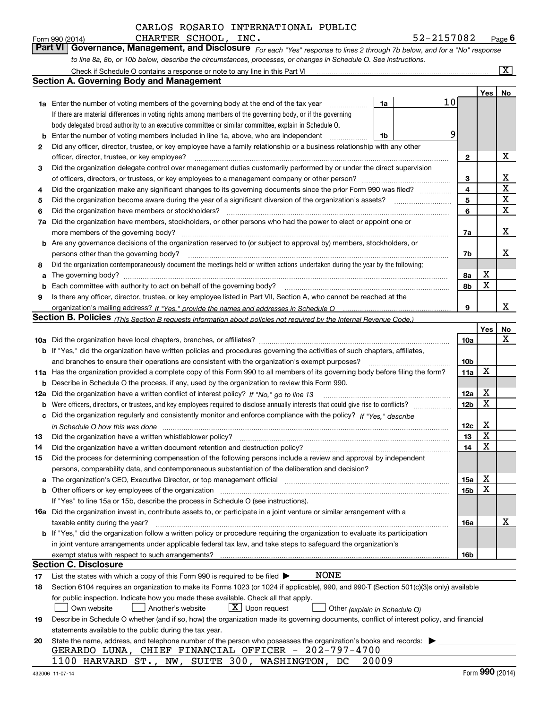*For each "Yes" response to lines 2 through 7b below, and for a "No" response to line 8a, 8b, or 10b below, describe the circumstances, processes, or changes in Schedule O. See instructions.* Form 990 (2014) **CHARTER SCHOOL, INC.**<br>**Part VI Governance, Management, and Disclosure** For each "Yes" response to lines 2 through 7b below, and for a "No" response

|     | Check if Schedule O contains a response or note to any line in this Part VI                                                                                           |    |                 |     | $\mathbf{X}$ |
|-----|-----------------------------------------------------------------------------------------------------------------------------------------------------------------------|----|-----------------|-----|--------------|
|     | <b>Section A. Governing Body and Management</b>                                                                                                                       |    |                 |     |              |
|     |                                                                                                                                                                       |    |                 | Yes | No           |
|     | <b>1a</b> Enter the number of voting members of the governing body at the end of the tax year<br>1a                                                                   | 10 |                 |     |              |
|     | If there are material differences in voting rights among members of the governing body, or if the governing                                                           |    |                 |     |              |
|     | body delegated broad authority to an executive committee or similar committee, explain in Schedule O.                                                                 |    |                 |     |              |
| b   | Enter the number of voting members included in line 1a, above, who are independent<br>1b                                                                              | 9  |                 |     |              |
| 2   | Did any officer, director, trustee, or key employee have a family relationship or a business relationship with any other                                              |    |                 |     |              |
|     | officer, director, trustee, or key employee?                                                                                                                          |    | 2               |     | х            |
| 3   | Did the organization delegate control over management duties customarily performed by or under the direct supervision                                                 |    |                 |     |              |
|     |                                                                                                                                                                       |    | 3               |     | х            |
| 4   | Did the organization make any significant changes to its governing documents since the prior Form 990 was filed?                                                      |    | 4               |     | X            |
| 5   |                                                                                                                                                                       |    | 5               |     | X            |
| 6   | Did the organization have members or stockholders?                                                                                                                    |    | 6               |     | X            |
| 7a  | Did the organization have members, stockholders, or other persons who had the power to elect or appoint one or                                                        |    |                 |     |              |
|     | more members of the governing body?                                                                                                                                   |    | 7a              |     | Х            |
|     | <b>b</b> Are any governance decisions of the organization reserved to (or subject to approval by) members, stockholders, or                                           |    |                 |     |              |
|     | persons other than the governing body?                                                                                                                                |    | 7b              |     | x            |
| 8   | Did the organization contemporaneously document the meetings held or written actions undertaken during the vear by the following:                                     |    |                 |     |              |
| a   |                                                                                                                                                                       |    | 8а              | X   |              |
| b   |                                                                                                                                                                       |    | 8b              | X   |              |
| 9   | Is there any officer, director, trustee, or key employee listed in Part VII, Section A, who cannot be reached at the                                                  |    |                 |     |              |
|     |                                                                                                                                                                       |    | 9               |     | x            |
|     | <b>Section B. Policies</b> (This Section B requests information about policies not required by the Internal Revenue Code.)                                            |    |                 |     |              |
|     |                                                                                                                                                                       |    |                 | Yes | No           |
|     |                                                                                                                                                                       |    | 10a             |     | x            |
|     | <b>b</b> If "Yes," did the organization have written policies and procedures governing the activities of such chapters, affiliates,                                   |    |                 |     |              |
|     | and branches to ensure their operations are consistent with the organization's exempt purposes?                                                                       |    | 10 <sub>b</sub> |     |              |
|     | 11a Has the organization provided a complete copy of this Form 990 to all members of its governing body before filing the form?                                       |    | 11a             | X   |              |
| b   | Describe in Schedule O the process, if any, used by the organization to review this Form 990.                                                                         |    |                 |     |              |
| 12a | Did the organization have a written conflict of interest policy? If "No," go to line 13                                                                               |    | 12a             | X   |              |
| b   |                                                                                                                                                                       |    | 12 <sub>b</sub> | x   |              |
|     | c Did the organization regularly and consistently monitor and enforce compliance with the policy? If "Yes." describe                                                  |    |                 |     |              |
|     | in Schedule O how this was done www.communication.com/www.communications.com/www.communications.com/                                                                  |    | 12c             | X   |              |
| 13  | Did the organization have a written whistleblower policy?                                                                                                             |    | 13              | X   |              |
| 14  | Did the organization have a written document retention and destruction policy?                                                                                        |    | 14              | X   |              |
| 15  | Did the process for determining compensation of the following persons include a review and approval by independent                                                    |    |                 |     |              |
|     | persons, comparability data, and contemporaneous substantiation of the deliberation and decision?                                                                     |    |                 |     |              |
| a   | The organization's CEO, Executive Director, or top management official manufactured content of the organization's CEO, Executive Director, or top management official |    | 15a             | х   |              |
|     | <b>b</b> Other officers or key employees of the organization                                                                                                          |    | 15 <sub>b</sub> | x   |              |
|     | If "Yes" to line 15a or 15b, describe the process in Schedule O (see instructions).                                                                                   |    |                 |     |              |
|     | <b>16a</b> Did the organization invest in, contribute assets to, or participate in a joint venture or similar arrangement with a                                      |    |                 |     |              |
|     | taxable entity during the year?                                                                                                                                       |    | 16a             |     | х            |
|     | b If "Yes," did the organization follow a written policy or procedure requiring the organization to evaluate its participation                                        |    |                 |     |              |
|     | in joint venture arrangements under applicable federal tax law, and take steps to safeguard the organization's                                                        |    |                 |     |              |
|     | exempt status with respect to such arrangements?                                                                                                                      |    | 16b             |     |              |
|     | Section C. Disclosure                                                                                                                                                 |    |                 |     |              |
| 17  | NONE<br>List the states with which a copy of this Form 990 is required to be filed $\blacktriangleright$                                                              |    |                 |     |              |
| 18  | Section 6104 requires an organization to make its Forms 1023 (or 1024 if applicable), 990, and 990-T (Section 501(c)(3)s only) available                              |    |                 |     |              |
|     | for public inspection. Indicate how you made these available. Check all that apply.                                                                                   |    |                 |     |              |
|     | $\lfloor x \rfloor$ Upon request<br>Another's website<br>Own website<br>Other (explain in Schedule O)                                                                 |    |                 |     |              |
| 19  | Describe in Schedule O whether (and if so, how) the organization made its governing documents, conflict of interest policy, and financial                             |    |                 |     |              |
|     | statements available to the public during the tax year.                                                                                                               |    |                 |     |              |
| 20  | State the name, address, and telephone number of the person who possesses the organization's books and records:                                                       |    |                 |     |              |
|     | GERARDO LUNA, CHIEF FINANCIAL OFFICER - 202-797-4700                                                                                                                  |    |                 |     |              |
|     | 1100 HARVARD ST., NW, SUITE 300, WASHINGTON, DC<br>20009                                                                                                              |    |                 |     |              |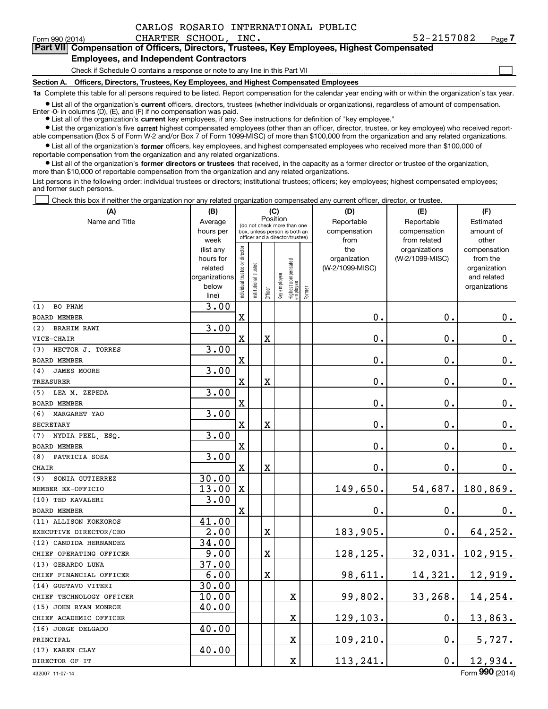Form 990 (2014) CHARTER SCHOOL, INC. 52-2157082 Page **7Part VII Compensation of Officers, Directors, Trustees, Key Employees, Highest Compensated**

## **Employees, and Independent Contractors**

Check if Schedule O contains a response or note to any line in this Part VII

**Section A. Officers, Directors, Trustees, Key Employees, and Highest Compensated Employees**

**1a**  Complete this table for all persons required to be listed. Report compensation for the calendar year ending with or within the organization's tax year.

**•** List all of the organization's current officers, directors, trustees (whether individuals or organizations), regardless of amount of compensation. Enter -0- in columns  $(D)$ ,  $(E)$ , and  $(F)$  if no compensation was paid.

● List all of the organization's **current** key employees, if any. See instructions for definition of "key employee."

**•** List the organization's five current highest compensated employees (other than an officer, director, trustee, or key employee) who received reportable compensation (Box 5 of Form W-2 and/or Box 7 of Form 1099-MISC) of more than \$100,000 from the organization and any related organizations.

 $\bullet$  List all of the organization's **former** officers, key employees, and highest compensated employees who received more than \$100,000 of reportable compensation from the organization and any related organizations.

**•** List all of the organization's former directors or trustees that received, in the capacity as a former director or trustee of the organization, more than \$10,000 of reportable compensation from the organization and any related organizations.

List persons in the following order: individual trustees or directors; institutional trustees; officers; key employees; highest compensated employees; and former such persons.

Check this box if neither the organization nor any related organization compensated any current officer, director, or trustee.  $\mathcal{L}^{\text{max}}$ 

| (A)                       | (B)                    |                                |                                                                  | (C)                     |              |                                   |        | (D)                 | (E)                              | (F)                      |
|---------------------------|------------------------|--------------------------------|------------------------------------------------------------------|-------------------------|--------------|-----------------------------------|--------|---------------------|----------------------------------|--------------------------|
| Name and Title            | Average                |                                | (do not check more than one                                      |                         | Position     |                                   |        | Reportable          | Reportable                       | Estimated                |
|                           | hours per              |                                | box, unless person is both an<br>officer and a director/trustee) |                         |              |                                   |        | compensation        | compensation                     | amount of                |
|                           | week                   |                                |                                                                  |                         |              |                                   |        | from                | from related                     | other                    |
|                           | (list any<br>hours for |                                |                                                                  |                         |              |                                   |        | the<br>organization | organizations<br>(W-2/1099-MISC) | compensation<br>from the |
|                           | related                |                                |                                                                  |                         |              |                                   |        | (W-2/1099-MISC)     |                                  | organization             |
|                           | organizations          |                                |                                                                  |                         |              |                                   |        |                     |                                  | and related              |
|                           | below                  | Individual trustee or director | Institutional trustee                                            |                         | Key employee |                                   |        |                     |                                  | organizations            |
|                           | line)                  |                                |                                                                  | Officer                 |              | Highest compensated<br>  employee | Former |                     |                                  |                          |
| BO PHAM<br>(1)            | 3.00                   |                                |                                                                  |                         |              |                                   |        |                     |                                  |                          |
| <b>BOARD MEMBER</b>       |                        | $\mathbf x$                    |                                                                  |                         |              |                                   |        | 0.                  | $\mathbf 0$ .                    | $0_{.}$                  |
| <b>BRAHIM RAWI</b><br>(2) | 3.00                   |                                |                                                                  |                         |              |                                   |        |                     |                                  |                          |
| VICE-CHAIR                |                        | $\mathbf X$                    |                                                                  | $\mathbf X$             |              |                                   |        | 0.                  | $\mathbf 0$ .                    | $0_{.}$                  |
| HECTOR J. TORRES<br>(3)   | 3.00                   |                                |                                                                  |                         |              |                                   |        |                     |                                  |                          |
| <b>BOARD MEMBER</b>       |                        | $\mathbf X$                    |                                                                  |                         |              |                                   |        | 0.                  | $\mathbf 0$ .                    | $0_{.}$                  |
| <b>JAMES MOORE</b><br>(4) | 3.00                   |                                |                                                                  |                         |              |                                   |        |                     |                                  |                          |
| <b>TREASURER</b>          |                        | $\mathbf x$                    |                                                                  | $\overline{\textbf{X}}$ |              |                                   |        | 0.                  | $\mathbf 0$ .                    | $0_{.}$                  |
| (5) LEA M. ZEPEDA         | 3.00                   |                                |                                                                  |                         |              |                                   |        |                     |                                  |                          |
| <b>BOARD MEMBER</b>       |                        | $\mathbf X$                    |                                                                  |                         |              |                                   |        | 0.                  | 0.                               | $0_{.}$                  |
| MARGARET YAO<br>(6)       | 3.00                   |                                |                                                                  |                         |              |                                   |        |                     |                                  |                          |
| SECRETARY                 |                        | $\mathbf X$                    |                                                                  | $\overline{\textbf{X}}$ |              |                                   |        | $0$ .               | $\mathbf 0$ .                    | $\mathbf 0$ .            |
| NYDIA PEEL, ESQ.<br>(7)   | 3.00                   |                                |                                                                  |                         |              |                                   |        |                     |                                  |                          |
| <b>BOARD MEMBER</b>       |                        | $\mathbf X$                    |                                                                  |                         |              |                                   |        | 0.                  | $\mathbf 0$ .                    | $0_{.}$                  |
| PATRICIA SOSA<br>(8)      | 3.00                   |                                |                                                                  |                         |              |                                   |        |                     |                                  |                          |
| CHAIR                     |                        | $\mathbf x$                    |                                                                  | $\overline{\text{X}}$   |              |                                   |        | 0.                  | $\mathbf 0$ .                    | 0.                       |
| SONIA GUTIERREZ<br>(9)    | 30.00                  |                                |                                                                  |                         |              |                                   |        |                     |                                  |                          |
| MEMBER EX-OFFICIO         | 13.00                  | $\mathbf x$                    |                                                                  |                         |              |                                   |        | 149,650.            | 54,687.                          | 180,869.                 |
| (10) TED KAVALERI         | 3.00                   |                                |                                                                  |                         |              |                                   |        |                     |                                  |                          |
| <b>BOARD MEMBER</b>       |                        | X                              |                                                                  |                         |              |                                   |        | 0.                  | $\mathbf 0$ .                    | 0.                       |
| (11) ALLISON KOKKOROS     | 41.00                  |                                |                                                                  |                         |              |                                   |        |                     |                                  |                          |
| EXECUTIVE DIRECTOR/CEO    | 2.00                   |                                |                                                                  | $\overline{\textbf{X}}$ |              |                                   |        | 183,905.            | 0.                               | 64,252.                  |
| (12) CANDIDA HERNANDEZ    | 34.00                  |                                |                                                                  |                         |              |                                   |        |                     |                                  |                          |
| CHIEF OPERATING OFFICER   | 9.00                   |                                |                                                                  | $\overline{\text{X}}$   |              |                                   |        | 128,125.            | 32,031.                          | 102,915.                 |
| (13) GERARDO LUNA         | 37.00                  |                                |                                                                  |                         |              |                                   |        |                     |                                  |                          |
| CHIEF FINANCIAL OFFICER   | 6.00                   |                                |                                                                  | $\overline{\text{X}}$   |              |                                   |        | 98,611.             | 14,321.                          | 12,919.                  |
| (14) GUSTAVO VITERI       | 30.00                  |                                |                                                                  |                         |              |                                   |        |                     |                                  |                          |
| CHIEF TECHNOLOGY OFFICER  | 10.00                  |                                |                                                                  |                         |              | $\mathbf X$                       |        | 99,802.             | 33,268.                          | 14,254.                  |
| (15) JOHN RYAN MONROE     | 40.00                  |                                |                                                                  |                         |              |                                   |        |                     |                                  |                          |
| CHIEF ACADEMIC OFFICER    |                        |                                |                                                                  |                         |              | $\rm X$                           |        | 129,103.            | 0.                               | 13,863.                  |
| (16) JORGE DELGADO        | 40.00                  |                                |                                                                  |                         |              |                                   |        |                     |                                  |                          |
| PRINCIPAL                 |                        |                                |                                                                  |                         |              | $\mathbf X$                       |        | 109,210.            | 0.                               | 5,727.                   |
| (17) KAREN CLAY           | 40.00                  |                                |                                                                  |                         |              |                                   |        |                     |                                  |                          |
| DIRECTOR OF IT            |                        |                                |                                                                  |                         |              | $\mathbf X$                       |        | 113,241.            | 0.                               | 12,934.                  |

 $\mathcal{L}^{\text{max}}$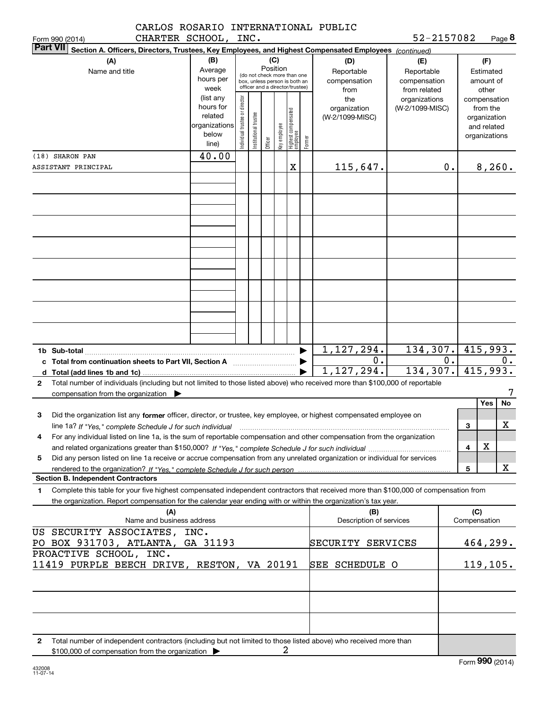|                 |                 | CARLOS ROSARIO INTERNATIONAL PUBLIC |            |        |
|-----------------|-----------------|-------------------------------------|------------|--------|
| Form 990 (2014) | CHARTER SCHOOL. | INC.                                | 52-2157082 | Page 8 |

|                                                                                               | <b>Part VII</b><br>Section A. Officers, Directors, Trustees, Key Employees, and Highest Compensated Employees (continued)                                                              |                   |                               |                      |          |                 |                                  |        |                         |                                  |    |                 |              |    |
|-----------------------------------------------------------------------------------------------|----------------------------------------------------------------------------------------------------------------------------------------------------------------------------------------|-------------------|-------------------------------|----------------------|----------|-----------------|----------------------------------|--------|-------------------------|----------------------------------|----|-----------------|--------------|----|
|                                                                                               | (A)                                                                                                                                                                                    | (B)               |                               |                      |          | (C)             |                                  |        | (D)                     | (E)                              |    |                 | (F)          |    |
|                                                                                               | Name and title                                                                                                                                                                         | Average           |                               |                      | Position |                 | (do not check more than one      |        | Reportable              | Reportable                       |    |                 | Estimated    |    |
|                                                                                               |                                                                                                                                                                                        | hours per         |                               |                      |          |                 | box, unless person is both an    |        | compensation            | compensation                     |    |                 | amount of    |    |
|                                                                                               |                                                                                                                                                                                        | week<br>(list any |                               |                      |          |                 | officer and a director/trustee)  |        | from                    | from related                     |    |                 | other        |    |
|                                                                                               |                                                                                                                                                                                        | hours for         |                               |                      |          |                 |                                  |        | the<br>organization     | organizations<br>(W-2/1099-MISC) |    | compensation    | from the     |    |
|                                                                                               |                                                                                                                                                                                        | related           |                               |                      |          |                 |                                  |        | (W-2/1099-MISC)         |                                  |    |                 | organization |    |
|                                                                                               |                                                                                                                                                                                        | organizations     |                               |                      |          |                 |                                  |        |                         |                                  |    |                 | and related  |    |
|                                                                                               |                                                                                                                                                                                        | below<br>line)    | ndividual trustee or director | nstitutional trustee | Officer  | key employee    | Highest compensated<br> employee | Former |                         |                                  |    | organizations   |              |    |
|                                                                                               | (18) SHARON PAN                                                                                                                                                                        | 40.00             |                               |                      |          |                 |                                  |        |                         |                                  |    |                 |              |    |
|                                                                                               | ASSISTANT PRINCIPAL                                                                                                                                                                    |                   |                               |                      |          |                 | X                                |        | 115,647.                |                                  | 0. |                 | 8,260.       |    |
|                                                                                               |                                                                                                                                                                                        |                   |                               |                      |          |                 |                                  |        |                         |                                  |    |                 |              |    |
|                                                                                               |                                                                                                                                                                                        |                   |                               |                      |          |                 |                                  |        |                         |                                  |    |                 |              |    |
|                                                                                               |                                                                                                                                                                                        |                   |                               |                      |          |                 |                                  |        |                         |                                  |    |                 |              |    |
|                                                                                               |                                                                                                                                                                                        |                   |                               |                      |          |                 |                                  |        |                         |                                  |    |                 |              |    |
|                                                                                               |                                                                                                                                                                                        |                   |                               |                      |          |                 |                                  |        |                         |                                  |    |                 |              |    |
|                                                                                               |                                                                                                                                                                                        |                   |                               |                      |          |                 |                                  |        |                         |                                  |    |                 |              |    |
|                                                                                               |                                                                                                                                                                                        |                   |                               |                      |          |                 |                                  |        |                         |                                  |    |                 |              |    |
|                                                                                               |                                                                                                                                                                                        |                   |                               |                      |          |                 |                                  |        |                         |                                  |    |                 |              |    |
|                                                                                               |                                                                                                                                                                                        |                   |                               |                      |          |                 |                                  |        |                         |                                  |    |                 |              |    |
|                                                                                               |                                                                                                                                                                                        |                   |                               |                      |          |                 |                                  |        |                         |                                  |    |                 |              |    |
|                                                                                               |                                                                                                                                                                                        |                   |                               |                      |          |                 |                                  |        |                         |                                  |    |                 |              |    |
|                                                                                               |                                                                                                                                                                                        |                   |                               |                      |          |                 |                                  |        |                         |                                  |    |                 |              |    |
|                                                                                               |                                                                                                                                                                                        |                   |                               |                      |          |                 |                                  |        |                         |                                  |    |                 |              |    |
|                                                                                               |                                                                                                                                                                                        |                   |                               |                      |          |                 |                                  |        |                         |                                  |    |                 |              |    |
|                                                                                               |                                                                                                                                                                                        |                   |                               |                      |          |                 |                                  |        |                         |                                  |    |                 |              |    |
|                                                                                               |                                                                                                                                                                                        |                   |                               |                      |          |                 |                                  |        | 1,127,294.              | 134, 307.                        |    | 415,993.        |              |    |
|                                                                                               | 0.<br>c Total from continuation sheets to Part VII, Section A [111] [120] [20]                                                                                                         |                   |                               |                      |          |                 |                                  | 0.     | 0.                      |                                  |    |                 |              |    |
|                                                                                               |                                                                                                                                                                                        |                   |                               |                      |          |                 |                                  |        | 1,127,294.              | 134, 307.                        |    | 415,993.        |              |    |
| $\mathbf{2}$                                                                                  | Total number of individuals (including but not limited to those listed above) who received more than \$100,000 of reportable                                                           |                   |                               |                      |          |                 |                                  |        |                         |                                  |    |                 |              |    |
|                                                                                               | compensation from the organization $\blacktriangleright$                                                                                                                               |                   |                               |                      |          |                 |                                  |        |                         |                                  |    |                 |              |    |
|                                                                                               |                                                                                                                                                                                        |                   |                               |                      |          |                 |                                  |        |                         |                                  |    |                 | Yes          | No |
| з                                                                                             | Did the organization list any former officer, director, or trustee, key employee, or highest compensated employee on                                                                   |                   |                               |                      |          |                 |                                  |        |                         |                                  |    |                 |              | х  |
|                                                                                               | line 1a? If "Yes," complete Schedule J for such individual<br>For any individual listed on line 1a, is the sum of reportable compensation and other compensation from the organization |                   |                               |                      |          |                 |                                  |        |                         |                                  |    | 3               |              |    |
| 4                                                                                             |                                                                                                                                                                                        |                   |                               |                      |          |                 |                                  |        |                         |                                  |    | 4               | x            |    |
| 5                                                                                             | Did any person listed on line 1a receive or accrue compensation from any unrelated organization or individual for services                                                             |                   |                               |                      |          |                 |                                  |        |                         |                                  |    |                 |              |    |
|                                                                                               | rendered to the organization? If "Yes." complete Schedule J for such person                                                                                                            |                   |                               |                      |          |                 |                                  |        |                         |                                  |    | 5               |              | x  |
|                                                                                               | <b>Section B. Independent Contractors</b>                                                                                                                                              |                   |                               |                      |          |                 |                                  |        |                         |                                  |    |                 |              |    |
| 1                                                                                             | Complete this table for your five highest compensated independent contractors that received more than \$100,000 of compensation from                                                   |                   |                               |                      |          |                 |                                  |        |                         |                                  |    |                 |              |    |
|                                                                                               | the organization. Report compensation for the calendar year ending with or within the organization's tax year.                                                                         |                   |                               |                      |          |                 |                                  |        |                         |                                  |    |                 |              |    |
|                                                                                               | (A)                                                                                                                                                                                    |                   |                               |                      |          |                 |                                  |        | (B)                     |                                  |    | (C)             |              |    |
|                                                                                               | Name and business address                                                                                                                                                              |                   |                               |                      |          |                 |                                  |        | Description of services |                                  |    | Compensation    |              |    |
|                                                                                               | US SECURITY ASSOCIATES, INC.                                                                                                                                                           |                   |                               |                      |          |                 |                                  |        |                         |                                  |    |                 |              |    |
|                                                                                               | PO BOX 931703, ATLANTA, GA 31193                                                                                                                                                       |                   |                               |                      |          |                 |                                  |        | SECURITY SERVICES       |                                  |    | <u>464,299.</u> |              |    |
| PROACTIVE SCHOOL, INC.<br>11419 PURPLE BEECH DRIVE, RESTON, VA 20191<br><b>SEE SCHEDULE O</b> |                                                                                                                                                                                        |                   |                               |                      |          | <u>119,105.</u> |                                  |        |                         |                                  |    |                 |              |    |
|                                                                                               |                                                                                                                                                                                        |                   |                               |                      |          |                 |                                  |        |                         |                                  |    |                 |              |    |
|                                                                                               |                                                                                                                                                                                        |                   |                               |                      |          |                 |                                  |        |                         |                                  |    |                 |              |    |
|                                                                                               |                                                                                                                                                                                        |                   |                               |                      |          |                 |                                  |        |                         |                                  |    |                 |              |    |
|                                                                                               |                                                                                                                                                                                        |                   |                               |                      |          |                 |                                  |        |                         |                                  |    |                 |              |    |
|                                                                                               |                                                                                                                                                                                        |                   |                               |                      |          |                 |                                  |        |                         |                                  |    |                 |              |    |
|                                                                                               |                                                                                                                                                                                        |                   |                               |                      |          |                 |                                  |        |                         |                                  |    |                 |              |    |
| 2                                                                                             | Total number of independent contractors (including but not limited to those listed above) who received more than                                                                       |                   |                               |                      |          |                 |                                  |        |                         |                                  |    |                 |              |    |
|                                                                                               | \$100,000 of compensation from the organization                                                                                                                                        |                   |                               |                      |          |                 | 2                                |        |                         |                                  |    |                 |              |    |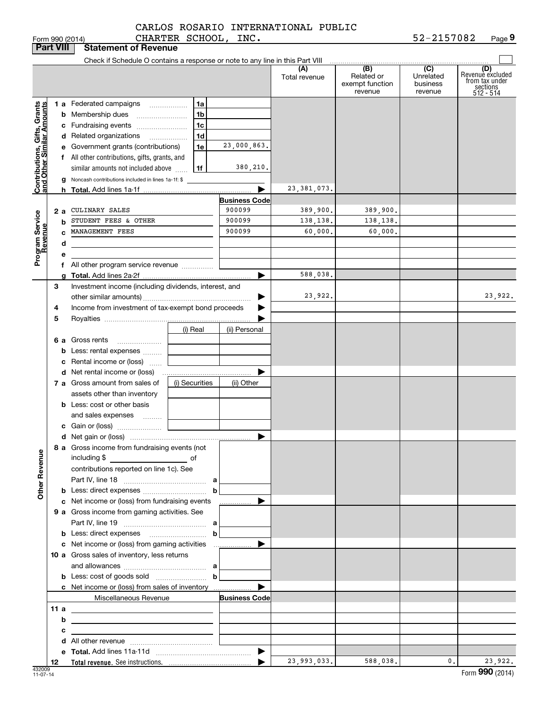|                                                           | <b>Part VIII</b> | <b>Statement of Revenue</b>                                                                                          |                |                       |                      |                                                 |                                         |                                                                    |
|-----------------------------------------------------------|------------------|----------------------------------------------------------------------------------------------------------------------|----------------|-----------------------|----------------------|-------------------------------------------------|-----------------------------------------|--------------------------------------------------------------------|
|                                                           |                  | Check if Schedule O contains a response or note to any line in this Part VIII                                        |                |                       |                      |                                                 |                                         |                                                                    |
|                                                           |                  |                                                                                                                      |                |                       | (A)<br>Total revenue | (B)<br>Related or<br>exempt function<br>revenue | (C)<br>Unrelated<br>business<br>revenue | (D)<br>Revenuè excluded<br>from tax under<br>sections<br>512 - 514 |
|                                                           |                  | <b>1 a</b> Federated campaigns                                                                                       | 1a             |                       |                      |                                                 |                                         |                                                                    |
| Contributions, Gifts, Grants<br>and Other Similar Amounts |                  | <b>b</b> Membership dues                                                                                             | 1 <sub>b</sub> |                       |                      |                                                 |                                         |                                                                    |
|                                                           |                  | c Fundraising events                                                                                                 | 1c             |                       |                      |                                                 |                                         |                                                                    |
|                                                           |                  | d Related organizations                                                                                              | 1 <sub>d</sub> |                       |                      |                                                 |                                         |                                                                    |
|                                                           |                  | e Government grants (contributions)                                                                                  | 1e             | 23,000,863.           |                      |                                                 |                                         |                                                                    |
|                                                           |                  | f All other contributions, gifts, grants, and                                                                        |                |                       |                      |                                                 |                                         |                                                                    |
|                                                           |                  | similar amounts not included above                                                                                   | 1f             | 380,210.              |                      |                                                 |                                         |                                                                    |
|                                                           |                  | g Noncash contributions included in lines 1a-1f: \$                                                                  |                |                       |                      |                                                 |                                         |                                                                    |
|                                                           |                  |                                                                                                                      |                | ▶                     | 23, 381, 073.        |                                                 |                                         |                                                                    |
|                                                           |                  |                                                                                                                      |                | <b>Business Code</b>  |                      |                                                 |                                         |                                                                    |
|                                                           | 2 a              | CULINARY SALES                                                                                                       |                | 900099                | 389,900.             | 389,900.                                        |                                         |                                                                    |
|                                                           | b                | STUDENT FEES & OTHER                                                                                                 |                | 900099                | 138,138.             | 138,138.                                        |                                         |                                                                    |
|                                                           |                  | MANAGEMENT FEES                                                                                                      |                | 900099                | 60,000.              | 60,000.                                         |                                         |                                                                    |
|                                                           | d                |                                                                                                                      |                |                       |                      |                                                 |                                         |                                                                    |
| Program Service<br>Revenue                                | е                |                                                                                                                      |                |                       |                      |                                                 |                                         |                                                                    |
|                                                           |                  | f All other program service revenue                                                                                  |                |                       | 588,038.             |                                                 |                                         |                                                                    |
|                                                           |                  |                                                                                                                      |                | ▶                     |                      |                                                 |                                         |                                                                    |
|                                                           | З                | Investment income (including dividends, interest, and                                                                |                |                       | 23,922.              |                                                 |                                         | 23,922.                                                            |
|                                                           | 4                | Income from investment of tax-exempt bond proceeds                                                                   |                |                       |                      |                                                 |                                         |                                                                    |
|                                                           | 5                |                                                                                                                      |                |                       |                      |                                                 |                                         |                                                                    |
|                                                           |                  |                                                                                                                      | (i) Real       | (ii) Personal         |                      |                                                 |                                         |                                                                    |
|                                                           |                  | 6 a Gross rents                                                                                                      |                |                       |                      |                                                 |                                         |                                                                    |
|                                                           |                  | <b>b</b> Less: rental expenses                                                                                       |                |                       |                      |                                                 |                                         |                                                                    |
|                                                           | c                | Rental income or (loss)                                                                                              |                |                       |                      |                                                 |                                         |                                                                    |
|                                                           |                  |                                                                                                                      |                |                       |                      |                                                 |                                         |                                                                    |
|                                                           |                  | 7 a Gross amount from sales of                                                                                       | (i) Securities | (ii) Other            |                      |                                                 |                                         |                                                                    |
|                                                           |                  | assets other than inventory                                                                                          |                |                       |                      |                                                 |                                         |                                                                    |
|                                                           |                  | <b>b</b> Less: cost or other basis                                                                                   |                |                       |                      |                                                 |                                         |                                                                    |
|                                                           |                  | and sales expenses                                                                                                   |                |                       |                      |                                                 |                                         |                                                                    |
|                                                           |                  |                                                                                                                      |                |                       |                      |                                                 |                                         |                                                                    |
|                                                           |                  |                                                                                                                      |                | ▶                     |                      |                                                 |                                         |                                                                    |
| <b>Other Revenue</b>                                      |                  | 8 a Gross income from fundraising events (not<br>including $$$<br>$\overline{\phantom{a}}$ of                        |                |                       |                      |                                                 |                                         |                                                                    |
|                                                           |                  | contributions reported on line 1c). See                                                                              |                |                       |                      |                                                 |                                         |                                                                    |
|                                                           |                  |                                                                                                                      |                |                       |                      |                                                 |                                         |                                                                    |
|                                                           |                  |                                                                                                                      | b              |                       |                      |                                                 |                                         |                                                                    |
|                                                           |                  | c Net income or (loss) from fundraising events                                                                       |                | ▶<br>.                |                      |                                                 |                                         |                                                                    |
|                                                           |                  | 9 a Gross income from gaming activities. See                                                                         |                |                       |                      |                                                 |                                         |                                                                    |
|                                                           |                  |                                                                                                                      | b              |                       |                      |                                                 |                                         |                                                                    |
|                                                           |                  | c Net income or (loss) from gaming activities                                                                        |                | ▶<br>. <u>.</u>       |                      |                                                 |                                         |                                                                    |
|                                                           |                  | 10 a Gross sales of inventory, less returns                                                                          |                |                       |                      |                                                 |                                         |                                                                    |
|                                                           |                  |                                                                                                                      |                |                       |                      |                                                 |                                         |                                                                    |
|                                                           |                  |                                                                                                                      | $\mathbf b$    |                       |                      |                                                 |                                         |                                                                    |
|                                                           |                  | c Net income or (loss) from sales of inventory                                                                       |                | ▶                     |                      |                                                 |                                         |                                                                    |
|                                                           |                  | Miscellaneous Revenue                                                                                                |                | <b>Business Code</b>  |                      |                                                 |                                         |                                                                    |
|                                                           | 11 a             | <u> 2002 - John Stone, Amerikaansk politiker (</u>                                                                   |                |                       |                      |                                                 |                                         |                                                                    |
|                                                           | b                | the control of the control of the control of the control of the control of the control of                            |                |                       |                      |                                                 |                                         |                                                                    |
|                                                           | с                | <u> 1989 - Johann John Stone, markin sanadi shirta mashrida na shekara ta 1989 - An tsara tsara tsara tsara tsar</u> |                |                       |                      |                                                 |                                         |                                                                    |
|                                                           |                  |                                                                                                                      |                |                       |                      |                                                 |                                         |                                                                    |
|                                                           |                  |                                                                                                                      |                | $\blacktriangleright$ |                      |                                                 |                                         |                                                                    |
|                                                           | 12               |                                                                                                                      |                |                       | 23,993,033.          | 588,038.                                        | 0.1                                     | 23,922.                                                            |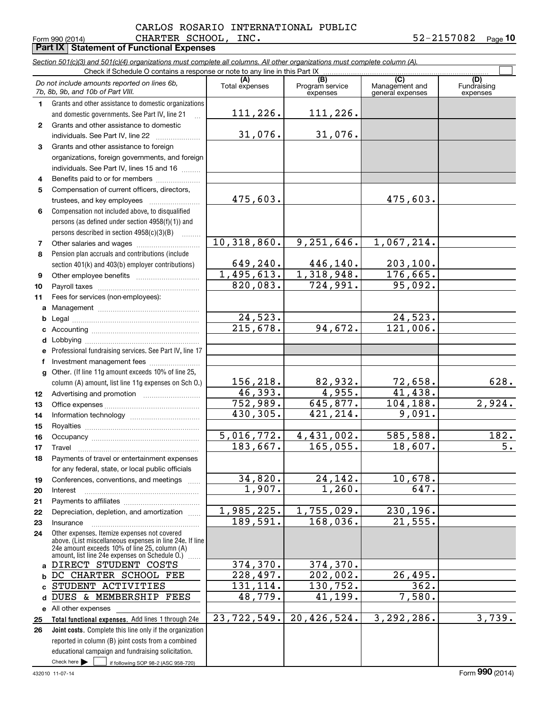## Form 990 (2014) CHARTER SCHOOL, INC. 5 2-21570 8 2 <sub>Page</sub> **Part IX Statement of Functional Expenses** CARLOS ROSARIO INTERNATIONAL PUBLIC

**10**

|              | Section 501(c)(3) and 501(c)(4) organizations must complete all columns. All other organizations must complete column (A).<br>Check if Schedule O contains a response or note to any line in this Part IX |                |                             |                                    |                         |
|--------------|-----------------------------------------------------------------------------------------------------------------------------------------------------------------------------------------------------------|----------------|-----------------------------|------------------------------------|-------------------------|
|              | Do not include amounts reported on lines 6b,                                                                                                                                                              |                | (B)                         | $\overline{C}$                     | (D)                     |
|              | 7b, 8b, 9b, and 10b of Part VIII.                                                                                                                                                                         | Total expenses | Program service<br>expenses | Management and<br>general expenses | Fundraising<br>expenses |
| 1.           | Grants and other assistance to domestic organizations                                                                                                                                                     |                |                             |                                    |                         |
|              | and domestic governments. See Part IV, line 21                                                                                                                                                            | 111,226.       | 111,226.                    |                                    |                         |
| $\mathbf{2}$ | Grants and other assistance to domestic                                                                                                                                                                   |                |                             |                                    |                         |
|              | individuals. See Part IV, line 22                                                                                                                                                                         | 31,076.        | 31,076.                     |                                    |                         |
| 3            | Grants and other assistance to foreign                                                                                                                                                                    |                |                             |                                    |                         |
|              | organizations, foreign governments, and foreign                                                                                                                                                           |                |                             |                                    |                         |
|              | individuals. See Part IV, lines 15 and 16                                                                                                                                                                 |                |                             |                                    |                         |
| 4            | Benefits paid to or for members                                                                                                                                                                           |                |                             |                                    |                         |
| 5            | Compensation of current officers, directors,                                                                                                                                                              |                |                             |                                    |                         |
|              |                                                                                                                                                                                                           | 475,603.       |                             | 475,603.                           |                         |
| 6            | Compensation not included above, to disqualified                                                                                                                                                          |                |                             |                                    |                         |
|              | persons (as defined under section 4958(f)(1)) and                                                                                                                                                         |                |                             |                                    |                         |
|              | persons described in section 4958(c)(3)(B)                                                                                                                                                                |                |                             |                                    |                         |
| 7            |                                                                                                                                                                                                           | 10,318,860.    | 9,251,646.                  | 1,067,214.                         |                         |
| 8            | Pension plan accruals and contributions (include                                                                                                                                                          |                |                             |                                    |                         |
|              | section 401(k) and 403(b) employer contributions)                                                                                                                                                         | 649,240.       | 446,140.                    | 203, 100.                          |                         |
| 9            |                                                                                                                                                                                                           | 1,495,613.     | 1,318,948.                  | 176,665.                           |                         |
| 10           |                                                                                                                                                                                                           | 820,083.       | 724,991.                    | 95,092.                            |                         |
| 11           | Fees for services (non-employees):                                                                                                                                                                        |                |                             |                                    |                         |
| a            |                                                                                                                                                                                                           |                |                             |                                    |                         |
| b            |                                                                                                                                                                                                           | 24,523.        |                             | 24,523.                            |                         |
|              |                                                                                                                                                                                                           | 215,678.       | 94,672.                     | 121,006.                           |                         |
| d            |                                                                                                                                                                                                           |                |                             |                                    |                         |
|              | Professional fundraising services. See Part IV, line 17                                                                                                                                                   |                |                             |                                    |                         |
| f            | Investment management fees                                                                                                                                                                                |                |                             |                                    |                         |
| $\mathbf{q}$ | Other. (If line 11g amount exceeds 10% of line 25,                                                                                                                                                        |                |                             |                                    |                         |
|              | column (A) amount, list line 11g expenses on Sch O.)                                                                                                                                                      | 156,218.       | 82,932.                     | 72,658.                            | 628.                    |
| 12           |                                                                                                                                                                                                           | 46,393.        | 4,955.                      | 41,438.                            |                         |
| 13           |                                                                                                                                                                                                           | 752,989.       | 645,877.                    | 104, 188.                          | 2,924.                  |
| 14           |                                                                                                                                                                                                           | 430, 305.      | 421, 214.                   | 9,091.                             |                         |
| 15           |                                                                                                                                                                                                           |                |                             |                                    |                         |
| 16           |                                                                                                                                                                                                           | 5,016,772.     | 4,431,002.                  | 585,588.                           | 182.                    |
| 17           |                                                                                                                                                                                                           | 183,667.       | 165,055.                    | 18,607.                            | 5.                      |
| 18           | Payments of travel or entertainment expenses                                                                                                                                                              |                |                             |                                    |                         |
|              | for any federal, state, or local public officials                                                                                                                                                         |                |                             |                                    |                         |
| 19           | Conferences, conventions, and meetings                                                                                                                                                                    | 34,820.        | 24, 142.                    | 10,678.                            |                         |
| 20           | Interest                                                                                                                                                                                                  | 1,907.         | 1,260.                      | 647.                               |                         |
| 21           |                                                                                                                                                                                                           | 1,985,225.     |                             |                                    |                         |
| 22           | Depreciation, depletion, and amortization                                                                                                                                                                 | 189,591.       | 1,755,029.<br>168,036.      | 230,196.<br>$\overline{21,555}$ .  |                         |
| 23           | Insurance                                                                                                                                                                                                 |                |                             |                                    |                         |
| 24           | Other expenses. Itemize expenses not covered<br>above. (List miscellaneous expenses in line 24e. If line                                                                                                  |                |                             |                                    |                         |
|              | 24e amount exceeds 10% of line 25, column (A)                                                                                                                                                             |                |                             |                                    |                         |
|              | amount, list line 24e expenses on Schedule 0.)<br>DIRECT STUDENT COSTS                                                                                                                                    | 374, 370.      | 374,370.                    |                                    |                         |
| a<br>b       | DC CHARTER SCHOOL FEE                                                                                                                                                                                     | 228,497.       | 202,002.                    | 26, 495.                           |                         |
| C            | STUDENT ACTIVITIES                                                                                                                                                                                        | 131, 114.      | 130,752.                    | 362.                               |                         |
| d            | DUES & MEMBERSHIP FEES                                                                                                                                                                                    | 48,779.        | 41,199.                     | 7,580.                             |                         |
| е            | All other expenses                                                                                                                                                                                        |                |                             |                                    |                         |
| 25           | Total functional expenses. Add lines 1 through 24e                                                                                                                                                        | 23,722,549.    | 20,426,524.                 | 3,292,286.                         | 3,739.                  |
| 26           | Joint costs. Complete this line only if the organization                                                                                                                                                  |                |                             |                                    |                         |
|              | reported in column (B) joint costs from a combined                                                                                                                                                        |                |                             |                                    |                         |
|              | educational campaign and fundraising solicitation.                                                                                                                                                        |                |                             |                                    |                         |
|              | Check here $\blacktriangleright$<br>if following SOP 98-2 (ASC 958-720)                                                                                                                                   |                |                             |                                    |                         |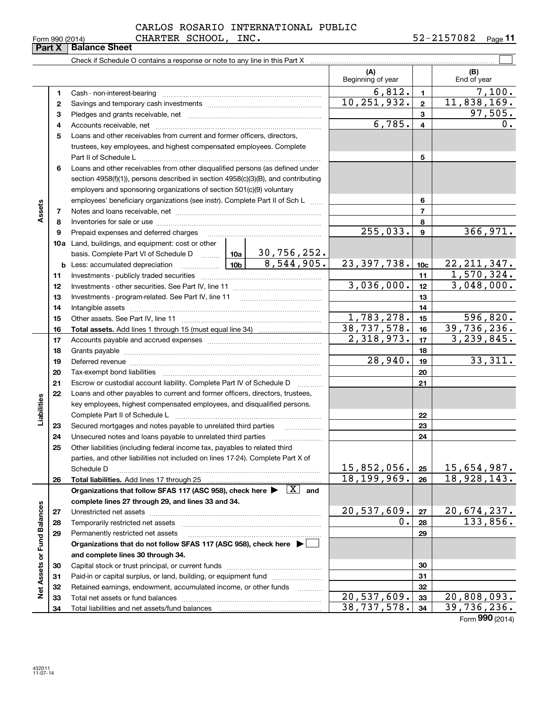$\mathcal{L}^{\text{max}}$ 

|                 | <b>Part X   Balance Sheet</b> |                 |                                     |            |         |
|-----------------|-------------------------------|-----------------|-------------------------------------|------------|---------|
| Form 990 (2014) |                               | CHARTER SCHOOL, | INC.                                | 52-2157082 | Page 11 |
|                 |                               |                 | CARLOS ROSARIO INTERNATIONAL PUBLIC |            |         |

Check if Schedule O contains a response or note to any line in this Part X

|                             |                   |                                                                                                                                                                                                                                |  |                     | (A)<br>Beginning of year |                         | (B)<br>End of year |
|-----------------------------|-------------------|--------------------------------------------------------------------------------------------------------------------------------------------------------------------------------------------------------------------------------|--|---------------------|--------------------------|-------------------------|--------------------|
|                             |                   |                                                                                                                                                                                                                                |  |                     | 6,812.                   | $\mathbf{1}$            | 7,100.             |
|                             | 1                 | Cash - non-interest-bearing                                                                                                                                                                                                    |  |                     | 10,251,932.              | $\mathbf{2}$            | 11,838,169.        |
|                             | $\mathbf{2}$<br>з |                                                                                                                                                                                                                                |  |                     |                          | 3                       | 97,505.            |
|                             |                   |                                                                                                                                                                                                                                |  |                     | 6,785.                   | $\overline{\mathbf{4}}$ | 0.                 |
|                             | 4                 | Loans and other receivables from current and former officers, directors,                                                                                                                                                       |  |                     |                          |                         |                    |
|                             | 5                 |                                                                                                                                                                                                                                |  |                     |                          |                         |                    |
|                             |                   | trustees, key employees, and highest compensated employees. Complete                                                                                                                                                           |  |                     |                          |                         |                    |
|                             | 6                 | Part II of Schedule L                                                                                                                                                                                                          |  |                     |                          | 5                       |                    |
|                             |                   | Loans and other receivables from other disqualified persons (as defined under                                                                                                                                                  |  |                     |                          |                         |                    |
|                             |                   | section 4958(f)(1)), persons described in section 4958(c)(3)(B), and contributing                                                                                                                                              |  |                     |                          |                         |                    |
|                             |                   | employers and sponsoring organizations of section 501(c)(9) voluntary<br>employees' beneficiary organizations (see instr). Complete Part II of Sch L                                                                           |  |                     |                          | 6                       |                    |
| Assets                      |                   |                                                                                                                                                                                                                                |  |                     |                          | $\overline{7}$          |                    |
|                             | 7<br>8            |                                                                                                                                                                                                                                |  |                     |                          | 8                       |                    |
|                             | 9                 |                                                                                                                                                                                                                                |  |                     | 255,033.                 | 9                       | 366,971.           |
|                             |                   | 10a Land, buildings, and equipment: cost or other                                                                                                                                                                              |  |                     |                          |                         |                    |
|                             |                   |                                                                                                                                                                                                                                |  | 30,756,252.         |                          |                         |                    |
|                             |                   | basis. Complete Part VI of Schedule D  10a                                                                                                                                                                                     |  | 8,544,905.          | 23, 397, 738.            | 10c                     | 22, 211, 347.      |
|                             | 11                |                                                                                                                                                                                                                                |  |                     |                          | 11                      | 1,570,324.         |
|                             | 12                |                                                                                                                                                                                                                                |  | 3,036,000.          | 12 <sup>2</sup>          | 3,048,000.              |                    |
|                             | 13                |                                                                                                                                                                                                                                |  |                     | 13                       |                         |                    |
|                             | 14                | Intangible assets [111] married assets [11] matter and the continuum continuum continuum continuum continuum continuum continuum continuum continuum continuum continuum continuum continuum continuum continuum continuum con |  |                     |                          | 14                      |                    |
|                             | 15                |                                                                                                                                                                                                                                |  |                     | 1,783,278.               | 15                      | 596,820.           |
|                             | 16                |                                                                                                                                                                                                                                |  |                     | 38,737,578.              | 16                      | 39,736,236.        |
|                             | 17                |                                                                                                                                                                                                                                |  |                     | 2,318,973.               | 17                      | 3, 239, 845.       |
|                             | 18                |                                                                                                                                                                                                                                |  |                     |                          | 18                      |                    |
|                             | 19                | Deferred revenue information and contract the contract of the contract of the contract of the contract of the                                                                                                                  |  |                     | $\overline{28,940}$ .    | 19                      | 33,311.            |
|                             | 20                |                                                                                                                                                                                                                                |  |                     |                          | 20                      |                    |
|                             | 21                | Escrow or custodial account liability. Complete Part IV of Schedule D                                                                                                                                                          |  |                     |                          | 21                      |                    |
|                             | 22                | Loans and other payables to current and former officers, directors, trustees,                                                                                                                                                  |  |                     |                          |                         |                    |
| Liabilities                 |                   | key employees, highest compensated employees, and disqualified persons.                                                                                                                                                        |  |                     |                          |                         |                    |
|                             |                   |                                                                                                                                                                                                                                |  |                     |                          | 22                      |                    |
|                             | 23                | Secured mortgages and notes payable to unrelated third parties                                                                                                                                                                 |  |                     |                          | 23                      |                    |
|                             | 24                |                                                                                                                                                                                                                                |  |                     |                          | 24                      |                    |
|                             | 25                | Other liabilities (including federal income tax, payables to related third                                                                                                                                                     |  |                     |                          |                         |                    |
|                             |                   | parties, and other liabilities not included on lines 17-24). Complete Part X of                                                                                                                                                |  |                     |                          |                         |                    |
|                             |                   | Schedule D                                                                                                                                                                                                                     |  |                     | $15,852,056$ . 25        |                         | 15,654,987.        |
|                             | 26                | Total liabilities. Add lines 17 through 25                                                                                                                                                                                     |  |                     | 18, 199, 969.            | 26                      | 18,928,143.        |
|                             |                   | Organizations that follow SFAS 117 (ASC 958), check here $\blacktriangleright \begin{array}{c} \boxed{X} \\ \end{array}$ and                                                                                                   |  |                     |                          |                         |                    |
|                             |                   | complete lines 27 through 29, and lines 33 and 34.                                                                                                                                                                             |  |                     |                          |                         |                    |
|                             | 27                |                                                                                                                                                                                                                                |  |                     | 20,537,609.              | 27                      | 20,674,237.        |
|                             | 28                | Temporarily restricted net assets                                                                                                                                                                                              |  |                     | 0.                       | 28                      | 133,856.           |
|                             | 29                | Permanently restricted net assets                                                                                                                                                                                              |  |                     |                          | 29                      |                    |
|                             |                   | Organizations that do not follow SFAS 117 (ASC 958), check here ▶ │                                                                                                                                                            |  |                     |                          |                         |                    |
|                             |                   | and complete lines 30 through 34.                                                                                                                                                                                              |  |                     |                          |                         |                    |
|                             | 30                |                                                                                                                                                                                                                                |  |                     |                          | 30                      |                    |
|                             | 31                | Paid-in or capital surplus, or land, building, or equipment fund                                                                                                                                                               |  |                     |                          | 31                      |                    |
| Net Assets or Fund Balances | 32                | Retained earnings, endowment, accumulated income, or other funds                                                                                                                                                               |  | 1.1.1.1.1.1.1.1.1.1 |                          | 32                      |                    |
|                             | 33                |                                                                                                                                                                                                                                |  |                     | 20,537,609.              | 33                      | 20,808,093.        |
|                             | 34                |                                                                                                                                                                                                                                |  |                     | 38,737,578.              | 34                      | 39,736,236.        |

Form (2014) **990**

**Part X Balance Barry** 

 $\overline{\phantom{0}}$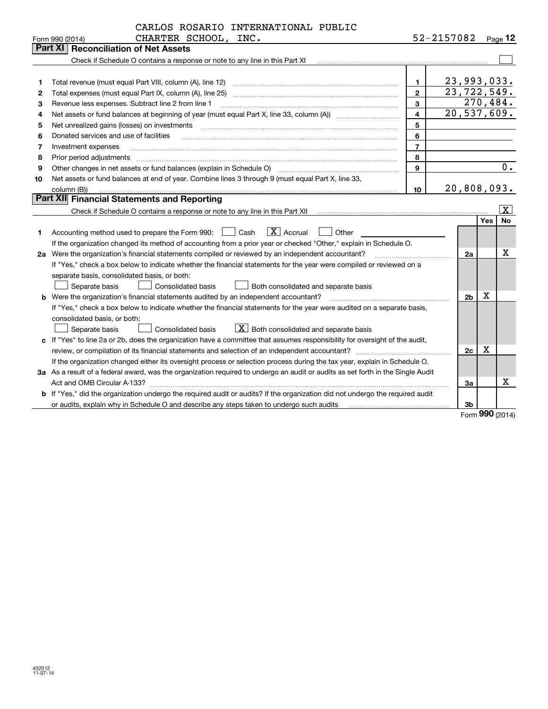|    | CARLOS ROSARIO INTERNATIONAL PUBLIC                                                                                             |                |                              |            |                          |  |  |
|----|---------------------------------------------------------------------------------------------------------------------------------|----------------|------------------------------|------------|--------------------------|--|--|
|    | CHARTER SCHOOL, INC.<br>Form 990 (2014)                                                                                         |                | 52-2157082                   |            | Page $12$                |  |  |
|    | <b>Part XI   Reconciliation of Net Assets</b>                                                                                   |                |                              |            |                          |  |  |
|    | Check if Schedule O contains a response or note to any line in this Part XI                                                     |                |                              |            |                          |  |  |
|    |                                                                                                                                 |                |                              |            |                          |  |  |
| 1  |                                                                                                                                 | 1.             | 23,993,033.<br>23, 722, 549. |            |                          |  |  |
| 2  | $\overline{2}$<br>Total expenses (must equal Part IX, column (A), line 25)                                                      |                |                              |            |                          |  |  |
| 3  | Revenue less expenses. Subtract line 2 from line 1                                                                              | 3              |                              |            | 270,484.                 |  |  |
| 4  |                                                                                                                                 | 4              | 20,537,609.                  |            |                          |  |  |
| 5  |                                                                                                                                 | 5              |                              |            |                          |  |  |
| 6  | Donated services and use of facilities                                                                                          | 6              |                              |            |                          |  |  |
| 7  | Investment expenses                                                                                                             | $\overline{7}$ |                              |            |                          |  |  |
| 8  | Prior period adjustments                                                                                                        | 8              |                              |            | 0.                       |  |  |
| 9  | Other changes in net assets or fund balances (explain in Schedule O)                                                            | 9              |                              |            |                          |  |  |
| 10 | Net assets or fund balances at end of year. Combine lines 3 through 9 (must equal Part X, line 33,                              |                |                              |            |                          |  |  |
|    | column (B))                                                                                                                     | 10             | 20,808,093.                  |            |                          |  |  |
|    | Part XII Financial Statements and Reporting                                                                                     |                |                              |            |                          |  |  |
|    |                                                                                                                                 |                |                              |            | $\vert \texttt{X} \vert$ |  |  |
|    |                                                                                                                                 |                |                              | <b>Yes</b> | <b>No</b>                |  |  |
| 1  | $\boxed{\mathbf{X}}$ Accrual<br>Accounting method used to prepare the Form 990: <u>[16</u> ] Cash<br>Other                      |                |                              |            |                          |  |  |
|    | If the organization changed its method of accounting from a prior year or checked "Other," explain in Schedule O.               |                |                              |            |                          |  |  |
|    | 2a Were the organization's financial statements compiled or reviewed by an independent accountant?                              |                | 2a                           |            | x                        |  |  |
|    | If "Yes," check a box below to indicate whether the financial statements for the year were compiled or reviewed on a            |                |                              |            |                          |  |  |
|    | separate basis, consolidated basis, or both:                                                                                    |                |                              |            |                          |  |  |
|    | Separate basis<br>Consolidated basis<br>Both consolidated and separate basis                                                    |                |                              |            |                          |  |  |
|    | <b>b</b> Were the organization's financial statements audited by an independent accountant?                                     |                | 2 <sub>b</sub>               | х          |                          |  |  |
|    | If "Yes," check a box below to indicate whether the financial statements for the year were audited on a separate basis,         |                |                              |            |                          |  |  |
|    | consolidated basis, or both:                                                                                                    |                |                              |            |                          |  |  |
|    | $X$ Both consolidated and separate basis<br>Consolidated basis<br>Separate basis                                                |                |                              |            |                          |  |  |
|    | c If "Yes" to line 2a or 2b, does the organization have a committee that assumes responsibility for oversight of the audit,     |                |                              |            |                          |  |  |
|    |                                                                                                                                 |                | 2c                           | X          |                          |  |  |
|    | If the organization changed either its oversight process or selection process during the tax year, explain in Schedule O.       |                |                              |            |                          |  |  |
|    | 3a As a result of a federal award, was the organization required to undergo an audit or audits as set forth in the Single Audit |                |                              |            |                          |  |  |
|    |                                                                                                                                 |                | За                           |            | x                        |  |  |
|    | b If "Yes," did the organization undergo the required audit or audits? If the organization did not undergo the required audit   |                |                              |            |                          |  |  |
|    | or audits, explain why in Schedule O and describe any steps taken to undergo such audits                                        |                | 3b                           |            |                          |  |  |

Form (2014) **990**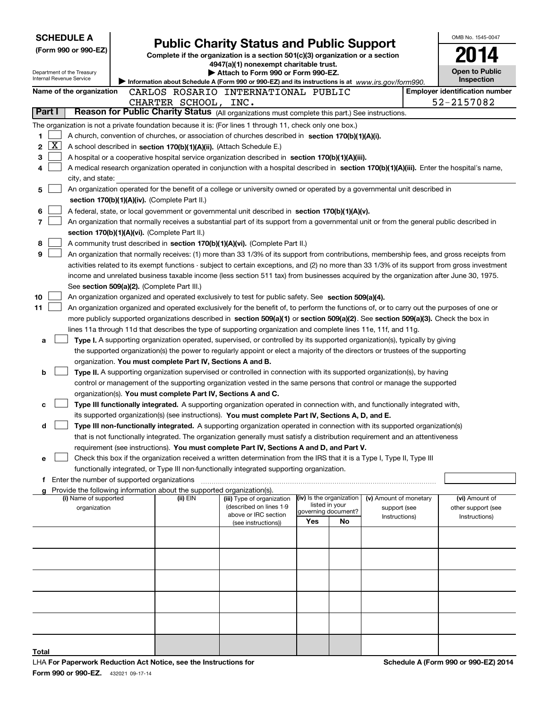| <b>SCHEDULE A</b>                                      |                                                                                                                                                                                                                                                                                        |                                                                                                                                  |     |                                            |                                        |  | OMB No. 1545-0047                     |  |
|--------------------------------------------------------|----------------------------------------------------------------------------------------------------------------------------------------------------------------------------------------------------------------------------------------------------------------------------------------|----------------------------------------------------------------------------------------------------------------------------------|-----|--------------------------------------------|----------------------------------------|--|---------------------------------------|--|
| (Form 990 or 990-EZ)                                   |                                                                                                                                                                                                                                                                                        | <b>Public Charity Status and Public Support</b><br>Complete if the organization is a section 501(c)(3) organization or a section |     |                                            |                                        |  |                                       |  |
|                                                        |                                                                                                                                                                                                                                                                                        | 4947(a)(1) nonexempt charitable trust.                                                                                           |     |                                            |                                        |  |                                       |  |
| Department of the Treasury<br>Internal Revenue Service | Information about Schedule A (Form 990 or 990-EZ) and its instructions is at www.irs.gov/form990.                                                                                                                                                                                      | Attach to Form 990 or Form 990-EZ.                                                                                               |     |                                            |                                        |  | <b>Open to Public</b><br>Inspection   |  |
| Name of the organization                               | CARLOS ROSARIO INTERNATIONAL PUBLIC                                                                                                                                                                                                                                                    |                                                                                                                                  |     |                                            |                                        |  | <b>Employer identification number</b> |  |
|                                                        | CHARTER SCHOOL, INC.                                                                                                                                                                                                                                                                   |                                                                                                                                  |     |                                            |                                        |  | 52-2157082                            |  |
| Part I                                                 | Reason for Public Charity Status (All organizations must complete this part.) See instructions.                                                                                                                                                                                        |                                                                                                                                  |     |                                            |                                        |  |                                       |  |
|                                                        | The organization is not a private foundation because it is: (For lines 1 through 11, check only one box.)                                                                                                                                                                              |                                                                                                                                  |     |                                            |                                        |  |                                       |  |
| 1                                                      | A church, convention of churches, or association of churches described in section 170(b)(1)(A)(i).                                                                                                                                                                                     |                                                                                                                                  |     |                                            |                                        |  |                                       |  |
| $\overline{\text{X}}$<br>2                             | A school described in section 170(b)(1)(A)(ii). (Attach Schedule E.)                                                                                                                                                                                                                   |                                                                                                                                  |     |                                            |                                        |  |                                       |  |
| 3                                                      | A hospital or a cooperative hospital service organization described in section 170(b)(1)(A)(iii).                                                                                                                                                                                      |                                                                                                                                  |     |                                            |                                        |  |                                       |  |
| 4<br>city, and state:                                  | A medical research organization operated in conjunction with a hospital described in section 170(b)(1)(A)(iii). Enter the hospital's name,                                                                                                                                             |                                                                                                                                  |     |                                            |                                        |  |                                       |  |
| 5                                                      | An organization operated for the benefit of a college or university owned or operated by a governmental unit described in                                                                                                                                                              |                                                                                                                                  |     |                                            |                                        |  |                                       |  |
|                                                        | section 170(b)(1)(A)(iv). (Complete Part II.)                                                                                                                                                                                                                                          |                                                                                                                                  |     |                                            |                                        |  |                                       |  |
| 6                                                      | A federal, state, or local government or governmental unit described in section 170(b)(1)(A)(v).                                                                                                                                                                                       |                                                                                                                                  |     |                                            |                                        |  |                                       |  |
| $\overline{\phantom{a}}$                               | An organization that normally receives a substantial part of its support from a governmental unit or from the general public described in                                                                                                                                              |                                                                                                                                  |     |                                            |                                        |  |                                       |  |
|                                                        | section 170(b)(1)(A)(vi). (Complete Part II.)                                                                                                                                                                                                                                          |                                                                                                                                  |     |                                            |                                        |  |                                       |  |
| 8                                                      | A community trust described in section 170(b)(1)(A)(vi). (Complete Part II.)                                                                                                                                                                                                           |                                                                                                                                  |     |                                            |                                        |  |                                       |  |
| 9                                                      | An organization that normally receives: (1) more than 33 1/3% of its support from contributions, membership fees, and gross receipts from                                                                                                                                              |                                                                                                                                  |     |                                            |                                        |  |                                       |  |
|                                                        | activities related to its exempt functions - subject to certain exceptions, and (2) no more than 33 1/3% of its support from gross investment<br>income and unrelated business taxable income (less section 511 tax) from businesses acquired by the organization after June 30, 1975. |                                                                                                                                  |     |                                            |                                        |  |                                       |  |
|                                                        | See section 509(a)(2). (Complete Part III.)                                                                                                                                                                                                                                            |                                                                                                                                  |     |                                            |                                        |  |                                       |  |
| 10                                                     | An organization organized and operated exclusively to test for public safety. See section 509(a)(4).                                                                                                                                                                                   |                                                                                                                                  |     |                                            |                                        |  |                                       |  |
| 11                                                     | An organization organized and operated exclusively for the benefit of, to perform the functions of, or to carry out the purposes of one or                                                                                                                                             |                                                                                                                                  |     |                                            |                                        |  |                                       |  |
|                                                        | more publicly supported organizations described in section 509(a)(1) or section 509(a)(2). See section 509(a)(3). Check the box in                                                                                                                                                     |                                                                                                                                  |     |                                            |                                        |  |                                       |  |
|                                                        | lines 11a through 11d that describes the type of supporting organization and complete lines 11e, 11f, and 11g.                                                                                                                                                                         |                                                                                                                                  |     |                                            |                                        |  |                                       |  |
| a                                                      | Type I. A supporting organization operated, supervised, or controlled by its supported organization(s), typically by giving                                                                                                                                                            |                                                                                                                                  |     |                                            |                                        |  |                                       |  |
|                                                        | the supported organization(s) the power to regularly appoint or elect a majority of the directors or trustees of the supporting                                                                                                                                                        |                                                                                                                                  |     |                                            |                                        |  |                                       |  |
| b                                                      | organization. You must complete Part IV, Sections A and B.<br>Type II. A supporting organization supervised or controlled in connection with its supported organization(s), by having                                                                                                  |                                                                                                                                  |     |                                            |                                        |  |                                       |  |
|                                                        | control or management of the supporting organization vested in the same persons that control or manage the supported                                                                                                                                                                   |                                                                                                                                  |     |                                            |                                        |  |                                       |  |
|                                                        | organization(s). You must complete Part IV, Sections A and C.                                                                                                                                                                                                                          |                                                                                                                                  |     |                                            |                                        |  |                                       |  |
| c                                                      | Type III functionally integrated. A supporting organization operated in connection with, and functionally integrated with,                                                                                                                                                             |                                                                                                                                  |     |                                            |                                        |  |                                       |  |
|                                                        | its supported organization(s) (see instructions). You must complete Part IV, Sections A, D, and E.                                                                                                                                                                                     |                                                                                                                                  |     |                                            |                                        |  |                                       |  |
| d                                                      | Type III non-functionally integrated. A supporting organization operated in connection with its supported organization(s)                                                                                                                                                              |                                                                                                                                  |     |                                            |                                        |  |                                       |  |
|                                                        | that is not functionally integrated. The organization generally must satisfy a distribution requirement and an attentiveness                                                                                                                                                           |                                                                                                                                  |     |                                            |                                        |  |                                       |  |
|                                                        | requirement (see instructions). You must complete Part IV, Sections A and D, and Part V.<br>Check this box if the organization received a written determination from the IRS that it is a Type I, Type II, Type III                                                                    |                                                                                                                                  |     |                                            |                                        |  |                                       |  |
| е                                                      | functionally integrated, or Type III non-functionally integrated supporting organization.                                                                                                                                                                                              |                                                                                                                                  |     |                                            |                                        |  |                                       |  |
|                                                        | f Enter the number of supported organizations                                                                                                                                                                                                                                          |                                                                                                                                  |     |                                            |                                        |  |                                       |  |
|                                                        | Provide the following information about the supported organization(s).                                                                                                                                                                                                                 |                                                                                                                                  |     |                                            |                                        |  |                                       |  |
| (i) Name of supported<br>organization                  | $(ii)$ EIN                                                                                                                                                                                                                                                                             | (iii) Type of organization<br>(described on lines 1-9                                                                            |     | (iv) Is the organization<br>listed in your | (v) Amount of monetary<br>support (see |  | (vi) Amount of<br>other support (see  |  |
|                                                        |                                                                                                                                                                                                                                                                                        | above or IRC section                                                                                                             |     | governing document?                        | Instructions)                          |  | Instructions)                         |  |
|                                                        |                                                                                                                                                                                                                                                                                        | (see instructions))                                                                                                              | Yes | No                                         |                                        |  |                                       |  |
|                                                        |                                                                                                                                                                                                                                                                                        |                                                                                                                                  |     |                                            |                                        |  |                                       |  |
|                                                        |                                                                                                                                                                                                                                                                                        |                                                                                                                                  |     |                                            |                                        |  |                                       |  |
|                                                        |                                                                                                                                                                                                                                                                                        |                                                                                                                                  |     |                                            |                                        |  |                                       |  |
|                                                        |                                                                                                                                                                                                                                                                                        |                                                                                                                                  |     |                                            |                                        |  |                                       |  |
|                                                        |                                                                                                                                                                                                                                                                                        |                                                                                                                                  |     |                                            |                                        |  |                                       |  |
|                                                        |                                                                                                                                                                                                                                                                                        |                                                                                                                                  |     |                                            |                                        |  |                                       |  |
|                                                        |                                                                                                                                                                                                                                                                                        |                                                                                                                                  |     |                                            |                                        |  |                                       |  |
|                                                        |                                                                                                                                                                                                                                                                                        |                                                                                                                                  |     |                                            |                                        |  |                                       |  |
|                                                        |                                                                                                                                                                                                                                                                                        |                                                                                                                                  |     |                                            |                                        |  |                                       |  |
| Total                                                  |                                                                                                                                                                                                                                                                                        |                                                                                                                                  |     |                                            |                                        |  |                                       |  |
|                                                        | بمناوي وسلموا موالا مممر ومناويا المرار ومناوباتهم                                                                                                                                                                                                                                     |                                                                                                                                  |     |                                            |                                        |  | Cabadula A (Fauna 000 av 000 EZ) 0044 |  |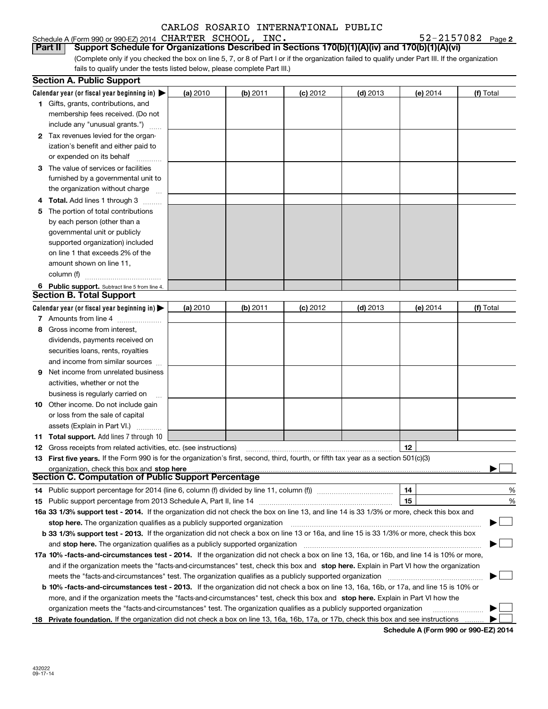Schedule A (Form 990 or 990-EZ) 2014 Page CHARTER SCHOOL, INC. 52-2157082

**2**

(Complete only if you checked the box on line 5, 7, or 8 of Part I or if the organization failed to qualify under Part III. If the organization fails to qualify under the tests listed below, please complete Part III.) **Part II Support Schedule for Organizations Described in Sections 170(b)(1)(A)(iv) and 170(b)(1)(A)(vi)**

|    | <b>Section A. Public Support</b>                                                                                                               |          |          |                 |            |          |           |
|----|------------------------------------------------------------------------------------------------------------------------------------------------|----------|----------|-----------------|------------|----------|-----------|
|    | Calendar year (or fiscal year beginning in) $\blacktriangleright$                                                                              | (a) 2010 | (b) 2011 | <b>(c)</b> 2012 | $(d)$ 2013 | (e) 2014 | (f) Total |
|    | <b>1</b> Gifts, grants, contributions, and                                                                                                     |          |          |                 |            |          |           |
|    | membership fees received. (Do not                                                                                                              |          |          |                 |            |          |           |
|    | include any "unusual grants.")                                                                                                                 |          |          |                 |            |          |           |
|    | 2 Tax revenues levied for the organ-                                                                                                           |          |          |                 |            |          |           |
|    | ization's benefit and either paid to                                                                                                           |          |          |                 |            |          |           |
|    | or expended on its behalf                                                                                                                      |          |          |                 |            |          |           |
|    | 3 The value of services or facilities                                                                                                          |          |          |                 |            |          |           |
|    | furnished by a governmental unit to                                                                                                            |          |          |                 |            |          |           |
|    | the organization without charge                                                                                                                |          |          |                 |            |          |           |
|    | <b>Total.</b> Add lines 1 through 3                                                                                                            |          |          |                 |            |          |           |
| 5. | The portion of total contributions                                                                                                             |          |          |                 |            |          |           |
|    | by each person (other than a                                                                                                                   |          |          |                 |            |          |           |
|    | governmental unit or publicly                                                                                                                  |          |          |                 |            |          |           |
|    | supported organization) included                                                                                                               |          |          |                 |            |          |           |
|    | on line 1 that exceeds 2% of the                                                                                                               |          |          |                 |            |          |           |
|    | amount shown on line 11,                                                                                                                       |          |          |                 |            |          |           |
|    | column (f)                                                                                                                                     |          |          |                 |            |          |           |
|    | 6 Public support. Subtract line 5 from line 4.                                                                                                 |          |          |                 |            |          |           |
|    | <b>Section B. Total Support</b>                                                                                                                |          |          |                 |            |          |           |
|    | Calendar year (or fiscal year beginning in)                                                                                                    | (a) 2010 | (b) 2011 | $(c)$ 2012      | $(d)$ 2013 | (e) 2014 | (f) Total |
|    | 7 Amounts from line 4                                                                                                                          |          |          |                 |            |          |           |
| 8  | Gross income from interest,                                                                                                                    |          |          |                 |            |          |           |
|    | dividends, payments received on                                                                                                                |          |          |                 |            |          |           |
|    | securities loans, rents, royalties                                                                                                             |          |          |                 |            |          |           |
|    | and income from similar sources                                                                                                                |          |          |                 |            |          |           |
| 9. | Net income from unrelated business                                                                                                             |          |          |                 |            |          |           |
|    | activities, whether or not the                                                                                                                 |          |          |                 |            |          |           |
|    | business is regularly carried on                                                                                                               |          |          |                 |            |          |           |
|    | <b>10</b> Other income. Do not include gain                                                                                                    |          |          |                 |            |          |           |
|    | or loss from the sale of capital                                                                                                               |          |          |                 |            |          |           |
|    | assets (Explain in Part VI.)                                                                                                                   |          |          |                 |            |          |           |
|    | 11 Total support. Add lines 7 through 10                                                                                                       |          |          |                 |            |          |           |
|    | <b>12</b> Gross receipts from related activities, etc. (see instructions)                                                                      |          |          |                 |            | 12       |           |
|    | 13 First five years. If the Form 990 is for the organization's first, second, third, fourth, or fifth tax year as a section 501(c)(3)          |          |          |                 |            |          |           |
|    | organization, check this box and stop here                                                                                                     |          |          |                 |            |          |           |
|    | <b>Section C. Computation of Public Support Percentage</b>                                                                                     |          |          |                 |            |          |           |
|    | 14 Public support percentage for 2014 (line 6, column (f) divided by line 11, column (f) <i>mummumumum</i>                                     |          |          |                 |            | 14       | %         |
|    |                                                                                                                                                |          |          |                 |            | 15       | %         |
|    | 16a 33 1/3% support test - 2014. If the organization did not check the box on line 13, and line 14 is 33 1/3% or more, check this box and      |          |          |                 |            |          |           |
|    | stop here. The organization qualifies as a publicly supported organization                                                                     |          |          |                 |            |          |           |
|    | b 33 1/3% support test - 2013. If the organization did not check a box on line 13 or 16a, and line 15 is 33 1/3% or more, check this box       |          |          |                 |            |          |           |
|    | and stop here. The organization qualifies as a publicly supported organization                                                                 |          |          |                 |            |          |           |
|    | 17a 10% -facts-and-circumstances test - 2014. If the organization did not check a box on line 13, 16a, or 16b, and line 14 is 10% or more,     |          |          |                 |            |          |           |
|    | and if the organization meets the "facts-and-circumstances" test, check this box and stop here. Explain in Part VI how the organization        |          |          |                 |            |          |           |
|    | meets the "facts-and-circumstances" test. The organization qualifies as a publicly supported organization                                      |          |          |                 |            |          |           |
|    | <b>b 10% -facts-and-circumstances test - 2013.</b> If the organization did not check a box on line 13, 16a, 16b, or 17a, and line 15 is 10% or |          |          |                 |            |          |           |
|    | more, and if the organization meets the "facts-and-circumstances" test, check this box and stop here. Explain in Part VI how the               |          |          |                 |            |          |           |
|    | organization meets the "facts-and-circumstances" test. The organization qualifies as a publicly supported organization                         |          |          |                 |            |          |           |
|    | 18 Private foundation. If the organization did not check a box on line 13, 16a, 16b, 17a, or 17b, check this box and see instructions          |          |          |                 |            |          |           |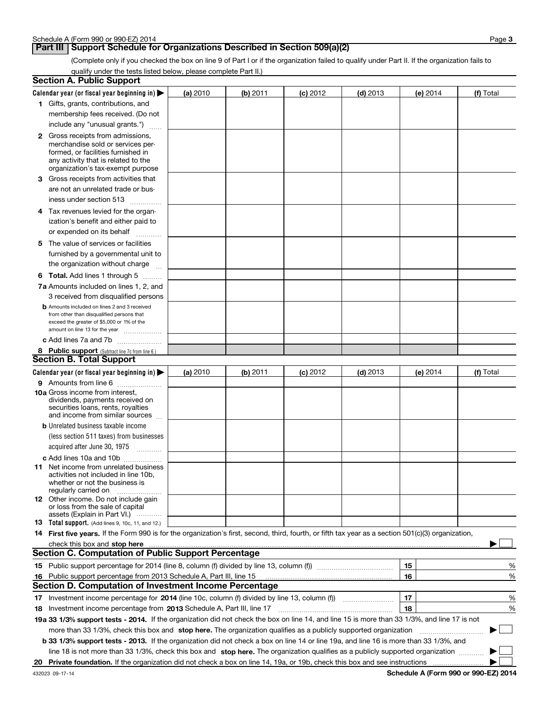## **Part III Support Schedule for Organizations Described in Section 509(a)(2)**

(Complete only if you checked the box on line 9 of Part I or if the organization failed to qualify under Part II. If the organization fails to qualify under the tests listed below, please complete Part II.)

| Section A. Public Support                                                                                                                                                                                                               |          |          |            |            |          |             |
|-----------------------------------------------------------------------------------------------------------------------------------------------------------------------------------------------------------------------------------------|----------|----------|------------|------------|----------|-------------|
| Calendar year (or fiscal year beginning in) $\blacktriangleright$                                                                                                                                                                       | (a) 2010 | (b) 2011 | $(c)$ 2012 | $(d)$ 2013 | (e) 2014 | (f) Total   |
| 1 Gifts, grants, contributions, and                                                                                                                                                                                                     |          |          |            |            |          |             |
| membership fees received. (Do not                                                                                                                                                                                                       |          |          |            |            |          |             |
| include any "unusual grants.")                                                                                                                                                                                                          |          |          |            |            |          |             |
| <b>2</b> Gross receipts from admissions,                                                                                                                                                                                                |          |          |            |            |          |             |
| merchandise sold or services per-                                                                                                                                                                                                       |          |          |            |            |          |             |
| formed, or facilities furnished in                                                                                                                                                                                                      |          |          |            |            |          |             |
| any activity that is related to the<br>organization's tax-exempt purpose                                                                                                                                                                |          |          |            |            |          |             |
| <b>3</b> Gross receipts from activities that                                                                                                                                                                                            |          |          |            |            |          |             |
| are not an unrelated trade or bus-                                                                                                                                                                                                      |          |          |            |            |          |             |
| iness under section 513                                                                                                                                                                                                                 |          |          |            |            |          |             |
|                                                                                                                                                                                                                                         |          |          |            |            |          |             |
| 4 Tax revenues levied for the organ-                                                                                                                                                                                                    |          |          |            |            |          |             |
| ization's benefit and either paid to                                                                                                                                                                                                    |          |          |            |            |          |             |
| or expended on its behalf<br>.                                                                                                                                                                                                          |          |          |            |            |          |             |
| 5 The value of services or facilities                                                                                                                                                                                                   |          |          |            |            |          |             |
| furnished by a governmental unit to                                                                                                                                                                                                     |          |          |            |            |          |             |
| the organization without charge                                                                                                                                                                                                         |          |          |            |            |          |             |
| <b>6 Total.</b> Add lines 1 through 5                                                                                                                                                                                                   |          |          |            |            |          |             |
| 7a Amounts included on lines 1, 2, and                                                                                                                                                                                                  |          |          |            |            |          |             |
| 3 received from disqualified persons                                                                                                                                                                                                    |          |          |            |            |          |             |
| <b>b</b> Amounts included on lines 2 and 3 received<br>from other than disqualified persons that                                                                                                                                        |          |          |            |            |          |             |
| exceed the greater of \$5,000 or 1% of the                                                                                                                                                                                              |          |          |            |            |          |             |
| amount on line 13 for the year                                                                                                                                                                                                          |          |          |            |            |          |             |
| c Add lines 7a and 7b                                                                                                                                                                                                                   |          |          |            |            |          |             |
| 8 Public support (Subtract line 7c from line 6.)                                                                                                                                                                                        |          |          |            |            |          |             |
| <b>Section B. Total Support</b>                                                                                                                                                                                                         |          |          |            |            |          |             |
| Calendar year (or fiscal year beginning in) $\blacktriangleright$                                                                                                                                                                       | (a) 2010 | (b) 2011 | $(c)$ 2012 | $(d)$ 2013 | (e) 2014 | (f) Total   |
| 9 Amounts from line 6                                                                                                                                                                                                                   |          |          |            |            |          |             |
| 10a Gross income from interest,                                                                                                                                                                                                         |          |          |            |            |          |             |
| dividends, payments received on<br>securities loans, rents, royalties                                                                                                                                                                   |          |          |            |            |          |             |
| and income from similar sources                                                                                                                                                                                                         |          |          |            |            |          |             |
| <b>b</b> Unrelated business taxable income                                                                                                                                                                                              |          |          |            |            |          |             |
| (less section 511 taxes) from businesses                                                                                                                                                                                                |          |          |            |            |          |             |
| acquired after June 30, 1975                                                                                                                                                                                                            |          |          |            |            |          |             |
| c Add lines 10a and 10b                                                                                                                                                                                                                 |          |          |            |            |          |             |
| <b>11</b> Net income from unrelated business                                                                                                                                                                                            |          |          |            |            |          |             |
| activities not included in line 10b,                                                                                                                                                                                                    |          |          |            |            |          |             |
| whether or not the business is<br>regularly carried on                                                                                                                                                                                  |          |          |            |            |          |             |
| 12 Other income. Do not include gain                                                                                                                                                                                                    |          |          |            |            |          |             |
| or loss from the sale of capital                                                                                                                                                                                                        |          |          |            |            |          |             |
| assets (Explain in Part VI.)<br>13 Total support. (Add lines 9, 10c, 11, and 12.)                                                                                                                                                       |          |          |            |            |          |             |
| 14 First five years. If the Form 990 is for the organization's first, second, third, fourth, or fifth tax year as a section 501(c)(3) organization,                                                                                     |          |          |            |            |          |             |
| check this box and stop here <b>construction and construction</b> construction and stop here <b>constructed</b> and stop here <b>constructed</b> and <b>stop here construction construction construction construction construction </b> |          |          |            |            |          |             |
| <b>Section C. Computation of Public Support Percentage</b>                                                                                                                                                                              |          |          |            |            |          |             |
|                                                                                                                                                                                                                                         |          |          |            |            | 15       | %           |
| 16 Public support percentage from 2013 Schedule A, Part III, line 15                                                                                                                                                                    |          |          |            |            | 16       | %           |
| Section D. Computation of Investment Income Percentage                                                                                                                                                                                  |          |          |            |            |          |             |
| 17 Investment income percentage for 2014 (line 10c, column (f) divided by line 13, column (f))                                                                                                                                          |          |          |            |            | 17       | %           |
| 18 Investment income percentage from 2013 Schedule A, Part III, line 17                                                                                                                                                                 |          |          |            |            | 18       | %           |
| 19a 33 1/3% support tests - 2014. If the organization did not check the box on line 14, and line 15 is more than 33 1/3%, and line 17 is not                                                                                            |          |          |            |            |          |             |
| more than 33 1/3%, check this box and stop here. The organization qualifies as a publicly supported organization                                                                                                                        |          |          |            |            |          | $\sim$<br>▶ |
| <b>b 33 1/3% support tests - 2013.</b> If the organization did not check a box on line 14 or line 19a, and line 16 is more than 33 1/3%, and                                                                                            |          |          |            |            |          |             |
|                                                                                                                                                                                                                                         |          |          |            |            |          |             |
| line 18 is not more than 33 1/3%, check this box and stop here. The organization qualifies as a publicly supported organization                                                                                                         |          |          |            |            |          |             |
|                                                                                                                                                                                                                                         |          |          |            |            |          |             |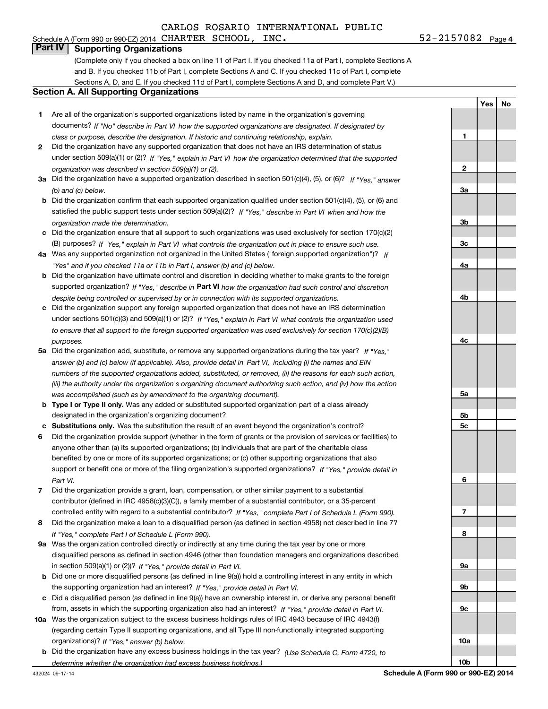## **Part IV Supporting Organizations**

(Complete only if you checked a box on line 11 of Part I. If you checked 11a of Part I, complete Sections A and B. If you checked 11b of Part I, complete Sections A and C. If you checked 11c of Part I, complete Sections A, D, and E. If you checked 11d of Part I, complete Sections A and D, and complete Part V.)

#### **Section A. All Supporting Organizations**

- **1** Are all of the organization's supported organizations listed by name in the organization's governing *If "No" describe in how the supported organizations are designated. If designated by* documents? *Part VI class or purpose, describe the designation. If historic and continuing relationship, explain.*
- **2** Did the organization have any supported organization that does not have an IRS determination of status under section 509(a)(1) or (2)? If "Yes," explain in Part VI how the organization determined that the supported *organization was described in section 509(a)(1) or (2).*
- **3a** Did the organization have a supported organization described in section 501(c)(4), (5), or (6)? If "Yes," answer *(b) and (c) below.*
- **b** Did the organization confirm that each supported organization qualified under section 501(c)(4), (5), or (6) and satisfied the public support tests under section 509(a)(2)? If "Yes," describe in Part VI when and how the *organization made the determination.*
- **c**Did the organization ensure that all support to such organizations was used exclusively for section 170(c)(2) (B) purposes? If "Yes," explain in Part VI what controls the organization put in place to ensure such use.
- **4a***If* Was any supported organization not organized in the United States ("foreign supported organization")? *"Yes" and if you checked 11a or 11b in Part I, answer (b) and (c) below.*
- **b** Did the organization have ultimate control and discretion in deciding whether to make grants to the foreign supported organization? If "Yes," describe in **Part VI** how the organization had such control and discretion *despite being controlled or supervised by or in connection with its supported organizations.*
- **c** Did the organization support any foreign supported organization that does not have an IRS determination under sections 501(c)(3) and 509(a)(1) or (2)? If "Yes," explain in Part VI what controls the organization used *to ensure that all support to the foreign supported organization was used exclusively for section 170(c)(2)(B) purposes.*
- **5a***If "Yes,"* Did the organization add, substitute, or remove any supported organizations during the tax year? answer (b) and (c) below (if applicable). Also, provide detail in Part VI, including (i) the names and EIN *numbers of the supported organizations added, substituted, or removed, (ii) the reasons for each such action, (iii) the authority under the organization's organizing document authorizing such action, and (iv) how the action was accomplished (such as by amendment to the organizing document).*
- **b** Type I or Type II only. Was any added or substituted supported organization part of a class already designated in the organization's organizing document?
- **cSubstitutions only.**  Was the substitution the result of an event beyond the organization's control?
- **6** Did the organization provide support (whether in the form of grants or the provision of services or facilities) to *If "Yes," provide detail in* support or benefit one or more of the filing organization's supported organizations? anyone other than (a) its supported organizations; (b) individuals that are part of the charitable class benefited by one or more of its supported organizations; or (c) other supporting organizations that also *Part VI.*
- **7**Did the organization provide a grant, loan, compensation, or other similar payment to a substantial *If "Yes," complete Part I of Schedule L (Form 990).* controlled entity with regard to a substantial contributor? contributor (defined in IRC 4958(c)(3)(C)), a family member of a substantial contributor, or a 35-percent
- **8** Did the organization make a loan to a disqualified person (as defined in section 4958) not described in line 7? *If "Yes," complete Part I of Schedule L (Form 990).*
- **9a** Was the organization controlled directly or indirectly at any time during the tax year by one or more in section 509(a)(1) or (2))? If "Yes," *provide detail in Part VI.* disqualified persons as defined in section 4946 (other than foundation managers and organizations described
- **b** Did one or more disqualified persons (as defined in line 9(a)) hold a controlling interest in any entity in which the supporting organization had an interest? If "Yes," provide detail in Part VI.
- **c** Did a disqualified person (as defined in line 9(a)) have an ownership interest in, or derive any personal benefit from, assets in which the supporting organization also had an interest? If "Yes," provide detail in Part VI.
- **10a**Was the organization subject to the excess business holdings rules of IRC 4943 because of IRC 4943(f)  *If "Yes," answer (b) below.* organizations)? (regarding certain Type II supporting organizations, and all Type III non-functionally integrated supporting
- **b** Did the organization have any excess business holdings in the tax year? (Use Schedule C, Form 4720, to *determine whether the organization had excess business holdings.)*

432024 09-17-14

**Schedule A (Form 990 or 990-EZ) 2014**

**1**

**2**

**3a**

**3b**

**3c**

**4a**

**4b**

**4c**

**5a**

**5b5c**

**6**

**7**

**8**

**9a**

**9b**

**9c**

**10a**

**10b**

**YesNo**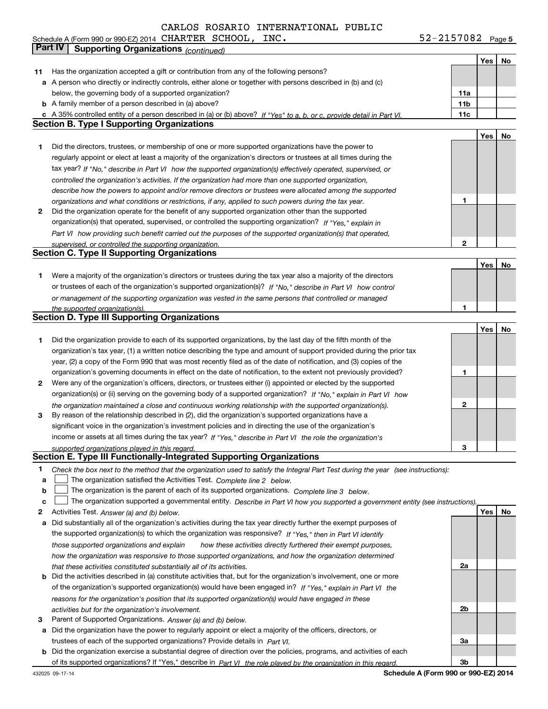Schedule A (Form 990 or 990-EZ) 2014 CHARTER SCHOOL, INC。 52-2157082 Page CHARTER SCHOOL,  $INC.$   $52-2157082$ 

**5**

|    | Part IV<br><b>Supporting Organizations (continued)</b>                                                                            |                 |     |    |
|----|-----------------------------------------------------------------------------------------------------------------------------------|-----------------|-----|----|
|    |                                                                                                                                   |                 | Yes | No |
| 11 | Has the organization accepted a gift or contribution from any of the following persons?                                           |                 |     |    |
|    | a A person who directly or indirectly controls, either alone or together with persons described in (b) and (c)                    |                 |     |    |
|    | below, the governing body of a supported organization?                                                                            | 11a             |     |    |
|    | <b>b</b> A family member of a person described in (a) above?                                                                      | 11 <sub>b</sub> |     |    |
|    | c A 35% controlled entity of a person described in (a) or (b) above? If "Yes" to a, b, or c, provide detail in Part VI.           | 11c             |     |    |
|    | <b>Section B. Type I Supporting Organizations</b>                                                                                 |                 |     |    |
|    |                                                                                                                                   |                 | Yes | No |
| 1  | Did the directors, trustees, or membership of one or more supported organizations have the power to                               |                 |     |    |
|    | regularly appoint or elect at least a majority of the organization's directors or trustees at all times during the                |                 |     |    |
|    | tax year? If "No," describe in Part VI how the supported organization(s) effectively operated, supervised, or                     |                 |     |    |
|    | controlled the organization's activities. If the organization had more than one supported organization,                           |                 |     |    |
|    | describe how the powers to appoint and/or remove directors or trustees were allocated among the supported                         |                 |     |    |
|    | organizations and what conditions or restrictions, if any, applied to such powers during the tax year.                            | 1               |     |    |
| 2  | Did the organization operate for the benefit of any supported organization other than the supported                               |                 |     |    |
|    | organization(s) that operated, supervised, or controlled the supporting organization? If "Yes," explain in                        |                 |     |    |
|    |                                                                                                                                   |                 |     |    |
|    | Part VI how providing such benefit carried out the purposes of the supported organization(s) that operated,                       | 2               |     |    |
|    | supervised, or controlled the supporting organization.<br><b>Section C. Type II Supporting Organizations</b>                      |                 |     |    |
|    |                                                                                                                                   |                 |     |    |
|    |                                                                                                                                   |                 | Yes | No |
| 1  | Were a majority of the organization's directors or trustees during the tax year also a majority of the directors                  |                 |     |    |
|    | or trustees of each of the organization's supported organization(s)? If "No," describe in Part VI how control                     |                 |     |    |
|    | or management of the supporting organization was vested in the same persons that controlled or managed                            |                 |     |    |
|    | the supported organization(s).                                                                                                    | 1               |     |    |
|    | <b>Section D. Type III Supporting Organizations</b>                                                                               |                 |     |    |
|    |                                                                                                                                   |                 | Yes | No |
| 1  | Did the organization provide to each of its supported organizations, by the last day of the fifth month of the                    |                 |     |    |
|    | organization's tax year, (1) a written notice describing the type and amount of support provided during the prior tax             |                 |     |    |
|    | year, (2) a copy of the Form 990 that was most recently filed as of the date of notification, and (3) copies of the               |                 |     |    |
|    | organization's governing documents in effect on the date of notification, to the extent not previously provided?                  | 1               |     |    |
| 2  | Were any of the organization's officers, directors, or trustees either (i) appointed or elected by the supported                  |                 |     |    |
|    | organization(s) or (ii) serving on the governing body of a supported organization? If "No," explain in Part VI how                |                 |     |    |
|    | the organization maintained a close and continuous working relationship with the supported organization(s).                       | 2               |     |    |
| 3  | By reason of the relationship described in (2), did the organization's supported organizations have a                             |                 |     |    |
|    | significant voice in the organization's investment policies and in directing the use of the organization's                        |                 |     |    |
|    | income or assets at all times during the tax year? If "Yes," describe in Part VI the role the organization's                      |                 |     |    |
|    | supported organizations played in this regard.                                                                                    | 3               |     |    |
|    | Section E. Type III Functionally-Integrated Supporting Organizations                                                              |                 |     |    |
| 1  | Check the box next to the method that the organization used to satisfy the Integral Part Test during the year (see instructions): |                 |     |    |
| a  | The organization satisfied the Activities Test. Complete line 2 below.                                                            |                 |     |    |
| b  | The organization is the parent of each of its supported organizations. Complete line 3 below.                                     |                 |     |    |
| c  | The organization supported a governmental entity. Describe in Part VI how you supported a government entity (see instructions).   |                 |     |    |
| 2  | Activities Test. Answer (a) and (b) below.                                                                                        |                 | Yes | No |
| a  | Did substantially all of the organization's activities during the tax year directly further the exempt purposes of                |                 |     |    |
|    | the supported organization(s) to which the organization was responsive? If "Yes," then in Part VI identify                        |                 |     |    |
|    | those supported organizations and explain<br>how these activities directly furthered their exempt purposes,                       |                 |     |    |
|    | how the organization was responsive to those supported organizations, and how the organization determined                         |                 |     |    |
|    | that these activities constituted substantially all of its activities.                                                            | 2a              |     |    |
|    | <b>b</b> Did the activities described in (a) constitute activities that, but for the organization's involvement, one or more      |                 |     |    |
|    | of the organization's supported organization(s) would have been engaged in? If "Yes," explain in Part VI the                      |                 |     |    |
|    | reasons for the organization's position that its supported organization(s) would have engaged in these                            |                 |     |    |
|    | activities but for the organization's involvement.                                                                                | 2b              |     |    |
| 3  | Parent of Supported Organizations. Answer (a) and (b) below.                                                                      |                 |     |    |
| а  | Did the organization have the power to regularly appoint or elect a majority of the officers, directors, or                       |                 |     |    |
|    | trustees of each of the supported organizations? Provide details in Part VI.                                                      | За              |     |    |
|    |                                                                                                                                   |                 |     |    |
|    | <b>b</b> Did the organization exercise a substantial degree of direction over the policies, programs, and activities of each      | Зb              |     |    |
|    | of its supported organizations? If "Yes," describe in Part VI the role played by the organization in this regard.                 |                 |     |    |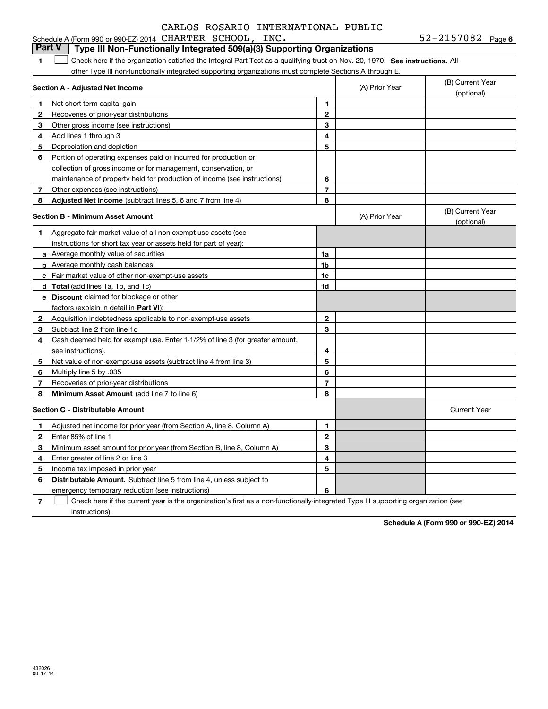|                | Schedule A (Form 990 or 990-EZ) 2014 CHARTER SCHOOL, INC.<br>Part V<br>Type III Non-Functionally Integrated 509(a)(3) Supporting Organizations |                         |                | $52 - 2157082$ Page 6          |
|----------------|------------------------------------------------------------------------------------------------------------------------------------------------|-------------------------|----------------|--------------------------------|
| 1              | Check here if the organization satisfied the Integral Part Test as a qualifying trust on Nov. 20, 1970. See instructions. All                  |                         |                |                                |
|                | other Type III non-functionally integrated supporting organizations must complete Sections A through E.                                        |                         |                |                                |
|                | Section A - Adjusted Net Income                                                                                                                |                         | (A) Prior Year | (B) Current Year<br>(optional) |
| 1              | Net short-term capital gain                                                                                                                    | 1                       |                |                                |
| 2              | Recoveries of prior-year distributions                                                                                                         | $\mathbf{2}$            |                |                                |
| 3              | Other gross income (see instructions)                                                                                                          | 3                       |                |                                |
| 4              | Add lines 1 through 3                                                                                                                          | 4                       |                |                                |
| 5              | Depreciation and depletion                                                                                                                     | 5                       |                |                                |
| 6              | Portion of operating expenses paid or incurred for production or                                                                               |                         |                |                                |
|                | collection of gross income or for management, conservation, or                                                                                 |                         |                |                                |
|                | maintenance of property held for production of income (see instructions)                                                                       | 6                       |                |                                |
| 7 <sup>7</sup> | Other expenses (see instructions)                                                                                                              | $\overline{7}$          |                |                                |
| 8              | Adjusted Net Income (subtract lines 5, 6 and 7 from line 4)                                                                                    | 8                       |                |                                |
|                | <b>Section B - Minimum Asset Amount</b>                                                                                                        |                         | (A) Prior Year | (B) Current Year<br>(optional) |
| 1              | Aggregate fair market value of all non-exempt-use assets (see                                                                                  |                         |                |                                |
|                | instructions for short tax year or assets held for part of year):                                                                              |                         |                |                                |
|                | <b>a</b> Average monthly value of securities                                                                                                   | 1a                      |                |                                |
|                | <b>b</b> Average monthly cash balances                                                                                                         | 1b                      |                |                                |
|                | c Fair market value of other non-exempt-use assets                                                                                             | 1c                      |                |                                |
|                | <b>d</b> Total (add lines 1a, 1b, and 1c)                                                                                                      | 1 <sub>d</sub>          |                |                                |
|                | <b>e</b> Discount claimed for blockage or other                                                                                                |                         |                |                                |
|                | factors (explain in detail in <b>Part VI</b> ):                                                                                                |                         |                |                                |
|                | <b>2</b> Acquisition indebtedness applicable to non-exempt-use assets                                                                          | $\mathbf{2}$            |                |                                |
| 3              | Subtract line 2 from line 1d                                                                                                                   | 3                       |                |                                |
| 4              | Cash deemed held for exempt use. Enter 1-1/2% of line 3 (for greater amount,                                                                   |                         |                |                                |
|                | see instructions).                                                                                                                             | 4                       |                |                                |
| 5              | Net value of non-exempt-use assets (subtract line 4 from line 3)                                                                               | 5                       |                |                                |
| 6              | Multiply line 5 by .035                                                                                                                        | 6                       |                |                                |
| 7              | Recoveries of prior-year distributions                                                                                                         | $\overline{7}$          |                |                                |
| 8              | Minimum Asset Amount (add line 7 to line 6)                                                                                                    | 8                       |                |                                |
|                | <b>Section C - Distributable Amount</b>                                                                                                        |                         |                | <b>Current Year</b>            |
| 1              | Adjusted net income for prior year (from Section A, line 8, Column A)                                                                          | 1                       |                |                                |
| $\mathbf{2}$   | Enter 85% of line 1                                                                                                                            | $\mathbf{2}$            |                |                                |
| 3              | Minimum asset amount for prior year (from Section B, line 8, Column A)                                                                         | 3                       |                |                                |
| 4              | Enter greater of line 2 or line 3                                                                                                              | $\overline{\mathbf{4}}$ |                |                                |
| 5              | Income tax imposed in prior year                                                                                                               | 5                       |                |                                |
| 6              | <b>Distributable Amount.</b> Subtract line 5 from line 4, unless subject to                                                                    |                         |                |                                |
|                | emergency temporary reduction (see instructions)                                                                                               | 6                       |                |                                |

**7**Check here if the current year is the organization's first as a non-functionally-integrated Type III supporting organization (see instructions).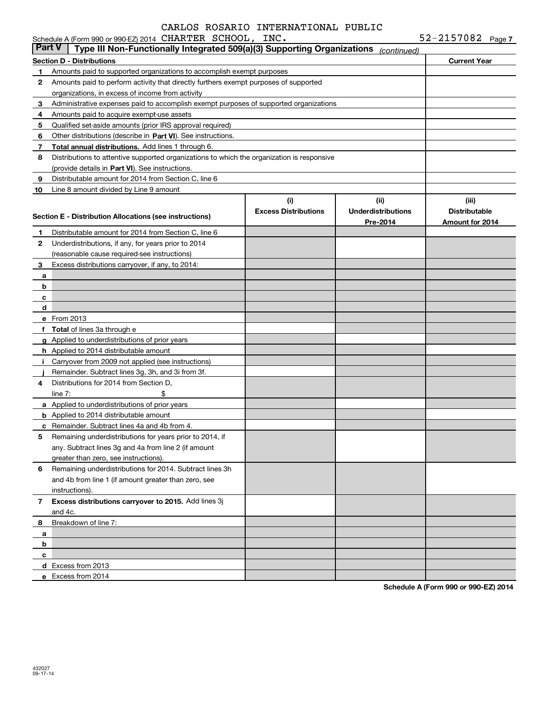|              | Schedule A (Form 990 or 990-EZ) 2014 CHARTER SCHOOL, INC.                                  |                             |                           | $52 - 2157082$ Page 7  |
|--------------|--------------------------------------------------------------------------------------------|-----------------------------|---------------------------|------------------------|
| Part V       | Type III Non-Functionally Integrated 509(a)(3) Supporting Organizations                    |                             | (continued)               |                        |
|              | <b>Section D - Distributions</b>                                                           |                             |                           | <b>Current Year</b>    |
| 1.           | Amounts paid to supported organizations to accomplish exempt purposes                      |                             |                           |                        |
| $\mathbf{2}$ | Amounts paid to perform activity that directly furthers exempt purposes of supported       |                             |                           |                        |
|              | organizations, in excess of income from activity                                           |                             |                           |                        |
| 3            | Administrative expenses paid to accomplish exempt purposes of supported organizations      |                             |                           |                        |
| 4            | Amounts paid to acquire exempt-use assets                                                  |                             |                           |                        |
| 5            | Qualified set-aside amounts (prior IRS approval required)                                  |                             |                           |                        |
| 6            | Other distributions (describe in Part VI). See instructions.                               |                             |                           |                        |
| 7            | Total annual distributions. Add lines 1 through 6.                                         |                             |                           |                        |
| 8            | Distributions to attentive supported organizations to which the organization is responsive |                             |                           |                        |
|              | (provide details in Part VI). See instructions.                                            |                             |                           |                        |
| 9            | Distributable amount for 2014 from Section C, line 6                                       |                             |                           |                        |
| 10           | Line 8 amount divided by Line 9 amount                                                     |                             |                           |                        |
|              |                                                                                            | (i)                         | (ii)                      | (iii)                  |
|              |                                                                                            | <b>Excess Distributions</b> | <b>Underdistributions</b> | <b>Distributable</b>   |
|              | Section E - Distribution Allocations (see instructions)                                    |                             | Pre-2014                  | <b>Amount for 2014</b> |
| 1            | Distributable amount for 2014 from Section C, line 6                                       |                             |                           |                        |
| $\mathbf{2}$ | Underdistributions, if any, for years prior to 2014                                        |                             |                           |                        |
|              | (reasonable cause required-see instructions)                                               |                             |                           |                        |
| 3            | Excess distributions carryover, if any, to 2014:                                           |                             |                           |                        |
| a            |                                                                                            |                             |                           |                        |
| b            |                                                                                            |                             |                           |                        |
| с            |                                                                                            |                             |                           |                        |
| d            |                                                                                            |                             |                           |                        |
|              | e From 2013                                                                                |                             |                           |                        |
|              | f Total of lines 3a through e                                                              |                             |                           |                        |
|              | g Applied to underdistributions of prior years                                             |                             |                           |                        |
|              | <b>h</b> Applied to 2014 distributable amount                                              |                             |                           |                        |
| Ť.           | Carryover from 2009 not applied (see instructions)                                         |                             |                           |                        |
|              | Remainder. Subtract lines 3g, 3h, and 3i from 3f.                                          |                             |                           |                        |
| 4            | Distributions for 2014 from Section D.                                                     |                             |                           |                        |
|              | \$<br>line $7:$                                                                            |                             |                           |                        |
|              | a Applied to underdistributions of prior years                                             |                             |                           |                        |
|              | <b>b</b> Applied to 2014 distributable amount                                              |                             |                           |                        |
|              | <b>c</b> Remainder. Subtract lines 4a and 4b from 4.                                       |                             |                           |                        |
|              | Remaining underdistributions for years prior to 2014, if                                   |                             |                           |                        |
|              | any. Subtract lines 3q and 4a from line 2 (if amount                                       |                             |                           |                        |
|              | greater than zero, see instructions).                                                      |                             |                           |                        |
| 6            | Remaining underdistributions for 2014. Subtract lines 3h                                   |                             |                           |                        |
|              | and 4b from line 1 (if amount greater than zero, see                                       |                             |                           |                        |
|              | instructions).                                                                             |                             |                           |                        |
| 7            | Excess distributions carryover to 2015. Add lines 3j                                       |                             |                           |                        |
|              | and 4c.                                                                                    |                             |                           |                        |
| 8            | Breakdown of line 7:                                                                       |                             |                           |                        |
| a            |                                                                                            |                             |                           |                        |
| b            |                                                                                            |                             |                           |                        |
| c            |                                                                                            |                             |                           |                        |
|              | d Excess from 2013                                                                         |                             |                           |                        |
|              | e Excess from 2014                                                                         |                             |                           |                        |
|              |                                                                                            |                             |                           |                        |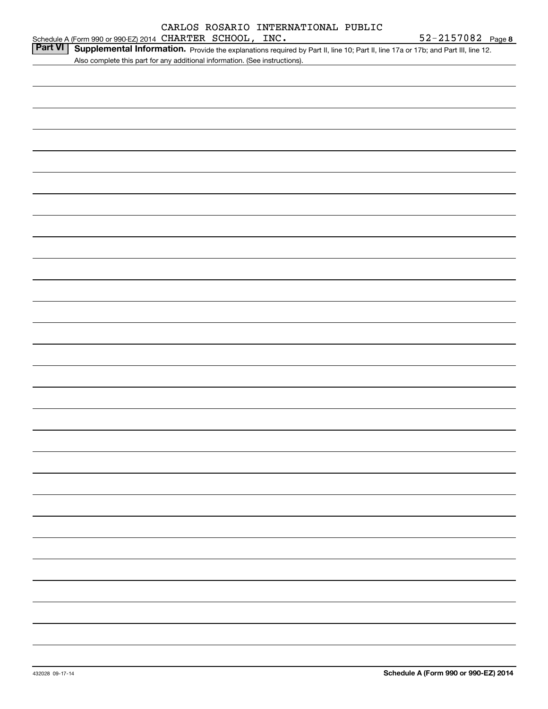|                |  | Schedule A (Form 990 or 990-EZ) 2014 CHARTER SCHOOL, INC.                   |                                                                                                                                   | 52-2157082 Page 8 |
|----------------|--|-----------------------------------------------------------------------------|-----------------------------------------------------------------------------------------------------------------------------------|-------------------|
| <b>Part VI</b> |  |                                                                             | Supplemental Information. Provide the explanations required by Part II, line 10; Part II, line 17a or 17b; and Part III, line 12. |                   |
|                |  | Also complete this part for any additional information. (See instructions). |                                                                                                                                   |                   |
|                |  |                                                                             |                                                                                                                                   |                   |
|                |  |                                                                             |                                                                                                                                   |                   |
|                |  |                                                                             |                                                                                                                                   |                   |
|                |  |                                                                             |                                                                                                                                   |                   |
|                |  |                                                                             |                                                                                                                                   |                   |
|                |  |                                                                             |                                                                                                                                   |                   |
|                |  |                                                                             |                                                                                                                                   |                   |
|                |  |                                                                             |                                                                                                                                   |                   |
|                |  |                                                                             |                                                                                                                                   |                   |
|                |  |                                                                             |                                                                                                                                   |                   |
|                |  |                                                                             |                                                                                                                                   |                   |
|                |  |                                                                             |                                                                                                                                   |                   |
|                |  |                                                                             |                                                                                                                                   |                   |
|                |  |                                                                             |                                                                                                                                   |                   |
|                |  |                                                                             |                                                                                                                                   |                   |
|                |  |                                                                             |                                                                                                                                   |                   |
|                |  |                                                                             |                                                                                                                                   |                   |
|                |  |                                                                             |                                                                                                                                   |                   |
|                |  |                                                                             |                                                                                                                                   |                   |
|                |  |                                                                             |                                                                                                                                   |                   |
|                |  |                                                                             |                                                                                                                                   |                   |
|                |  |                                                                             |                                                                                                                                   |                   |
|                |  |                                                                             |                                                                                                                                   |                   |
|                |  |                                                                             |                                                                                                                                   |                   |
|                |  |                                                                             |                                                                                                                                   |                   |
|                |  |                                                                             |                                                                                                                                   |                   |
|                |  |                                                                             |                                                                                                                                   |                   |
|                |  |                                                                             |                                                                                                                                   |                   |
|                |  |                                                                             |                                                                                                                                   |                   |
|                |  |                                                                             |                                                                                                                                   |                   |
|                |  |                                                                             |                                                                                                                                   |                   |
|                |  |                                                                             |                                                                                                                                   |                   |
|                |  |                                                                             |                                                                                                                                   |                   |
|                |  |                                                                             |                                                                                                                                   |                   |
|                |  |                                                                             |                                                                                                                                   |                   |
|                |  |                                                                             |                                                                                                                                   |                   |
|                |  |                                                                             |                                                                                                                                   |                   |
|                |  |                                                                             |                                                                                                                                   |                   |
|                |  |                                                                             |                                                                                                                                   |                   |
|                |  |                                                                             |                                                                                                                                   |                   |
|                |  |                                                                             |                                                                                                                                   |                   |
|                |  |                                                                             |                                                                                                                                   |                   |
|                |  |                                                                             |                                                                                                                                   |                   |
|                |  |                                                                             |                                                                                                                                   |                   |
|                |  |                                                                             |                                                                                                                                   |                   |
|                |  |                                                                             |                                                                                                                                   |                   |
|                |  |                                                                             |                                                                                                                                   |                   |
|                |  |                                                                             |                                                                                                                                   |                   |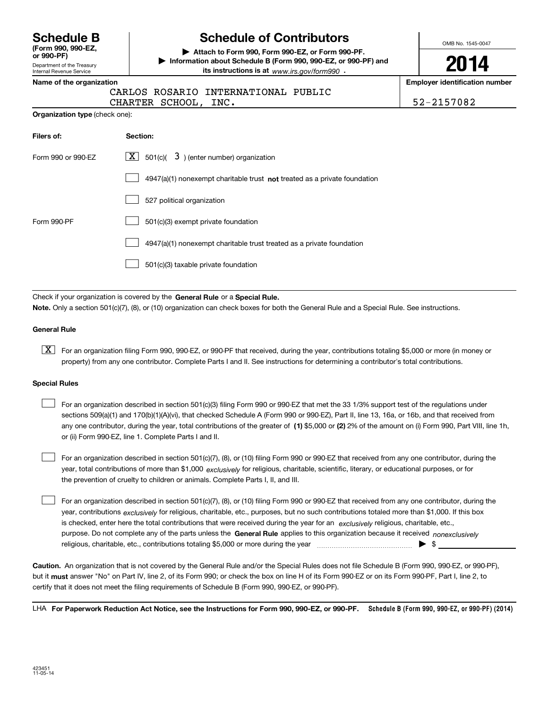**(Form 990, 990-EZ,**

Department of the Treasury Internal Revenue Service **or 990-PF)**

## **Schedule B Schedule of Contributors**

**| Attach to Form 990, Form 990-EZ, or Form 990-PF. | Information about Schedule B (Form 990, 990-EZ, or 990-PF) and its instructions is at** www.irs.gov/form990  $\cdot$ 

OMB No. 1545-0047

**2014**

**Name of the organization Employer identification number**

| CARLOS ROSARIO INTERNATIONAL PUBLIC |  |
|-------------------------------------|--|
|-------------------------------------|--|

CHARTER SCHOOL, INC. 52-2157082

| <b>Organization type</b> (check one): |  |  |  |
|---------------------------------------|--|--|--|
|---------------------------------------|--|--|--|

| Filers of:         | Section:                                                                           |
|--------------------|------------------------------------------------------------------------------------|
| Form 990 or 990-EZ | $\lfloor x \rfloor$ 501(c)( 3) (enter number) organization                         |
|                    | $4947(a)(1)$ nonexempt charitable trust <b>not</b> treated as a private foundation |
|                    | 527 political organization                                                         |
| Form 990-PF        | 501(c)(3) exempt private foundation                                                |
|                    | 4947(a)(1) nonexempt charitable trust treated as a private foundation              |
|                    | 501(c)(3) taxable private foundation                                               |

Check if your organization is covered by the **General Rule** or a **Special Rule. Note.**  Only a section 501(c)(7), (8), or (10) organization can check boxes for both the General Rule and a Special Rule. See instructions.

#### **General Rule**

 $\boxed{\textbf{X}}$  For an organization filing Form 990, 990-EZ, or 990-PF that received, during the year, contributions totaling \$5,000 or more (in money or property) from any one contributor. Complete Parts I and II. See instructions for determining a contributor's total contributions.

#### **Special Rules**

 $\mathcal{L}^{\text{max}}$ 

any one contributor, during the year, total contributions of the greater of  $\,$  (1) \$5,000 or (2) 2% of the amount on (i) Form 990, Part VIII, line 1h, For an organization described in section 501(c)(3) filing Form 990 or 990-EZ that met the 33 1/3% support test of the regulations under sections 509(a)(1) and 170(b)(1)(A)(vi), that checked Schedule A (Form 990 or 990-EZ), Part II, line 13, 16a, or 16b, and that received from or (ii) Form 990-EZ, line 1. Complete Parts I and II.  $\mathcal{L}^{\text{max}}$ 

year, total contributions of more than \$1,000 *exclusively* for religious, charitable, scientific, literary, or educational purposes, or for For an organization described in section 501(c)(7), (8), or (10) filing Form 990 or 990-EZ that received from any one contributor, during the the prevention of cruelty to children or animals. Complete Parts I, II, and III.  $\mathcal{L}^{\text{max}}$ 

purpose. Do not complete any of the parts unless the **General Rule** applies to this organization because it received *nonexclusively* year, contributions <sub>exclusively</sub> for religious, charitable, etc., purposes, but no such contributions totaled more than \$1,000. If this box is checked, enter here the total contributions that were received during the year for an  $\;$ exclusively religious, charitable, etc., For an organization described in section 501(c)(7), (8), or (10) filing Form 990 or 990-EZ that received from any one contributor, during the religious, charitable, etc., contributions totaling \$5,000 or more during the year  $\ldots$  $\ldots$  $\ldots$  $\ldots$  $\ldots$  $\ldots$  $\ldots$ 

**Caution.**An organization that is not covered by the General Rule and/or the Special Rules does not file Schedule B (Form 990, 990-EZ, or 990-PF),  **must** but it answer "No" on Part IV, line 2, of its Form 990; or check the box on line H of its Form 990-EZ or on its Form 990-PF, Part I, line 2, to certify that it does not meet the filing requirements of Schedule B (Form 990, 990-EZ, or 990-PF).

LHA For Paperwork Reduction Act Notice, see the Instructions for Form 990, 990-EZ, or 990-PF. Schedule B (Form 990, 990-EZ, or 990-PF) (2014)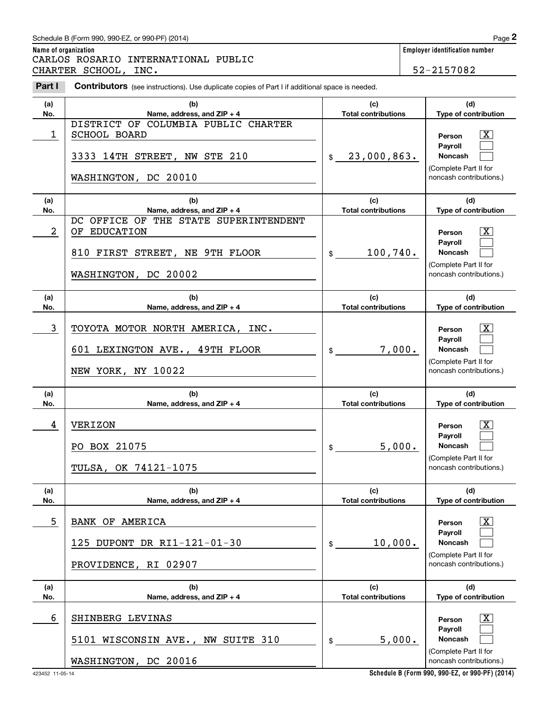## Schedule B (Form 990, 990-EZ, or 990-PF) (2014) Page 2

**Name of organization Employer identification number** Chedule B (Form 990, 990-EZ, or 990-PF) (2014)<br> **2Part I 2Part I Contributors** (see instructions). Use duplicate copies of Part I if additional space is needed.<br> **2Part I Contributors** (see instructions). Use duplica CARLOS ROSARIO INTERNATIONAL PUBLIC CHARTER SCHOOL, INC. 52-2157082

| Part I     | <b>Contributors</b> (see instructions). Use duplicate copies of Part I if additional space is needed.              |                                                       |                                                                                                                              |
|------------|--------------------------------------------------------------------------------------------------------------------|-------------------------------------------------------|------------------------------------------------------------------------------------------------------------------------------|
| (a)<br>No. | (b)<br>Name, address, and ZIP + 4                                                                                  | (c)<br><b>Total contributions</b>                     | (d)<br>Type of contribution                                                                                                  |
| 1          | DISTRICT OF COLUMBIA PUBLIC CHARTER<br><b>SCHOOL BOARD</b><br>3333 14TH STREET, NW STE 210<br>WASHINGTON, DC 20010 | 23,000,863.<br>\$                                     | $\boxed{\text{X}}$<br>Person<br>Payroll<br>Noncash<br>(Complete Part II for<br>noncash contributions.)                       |
| (a)<br>No. | (b)<br>Name, address, and ZIP + 4                                                                                  | (c)<br><b>Total contributions</b>                     | (d)<br>Type of contribution                                                                                                  |
| 2          | DC OFFICE OF THE STATE SUPERINTENDENT<br>OF EDUCATION<br>810 FIRST STREET, NE 9TH FLOOR<br>WASHINGTON, DC 20002    | 100,740.<br>$\mathsf{\$}$                             | $\boxed{\text{X}}$<br>Person<br>Payroll<br>Noncash<br>(Complete Part II for<br>noncash contributions.)                       |
| (a)<br>No. | (b)<br>Name, address, and ZIP + 4                                                                                  | (c)<br><b>Total contributions</b>                     | (d)<br>Type of contribution                                                                                                  |
| 3          | TOYOTA MOTOR NORTH AMERICA, INC.<br>601 LEXINGTON AVE., 49TH FLOOR<br>NEW YORK, NY 10022                           | 7,000.<br>$\frac{1}{2}$                               | $\boxed{\text{X}}$<br>Person<br>Payroll<br><b>Noncash</b><br>(Complete Part II for<br>noncash contributions.)                |
| (a)        | (b)                                                                                                                | (c)                                                   | (d)                                                                                                                          |
| No.<br>4   | Name, address, and ZIP + 4<br><b>VERIZON</b><br>PO BOX 21075<br>TULSA, OK 74121-1075                               | <b>Total contributions</b><br>5,000.<br>$\frac{1}{2}$ | Type of contribution<br>$\vert$ X<br>Person<br>Payroll<br><b>Noncash</b><br>(Complete Part II for<br>noncash contributions.) |
| (a)<br>No. | (b)<br>Name, address, and ZIP + 4                                                                                  | (c)<br><b>Total contributions</b>                     | (d)<br>Type of contribution                                                                                                  |
| 5          | <b>BANK OF AMERICA</b><br>125 DUPONT DR RI1-121-01-30<br>PROVIDENCE, RI 02907                                      | 10,000.<br>\$                                         | X<br>Person<br>Payroll<br>Noncash<br>(Complete Part II for<br>noncash contributions.)                                        |
| (a)<br>No. | (b)<br>Name, address, and ZIP + 4                                                                                  | (c)<br><b>Total contributions</b>                     | (d)<br>Type of contribution                                                                                                  |
| 6          | SHINBERG LEVINAS<br>5101 WISCONSIN AVE., NW SUITE 310<br>WASHINGTON, DC 20016                                      | 5,000.<br>\$                                          | X<br>Person<br>Payroll<br>Noncash<br>(Complete Part II for<br>noncash contributions.)                                        |

**Schedule B (Form 990, 990-EZ, or 990-PF) (2014)**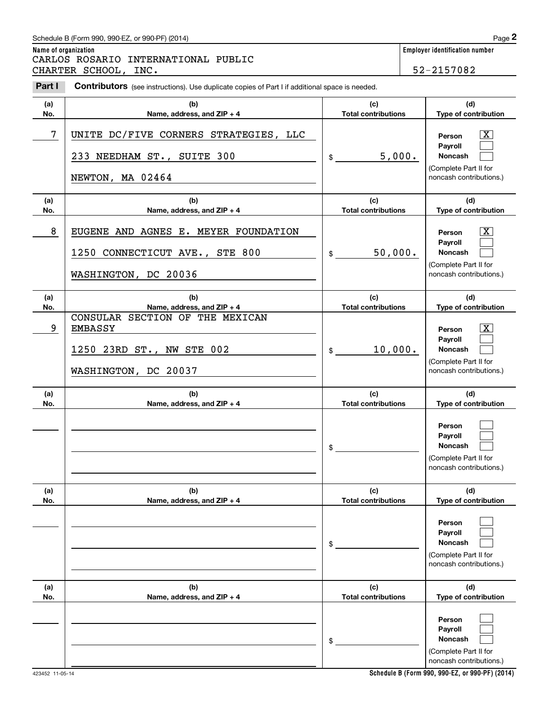## Schedule B (Form 990, 990-EZ, or 990-PF) (2014) Page 2

**Name of organization Employer identification number** Chedule B (Form 990, 990-EZ, or 990-PF) (2014)<br> **2Part I 2Part I Contributors** (see instructions). Use duplicate copies of Part I if additional space is needed.<br> **2Part I Contributors** (see instructions). Use duplica CARLOS ROSARIO INTERNATIONAL PUBLIC CHARTER SCHOOL, INC. 52-2157082

| Part I     | <b>Contributors</b> (see instructions). Use duplicate copies of Part I if additional space is needed.  |                                   |                                                                                                         |  |  |
|------------|--------------------------------------------------------------------------------------------------------|-----------------------------------|---------------------------------------------------------------------------------------------------------|--|--|
| (a)<br>No. | (b)<br>Name, address, and ZIP + 4                                                                      | (c)<br><b>Total contributions</b> | (d)<br>Type of contribution                                                                             |  |  |
| 7          | UNITE DC/FIVE CORNERS STRATEGIES, LLC<br>233 NEEDHAM ST., SUITE 300<br>NEWTON, MA 02464                | 5,000.<br>\$                      | $\mathbf{X}$<br>Person<br>Payroll<br><b>Noncash</b><br>(Complete Part II for<br>noncash contributions.) |  |  |
| (a)<br>No. | (b)<br>Name, address, and ZIP + 4                                                                      | (c)<br><b>Total contributions</b> | (d)<br>Type of contribution                                                                             |  |  |
| 8          | EUGENE AND AGNES E. MEYER FOUNDATION<br>1250 CONNECTICUT AVE., STE 800<br>WASHINGTON, DC 20036         | 50,000.<br>$\frac{1}{2}$          | $\mathbf{X}$<br>Person<br>Payroll<br><b>Noncash</b><br>(Complete Part II for<br>noncash contributions.) |  |  |
| (a)<br>No. | (b)<br>Name, address, and ZIP + 4                                                                      | (c)<br><b>Total contributions</b> | (d)<br>Type of contribution                                                                             |  |  |
| 9          | CONSULAR SECTION OF THE MEXICAN<br><b>EMBASSY</b><br>1250 23RD ST., NW STE 002<br>WASHINGTON, DC 20037 | 10,000.<br>$\mathsf{\$}$          | $\mathbf{X}$<br>Person<br>Payroll<br>Noncash<br>(Complete Part II for<br>noncash contributions.)        |  |  |
| (a)<br>No. | (b)<br>Name, address, and ZIP + 4                                                                      | (c)<br><b>Total contributions</b> | (d)<br>Type of contribution                                                                             |  |  |
|            |                                                                                                        | \$                                | Person<br>Payroll<br>Noncash<br>(Complete Part II for<br>noncash contributions.)                        |  |  |
| (a)<br>No. | (b)<br>Name, address, and ZIP + 4                                                                      | (c)<br><b>Total contributions</b> | (d)<br>Type of contribution                                                                             |  |  |
|            |                                                                                                        | \$                                | Person<br>Payroll<br><b>Noncash</b><br>(Complete Part II for<br>noncash contributions.)                 |  |  |
| (a)<br>No. | (b)<br>Name, address, and ZIP + 4                                                                      | (c)<br><b>Total contributions</b> | (d)<br>Type of contribution                                                                             |  |  |
|            |                                                                                                        | \$                                | Person<br>Payroll<br>Noncash<br>(Complete Part II for<br>noncash contributions.)                        |  |  |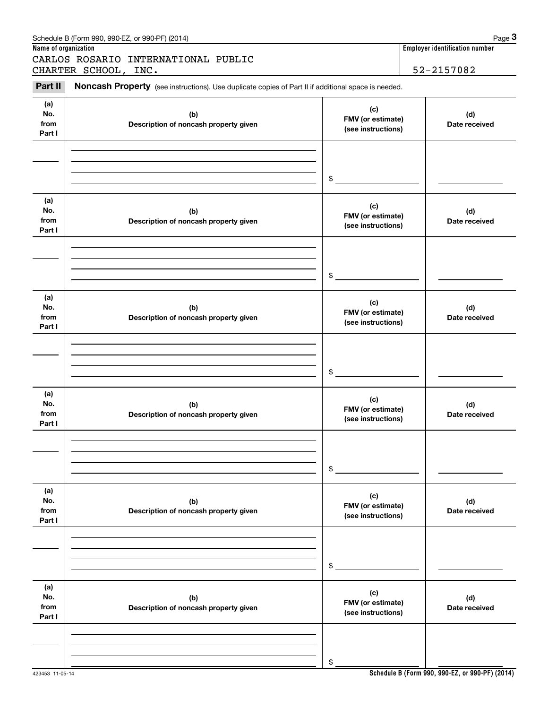#### **(a)No.fromPart I (c)FMV (or estimate) (see instructions) (b) Description of noncash property given (d) Date received (a)No.fromPart I (c) FMV (or estimate) (see instructions) (b) Description of noncash property given (d) Date received (a)No.fromPart I (c)FMV (or estimate) (see instructions) (b) Description of noncash property given (d) Date received (a) No.fromPart I (c) FMV (or estimate) (see instructions) (b)Description of noncash property given (d)Date received (a) No.fromPart I (c) FMV (or estimate) (see instructions) (b) Description of noncash property given (d) Date received (a) No.fromPart I (c)FMV (or estimate) (see instructions) (b)Description of noncash property given (d)Date received** (see instructions). Use duplicate copies of Part II if additional space is needed.<br> **PARTER SCHOOL, INC.**<br> **PARTER SCHOOL, INC.** 52–2157082<br> **PART II Noncash Property** (see instructions). Use duplicate copies of Part II \$\$\$\$\$\$CARLOS ROSARIO INTERNATIONAL PUBLIC CHARTER SCHOOL, INC. **52-2157082**

## Schedule B (Form 990, 990-EZ, or 990-PF) (2014)  $P_3$  Page  $3$

**Name of organization Employer identification number Employer identification number**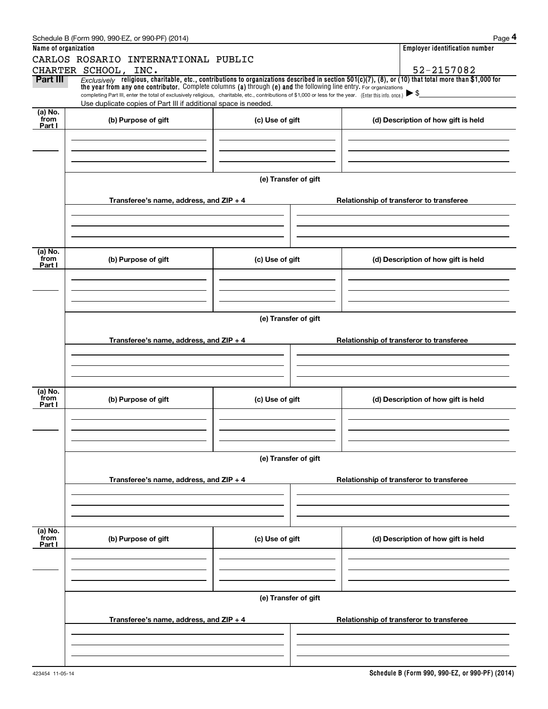|                      | Schedule B (Form 990, 990-EZ, or 990-PF) (2014)                                                                                                                                                                                                                                |                      |                                          | Page 4                                   |  |  |  |  |
|----------------------|--------------------------------------------------------------------------------------------------------------------------------------------------------------------------------------------------------------------------------------------------------------------------------|----------------------|------------------------------------------|------------------------------------------|--|--|--|--|
| Name of organization |                                                                                                                                                                                                                                                                                |                      |                                          | <b>Employer identification number</b>    |  |  |  |  |
|                      | CARLOS ROSARIO INTERNATIONAL PUBLIC                                                                                                                                                                                                                                            |                      |                                          |                                          |  |  |  |  |
|                      | CHARTER SCHOOL, INC.                                                                                                                                                                                                                                                           |                      |                                          | 52-2157082                               |  |  |  |  |
| Part III             | $Exclusively$ religious, charitable, etc., contributions to organizations described in section 501(c)(7), (8), or (10) that total more than \$1,000 for<br>the year from any one contributor. Complete columns (a) through (e) and the following line entry. For organizations |                      |                                          | $\blacktriangleright$ \$                 |  |  |  |  |
|                      | completing Part III, enter the total of exclusively religious, charitable, etc., contributions of \$1,000 or less for the year. (Enter this info. once.)<br>Use duplicate copies of Part III if additional space is needed.                                                    |                      |                                          |                                          |  |  |  |  |
| (a) No.              |                                                                                                                                                                                                                                                                                |                      |                                          |                                          |  |  |  |  |
| from<br>Part I       | (b) Purpose of gift                                                                                                                                                                                                                                                            | (c) Use of gift      |                                          | (d) Description of how gift is held      |  |  |  |  |
|                      |                                                                                                                                                                                                                                                                                |                      |                                          |                                          |  |  |  |  |
|                      |                                                                                                                                                                                                                                                                                |                      |                                          |                                          |  |  |  |  |
|                      |                                                                                                                                                                                                                                                                                |                      |                                          |                                          |  |  |  |  |
|                      |                                                                                                                                                                                                                                                                                |                      |                                          |                                          |  |  |  |  |
|                      |                                                                                                                                                                                                                                                                                | (e) Transfer of gift |                                          |                                          |  |  |  |  |
|                      |                                                                                                                                                                                                                                                                                |                      |                                          |                                          |  |  |  |  |
|                      | Transferee's name, address, and $ZIP + 4$                                                                                                                                                                                                                                      |                      |                                          | Relationship of transferor to transferee |  |  |  |  |
|                      |                                                                                                                                                                                                                                                                                |                      |                                          |                                          |  |  |  |  |
|                      |                                                                                                                                                                                                                                                                                |                      |                                          |                                          |  |  |  |  |
|                      |                                                                                                                                                                                                                                                                                |                      |                                          |                                          |  |  |  |  |
| (a) No.<br>from      | (b) Purpose of gift<br>(c) Use of gift                                                                                                                                                                                                                                         |                      |                                          | (d) Description of how gift is held      |  |  |  |  |
| Part I               |                                                                                                                                                                                                                                                                                |                      |                                          |                                          |  |  |  |  |
|                      |                                                                                                                                                                                                                                                                                |                      |                                          |                                          |  |  |  |  |
|                      |                                                                                                                                                                                                                                                                                |                      |                                          |                                          |  |  |  |  |
|                      |                                                                                                                                                                                                                                                                                |                      |                                          |                                          |  |  |  |  |
|                      | (e) Transfer of gift                                                                                                                                                                                                                                                           |                      |                                          |                                          |  |  |  |  |
|                      |                                                                                                                                                                                                                                                                                |                      |                                          |                                          |  |  |  |  |
|                      | Transferee's name, address, and $ZIP + 4$                                                                                                                                                                                                                                      |                      | Relationship of transferor to transferee |                                          |  |  |  |  |
|                      |                                                                                                                                                                                                                                                                                |                      |                                          |                                          |  |  |  |  |
|                      |                                                                                                                                                                                                                                                                                |                      |                                          |                                          |  |  |  |  |
|                      |                                                                                                                                                                                                                                                                                |                      |                                          |                                          |  |  |  |  |
| (a) No.              |                                                                                                                                                                                                                                                                                |                      |                                          |                                          |  |  |  |  |
| from<br>Part I       | (b) Purpose of gift                                                                                                                                                                                                                                                            | (c) Use of gift      |                                          | (d) Description of how gift is held      |  |  |  |  |
|                      |                                                                                                                                                                                                                                                                                |                      |                                          |                                          |  |  |  |  |
|                      |                                                                                                                                                                                                                                                                                |                      |                                          |                                          |  |  |  |  |
|                      |                                                                                                                                                                                                                                                                                |                      |                                          |                                          |  |  |  |  |
|                      |                                                                                                                                                                                                                                                                                |                      |                                          |                                          |  |  |  |  |
|                      | (e) Transfer of gift                                                                                                                                                                                                                                                           |                      |                                          |                                          |  |  |  |  |
|                      | Transferee's name, address, and $ZIP + 4$                                                                                                                                                                                                                                      |                      | Relationship of transferor to transferee |                                          |  |  |  |  |
|                      |                                                                                                                                                                                                                                                                                |                      |                                          |                                          |  |  |  |  |
|                      |                                                                                                                                                                                                                                                                                |                      |                                          |                                          |  |  |  |  |
|                      |                                                                                                                                                                                                                                                                                |                      |                                          |                                          |  |  |  |  |
|                      |                                                                                                                                                                                                                                                                                |                      |                                          |                                          |  |  |  |  |
| (a) No.<br>from      | (b) Purpose of gift                                                                                                                                                                                                                                                            | (c) Use of gift      |                                          | (d) Description of how gift is held      |  |  |  |  |
| Part I               |                                                                                                                                                                                                                                                                                |                      |                                          |                                          |  |  |  |  |
|                      |                                                                                                                                                                                                                                                                                |                      |                                          |                                          |  |  |  |  |
|                      |                                                                                                                                                                                                                                                                                |                      |                                          |                                          |  |  |  |  |
|                      |                                                                                                                                                                                                                                                                                |                      |                                          |                                          |  |  |  |  |
|                      |                                                                                                                                                                                                                                                                                | (e) Transfer of gift |                                          |                                          |  |  |  |  |
|                      |                                                                                                                                                                                                                                                                                |                      |                                          |                                          |  |  |  |  |
|                      | Transferee's name, address, and $ZIP + 4$                                                                                                                                                                                                                                      |                      |                                          | Relationship of transferor to transferee |  |  |  |  |
|                      |                                                                                                                                                                                                                                                                                |                      |                                          |                                          |  |  |  |  |
|                      |                                                                                                                                                                                                                                                                                |                      |                                          |                                          |  |  |  |  |
|                      |                                                                                                                                                                                                                                                                                |                      |                                          |                                          |  |  |  |  |
|                      |                                                                                                                                                                                                                                                                                |                      |                                          |                                          |  |  |  |  |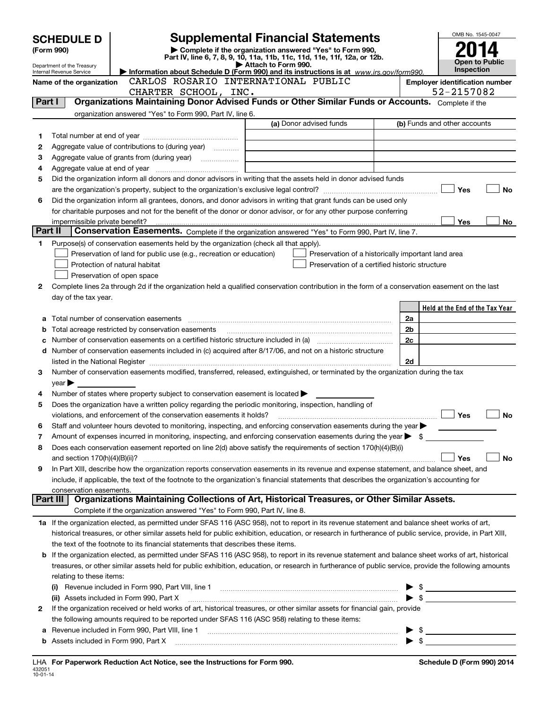|         | <b>SCHEDULE D</b>                            |                                                                                                        | <b>Supplemental Financial Statements</b>                                                                                                                   |                                  | OMB No. 1545-0047                     |
|---------|----------------------------------------------|--------------------------------------------------------------------------------------------------------|------------------------------------------------------------------------------------------------------------------------------------------------------------|----------------------------------|---------------------------------------|
|         | (Form 990)                                   |                                                                                                        | Complete if the organization answered "Yes" to Form 990,                                                                                                   |                                  |                                       |
|         | Department of the Treasury                   |                                                                                                        | Part IV, line 6, 7, 8, 9, 10, 11a, 11b, 11c, 11d, 11e, 11f, 12a, or 12b.<br>Attach to Form 990.                                                            |                                  | Open to Public                        |
|         | Internal Revenue Service                     |                                                                                                        | Information about Schedule D (Form 990) and its instructions is at www.irs.gov/form990.                                                                    |                                  | <b>Inspection</b>                     |
|         | Name of the organization                     | CARLOS ROSARIO INTERNATIONAL PUBLIC                                                                    |                                                                                                                                                            |                                  | <b>Employer identification number</b> |
|         |                                              | CHARTER SCHOOL, INC.                                                                                   |                                                                                                                                                            |                                  | 52-2157082                            |
| Part I  |                                              |                                                                                                        | Organizations Maintaining Donor Advised Funds or Other Similar Funds or Accounts. Complete if the                                                          |                                  |                                       |
|         |                                              | organization answered "Yes" to Form 990, Part IV, line 6.                                              | (a) Donor advised funds                                                                                                                                    |                                  | (b) Funds and other accounts          |
|         |                                              |                                                                                                        |                                                                                                                                                            |                                  |                                       |
| 1       |                                              | Aggregate value of contributions to (during year)                                                      |                                                                                                                                                            |                                  |                                       |
| 2<br>з  |                                              | Aggregate value of grants from (during year)                                                           |                                                                                                                                                            |                                  |                                       |
| 4       |                                              |                                                                                                        |                                                                                                                                                            |                                  |                                       |
| 5       |                                              |                                                                                                        | Did the organization inform all donors and donor advisors in writing that the assets held in donor advised funds                                           |                                  |                                       |
|         |                                              |                                                                                                        |                                                                                                                                                            |                                  | Yes<br><b>No</b>                      |
| 6       |                                              |                                                                                                        | Did the organization inform all grantees, donors, and donor advisors in writing that grant funds can be used only                                          |                                  |                                       |
|         |                                              |                                                                                                        | for charitable purposes and not for the benefit of the donor or donor advisor, or for any other purpose conferring                                         |                                  |                                       |
|         |                                              |                                                                                                        |                                                                                                                                                            |                                  | No<br>Yes                             |
| Part II |                                              |                                                                                                        | Conservation Easements. Complete if the organization answered "Yes" to Form 990, Part IV, line 7.                                                          |                                  |                                       |
| 1       |                                              | Purpose(s) of conservation easements held by the organization (check all that apply).                  |                                                                                                                                                            |                                  |                                       |
|         |                                              | Preservation of land for public use (e.g., recreation or education)                                    | Preservation of a historically important land area                                                                                                         |                                  |                                       |
|         |                                              | Protection of natural habitat                                                                          | Preservation of a certified historic structure                                                                                                             |                                  |                                       |
|         |                                              | Preservation of open space                                                                             |                                                                                                                                                            |                                  |                                       |
| 2       |                                              |                                                                                                        | Complete lines 2a through 2d if the organization held a qualified conservation contribution in the form of a conservation easement on the last             |                                  |                                       |
|         | day of the tax year.                         |                                                                                                        |                                                                                                                                                            |                                  |                                       |
|         |                                              |                                                                                                        |                                                                                                                                                            |                                  | Held at the End of the Tax Year       |
| а       |                                              | Total acreage restricted by conservation easements                                                     |                                                                                                                                                            | 2a<br>2b                         |                                       |
| b<br>с  |                                              |                                                                                                        |                                                                                                                                                            | 2c                               |                                       |
| d       |                                              |                                                                                                        | Number of conservation easements included in (c) acquired after 8/17/06, and not on a historic structure                                                   |                                  |                                       |
|         |                                              |                                                                                                        | listed in the National Register [111] [12] non-matter in the National Property of the National Register [11] [1                                            | 2d                               |                                       |
| З       |                                              |                                                                                                        | Number of conservation easements modified, transferred, released, extinguished, or terminated by the organization during the tax                           |                                  |                                       |
|         | $year \blacktriangleright$                   |                                                                                                        |                                                                                                                                                            |                                  |                                       |
| 4       |                                              | Number of states where property subject to conservation easement is located >                          |                                                                                                                                                            |                                  |                                       |
| 5       |                                              | Does the organization have a written policy regarding the periodic monitoring, inspection, handling of |                                                                                                                                                            |                                  |                                       |
|         |                                              | violations, and enforcement of the conservation easements it holds?                                    |                                                                                                                                                            |                                  | <b>No</b><br>Yes                      |
|         |                                              |                                                                                                        | Staff and volunteer hours devoted to monitoring, inspecting, and enforcing conservation easements during the year                                          |                                  |                                       |
| 7       |                                              |                                                                                                        | Amount of expenses incurred in monitoring, inspecting, and enforcing conservation easements during the year $\triangleright$ \$                            |                                  |                                       |
| 8       |                                              |                                                                                                        | Does each conservation easement reported on line 2(d) above satisfy the requirements of section 170(h)(4)(B)(i)                                            |                                  |                                       |
| 9       |                                              |                                                                                                        | In Part XIII, describe how the organization reports conservation easements in its revenue and expense statement, and balance sheet, and                    |                                  | Yes<br>No                             |
|         |                                              |                                                                                                        | include, if applicable, the text of the footnote to the organization's financial statements that describes the organization's accounting for               |                                  |                                       |
|         | conservation easements.                      |                                                                                                        |                                                                                                                                                            |                                  |                                       |
|         | Part III                                     |                                                                                                        | Organizations Maintaining Collections of Art, Historical Treasures, or Other Similar Assets.                                                               |                                  |                                       |
|         |                                              | Complete if the organization answered "Yes" to Form 990, Part IV, line 8.                              |                                                                                                                                                            |                                  |                                       |
|         |                                              |                                                                                                        | 1a If the organization elected, as permitted under SFAS 116 (ASC 958), not to report in its revenue statement and balance sheet works of art,              |                                  |                                       |
|         |                                              |                                                                                                        | historical treasures, or other similar assets held for public exhibition, education, or research in furtherance of public service, provide, in Part XIII,  |                                  |                                       |
|         |                                              | the text of the footnote to its financial statements that describes these items.                       |                                                                                                                                                            |                                  |                                       |
|         |                                              |                                                                                                        | <b>b</b> If the organization elected, as permitted under SFAS 116 (ASC 958), to report in its revenue statement and balance sheet works of art, historical |                                  |                                       |
|         |                                              |                                                                                                        | treasures, or other similar assets held for public exhibition, education, or research in furtherance of public service, provide the following amounts      |                                  |                                       |
|         | relating to these items:                     |                                                                                                        |                                                                                                                                                            |                                  |                                       |
|         |                                              |                                                                                                        |                                                                                                                                                            |                                  | $\sim$                                |
|         |                                              | (ii) Assets included in Form 990, Part X                                                               |                                                                                                                                                            |                                  |                                       |
| 2       |                                              |                                                                                                        | If the organization received or held works of art, historical treasures, or other similar assets for financial gain, provide                               |                                  |                                       |
|         |                                              | the following amounts required to be reported under SFAS 116 (ASC 958) relating to these items:        |                                                                                                                                                            |                                  |                                       |
| а       |                                              |                                                                                                        |                                                                                                                                                            | - \$<br>$\blacktriangleright$ \$ |                                       |
|         | <b>b</b> Assets included in Form 990, Part X |                                                                                                        |                                                                                                                                                            |                                  |                                       |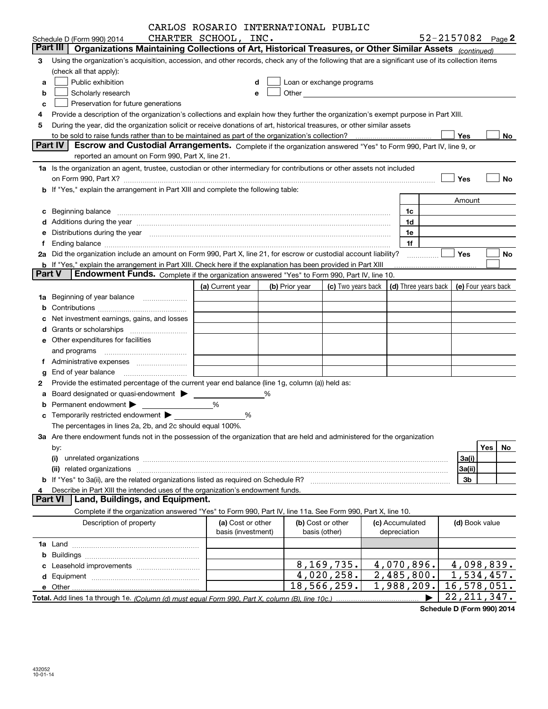|               |                                                                                                                                                                                                                                | CARLOS ROSARIO INTERNATIONAL PUBLIC |   |                |                                                                                                                                                                                                                               |                                                         |                            |           |
|---------------|--------------------------------------------------------------------------------------------------------------------------------------------------------------------------------------------------------------------------------|-------------------------------------|---|----------------|-------------------------------------------------------------------------------------------------------------------------------------------------------------------------------------------------------------------------------|---------------------------------------------------------|----------------------------|-----------|
|               | Schedule D (Form 990) 2014                                                                                                                                                                                                     | CHARTER SCHOOL, INC.                |   |                |                                                                                                                                                                                                                               |                                                         | 52-2157082 $_{Page}$ 2     |           |
|               | Part III<br>Organizations Maintaining Collections of Art, Historical Treasures, or Other Similar Assets (continued)                                                                                                            |                                     |   |                |                                                                                                                                                                                                                               |                                                         |                            |           |
| 3             | Using the organization's acquisition, accession, and other records, check any of the following that are a significant use of its collection items                                                                              |                                     |   |                |                                                                                                                                                                                                                               |                                                         |                            |           |
|               | (check all that apply):                                                                                                                                                                                                        |                                     |   |                |                                                                                                                                                                                                                               |                                                         |                            |           |
| a             | Public exhibition                                                                                                                                                                                                              |                                     |   |                | Loan or exchange programs                                                                                                                                                                                                     |                                                         |                            |           |
| b             | Scholarly research                                                                                                                                                                                                             |                                     |   |                | Other and the contract of the contract of the contract of the contract of the contract of the contract of the contract of the contract of the contract of the contract of the contract of the contract of the contract of the |                                                         |                            |           |
| c             | Preservation for future generations                                                                                                                                                                                            |                                     |   |                |                                                                                                                                                                                                                               |                                                         |                            |           |
|               | Provide a description of the organization's collections and explain how they further the organization's exempt purpose in Part XIII.                                                                                           |                                     |   |                |                                                                                                                                                                                                                               |                                                         |                            |           |
| 5             | During the year, did the organization solicit or receive donations of art, historical treasures, or other similar assets                                                                                                       |                                     |   |                |                                                                                                                                                                                                                               |                                                         |                            |           |
|               |                                                                                                                                                                                                                                |                                     |   |                |                                                                                                                                                                                                                               |                                                         | Yes                        | No        |
|               | <b>Part IV</b><br>Escrow and Custodial Arrangements. Complete if the organization answered "Yes" to Form 990, Part IV, line 9, or                                                                                              |                                     |   |                |                                                                                                                                                                                                                               |                                                         |                            |           |
|               | reported an amount on Form 990, Part X, line 21.                                                                                                                                                                               |                                     |   |                |                                                                                                                                                                                                                               |                                                         |                            |           |
|               | 1a Is the organization an agent, trustee, custodian or other intermediary for contributions or other assets not included                                                                                                       |                                     |   |                |                                                                                                                                                                                                                               |                                                         |                            |           |
|               | on Form 990, Part X? [11] matter continuum matter contract to the contract of the contract of the contract of the contract of the contract of the contract of the contract of the contract of the contract of the contract of  |                                     |   |                |                                                                                                                                                                                                                               |                                                         | Yes                        | No        |
|               | <b>b</b> If "Yes," explain the arrangement in Part XIII and complete the following table:                                                                                                                                      |                                     |   |                |                                                                                                                                                                                                                               |                                                         |                            |           |
|               |                                                                                                                                                                                                                                |                                     |   |                |                                                                                                                                                                                                                               |                                                         | Amount                     |           |
|               |                                                                                                                                                                                                                                |                                     |   |                |                                                                                                                                                                                                                               | 1c                                                      |                            |           |
|               | c Beginning balance measurements and the contract of the contract of the contract of the contract of the contract of the contract of the contract of the contract of the contract of the contract of the contract of the contr |                                     |   |                |                                                                                                                                                                                                                               | 1d                                                      |                            |           |
|               | d Additions during the year measurements are all an according to the year measurement of the year measurement of the state of the state of the state of the state of the state of the state of the state of the state of the s |                                     |   |                |                                                                                                                                                                                                                               | 1e                                                      |                            |           |
|               | e Distributions during the year manufactured and contain an account of the state of the state of the state of the state of the state of the state of the state of the state of the state of the state of the state of the stat |                                     |   |                |                                                                                                                                                                                                                               | 1f                                                      |                            |           |
| Ť.            | 2a Did the organization include an amount on Form 990, Part X, line 21, for escrow or custodial account liability?                                                                                                             |                                     |   |                |                                                                                                                                                                                                                               |                                                         | Yes                        | No        |
|               |                                                                                                                                                                                                                                |                                     |   |                |                                                                                                                                                                                                                               |                                                         |                            |           |
| <b>Part V</b> | <b>b</b> If "Yes," explain the arrangement in Part XIII. Check here if the explanation has been provided in Part XIII<br>Endowment Funds. Complete if the organization answered "Yes" to Form 990, Part IV, line 10.           |                                     |   |                |                                                                                                                                                                                                                               |                                                         |                            |           |
|               |                                                                                                                                                                                                                                |                                     |   |                |                                                                                                                                                                                                                               |                                                         |                            |           |
|               |                                                                                                                                                                                                                                | (a) Current year                    |   | (b) Prior year |                                                                                                                                                                                                                               | (c) Two years back $\vert$ (d) Three years back $\vert$ | (e) Four years back        |           |
| 1a            | Beginning of year balance                                                                                                                                                                                                      |                                     |   |                |                                                                                                                                                                                                                               |                                                         |                            |           |
|               |                                                                                                                                                                                                                                |                                     |   |                |                                                                                                                                                                                                                               |                                                         |                            |           |
|               | Net investment earnings, gains, and losses                                                                                                                                                                                     |                                     |   |                |                                                                                                                                                                                                                               |                                                         |                            |           |
|               | d Grants or scholarships <i>manually contained</i>                                                                                                                                                                             |                                     |   |                |                                                                                                                                                                                                                               |                                                         |                            |           |
|               | e Other expenditures for facilities                                                                                                                                                                                            |                                     |   |                |                                                                                                                                                                                                                               |                                                         |                            |           |
|               | and programs                                                                                                                                                                                                                   |                                     |   |                |                                                                                                                                                                                                                               |                                                         |                            |           |
|               |                                                                                                                                                                                                                                |                                     |   |                |                                                                                                                                                                                                                               |                                                         |                            |           |
|               |                                                                                                                                                                                                                                |                                     |   |                |                                                                                                                                                                                                                               |                                                         |                            |           |
| 2             | Provide the estimated percentage of the current year end balance (line 1g, column (a)) held as:                                                                                                                                |                                     |   |                |                                                                                                                                                                                                                               |                                                         |                            |           |
|               | a Board designated or quasi-endowment >                                                                                                                                                                                        |                                     | % |                |                                                                                                                                                                                                                               |                                                         |                            |           |
|               | Permanent endowment >                                                                                                                                                                                                          | %                                   |   |                |                                                                                                                                                                                                                               |                                                         |                            |           |
|               | c Temporarily restricted endowment $\blacktriangleright$                                                                                                                                                                       | %                                   |   |                |                                                                                                                                                                                                                               |                                                         |                            |           |
|               | The percentages in lines 2a, 2b, and 2c should equal 100%.                                                                                                                                                                     |                                     |   |                |                                                                                                                                                                                                                               |                                                         |                            |           |
|               | 3a Are there endowment funds not in the possession of the organization that are held and administered for the organization                                                                                                     |                                     |   |                |                                                                                                                                                                                                                               |                                                         |                            |           |
|               | by:                                                                                                                                                                                                                            |                                     |   |                |                                                                                                                                                                                                                               |                                                         |                            | Yes<br>No |
|               | (i)                                                                                                                                                                                                                            |                                     |   |                |                                                                                                                                                                                                                               |                                                         | 3a(i)                      |           |
|               |                                                                                                                                                                                                                                |                                     |   |                |                                                                                                                                                                                                                               |                                                         | 3a(ii)                     |           |
|               | b If "Yes" to 3a(ii), are the related organizations listed as required on Schedule R?                                                                                                                                          |                                     |   |                |                                                                                                                                                                                                                               |                                                         | 3 <sub>b</sub>             |           |
| 4             | Describe in Part XIII the intended uses of the organization's endowment funds.                                                                                                                                                 |                                     |   |                |                                                                                                                                                                                                                               |                                                         |                            |           |
|               | Land, Buildings, and Equipment.<br><b>Part VI</b>                                                                                                                                                                              |                                     |   |                |                                                                                                                                                                                                                               |                                                         |                            |           |
|               | Complete if the organization answered "Yes" to Form 990, Part IV, line 11a. See Form 990, Part X, line 10.                                                                                                                     |                                     |   |                |                                                                                                                                                                                                                               |                                                         |                            |           |
|               | Description of property                                                                                                                                                                                                        | (a) Cost or other                   |   |                | (b) Cost or other                                                                                                                                                                                                             | (c) Accumulated                                         | (d) Book value             |           |
|               |                                                                                                                                                                                                                                | basis (investment)                  |   |                | basis (other)                                                                                                                                                                                                                 | depreciation                                            |                            |           |
|               |                                                                                                                                                                                                                                |                                     |   |                |                                                                                                                                                                                                                               |                                                         |                            |           |
|               |                                                                                                                                                                                                                                |                                     |   |                |                                                                                                                                                                                                                               |                                                         |                            |           |
|               |                                                                                                                                                                                                                                |                                     |   |                | 8, 169, 735.                                                                                                                                                                                                                  | 4,070,896.                                              | $\overline{4}$ , 098, 839. |           |
|               |                                                                                                                                                                                                                                |                                     |   |                | 4,020,258.                                                                                                                                                                                                                    | 2,485,800.                                              | 1,534,457.                 |           |
|               |                                                                                                                                                                                                                                |                                     |   |                | 18,566,259.                                                                                                                                                                                                                   | 1,988,209.                                              | 16,578,051.                |           |
|               |                                                                                                                                                                                                                                |                                     |   |                |                                                                                                                                                                                                                               |                                                         | 22, 211, 347.              |           |

**Schedule D (Form 990) 2014**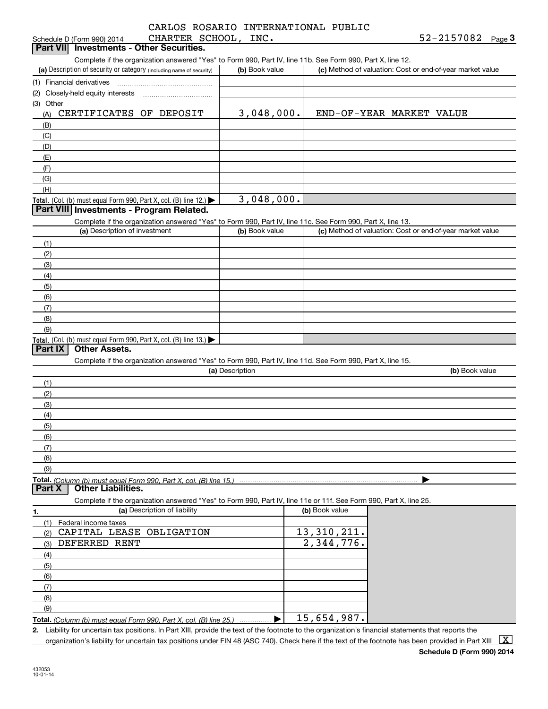|                      | CARLOS ROSARIO INTERNATIONAL PUBLIC |  |
|----------------------|-------------------------------------|--|
| CHARTER SCHOOL, INC. |                                     |  |

| Complete if the organization answered "Yes" to Form 990, Part IV, line 11b. See Form 990, Part X, line 12.<br>(a) Description of security or category (including name of security)<br>(c) Method of valuation: Cost or end-of-year market value<br>(b) Book value<br>3,048,000.<br>CERTIFICATES OF DEPOSIT<br>END-OF-YEAR MARKET VALUE<br>(A)<br>(B)<br>(C)<br>(D)<br>(E)<br>(F)<br>(G)<br>(H)<br>3,048,000.<br>Part VIII Investments - Program Related.<br>Complete if the organization answered "Yes" to Form 990, Part IV, line 11c. See Form 990, Part X, line 13.<br>(a) Description of investment<br>(b) Book value<br>(c) Method of valuation: Cost or end-of-year market value<br>(1)<br>(2)<br>(3)<br>(4)<br>(5)<br>(6)<br>(7)<br>(8)<br>(9)<br>Part IX<br><b>Other Assets.</b><br>Complete if the organization answered "Yes" to Form 990, Part IV, line 11d. See Form 990, Part X, line 15.<br>(a) Description<br>(b) Book value<br>(1)<br>(2)<br>(3)<br>(4)<br>(5)<br>(6)<br>(7)<br>(8)<br>(9)<br>Total. (Column (b) must equal Form 990, Part X, col. (B) line 15.)<br><b>Other Liabilities.</b><br>Complete if the organization answered "Yes" to Form 990, Part IV, line 11e or 11f. See Form 990, Part X, line 25.<br>(a) Description of liability<br>(b) Book value<br>Federal income taxes<br>(1)<br>CAPITAL LEASE OBLIGATION<br>13, 310, 211.<br>(2)<br>2,344,776.<br>DEFERRED RENT<br>(3)<br>(4)<br>(5)<br>(6)<br>(7)<br>(8)<br>(9)<br>15,654,987.<br>▶<br>Total. (Column (b) must equal Form 990, Part X, col. (B) line 25.)<br>2. Liability for uncertain tax positions. In Part XIII, provide the text of the footnote to the organization's financial statements that reports the | CHARTER SCHOOL,<br>Schedule D (Form 990) 2014                    | INC. | 52-2157082<br>Page $3$ |
|-----------------------------------------------------------------------------------------------------------------------------------------------------------------------------------------------------------------------------------------------------------------------------------------------------------------------------------------------------------------------------------------------------------------------------------------------------------------------------------------------------------------------------------------------------------------------------------------------------------------------------------------------------------------------------------------------------------------------------------------------------------------------------------------------------------------------------------------------------------------------------------------------------------------------------------------------------------------------------------------------------------------------------------------------------------------------------------------------------------------------------------------------------------------------------------------------------------------------------------------------------------------------------------------------------------------------------------------------------------------------------------------------------------------------------------------------------------------------------------------------------------------------------------------------------------------------------------------------------------------------------------------------------------------------------------------------------------|------------------------------------------------------------------|------|------------------------|
|                                                                                                                                                                                                                                                                                                                                                                                                                                                                                                                                                                                                                                                                                                                                                                                                                                                                                                                                                                                                                                                                                                                                                                                                                                                                                                                                                                                                                                                                                                                                                                                                                                                                                                           | <b>Investments - Other Securities.</b><br><b>Part VII</b>        |      |                        |
|                                                                                                                                                                                                                                                                                                                                                                                                                                                                                                                                                                                                                                                                                                                                                                                                                                                                                                                                                                                                                                                                                                                                                                                                                                                                                                                                                                                                                                                                                                                                                                                                                                                                                                           |                                                                  |      |                        |
|                                                                                                                                                                                                                                                                                                                                                                                                                                                                                                                                                                                                                                                                                                                                                                                                                                                                                                                                                                                                                                                                                                                                                                                                                                                                                                                                                                                                                                                                                                                                                                                                                                                                                                           |                                                                  |      |                        |
|                                                                                                                                                                                                                                                                                                                                                                                                                                                                                                                                                                                                                                                                                                                                                                                                                                                                                                                                                                                                                                                                                                                                                                                                                                                                                                                                                                                                                                                                                                                                                                                                                                                                                                           | (1) Financial derivatives                                        |      |                        |
|                                                                                                                                                                                                                                                                                                                                                                                                                                                                                                                                                                                                                                                                                                                                                                                                                                                                                                                                                                                                                                                                                                                                                                                                                                                                                                                                                                                                                                                                                                                                                                                                                                                                                                           | (2) Closely-held equity interests                                |      |                        |
|                                                                                                                                                                                                                                                                                                                                                                                                                                                                                                                                                                                                                                                                                                                                                                                                                                                                                                                                                                                                                                                                                                                                                                                                                                                                                                                                                                                                                                                                                                                                                                                                                                                                                                           | (3) Other                                                        |      |                        |
|                                                                                                                                                                                                                                                                                                                                                                                                                                                                                                                                                                                                                                                                                                                                                                                                                                                                                                                                                                                                                                                                                                                                                                                                                                                                                                                                                                                                                                                                                                                                                                                                                                                                                                           |                                                                  |      |                        |
|                                                                                                                                                                                                                                                                                                                                                                                                                                                                                                                                                                                                                                                                                                                                                                                                                                                                                                                                                                                                                                                                                                                                                                                                                                                                                                                                                                                                                                                                                                                                                                                                                                                                                                           |                                                                  |      |                        |
|                                                                                                                                                                                                                                                                                                                                                                                                                                                                                                                                                                                                                                                                                                                                                                                                                                                                                                                                                                                                                                                                                                                                                                                                                                                                                                                                                                                                                                                                                                                                                                                                                                                                                                           |                                                                  |      |                        |
|                                                                                                                                                                                                                                                                                                                                                                                                                                                                                                                                                                                                                                                                                                                                                                                                                                                                                                                                                                                                                                                                                                                                                                                                                                                                                                                                                                                                                                                                                                                                                                                                                                                                                                           |                                                                  |      |                        |
|                                                                                                                                                                                                                                                                                                                                                                                                                                                                                                                                                                                                                                                                                                                                                                                                                                                                                                                                                                                                                                                                                                                                                                                                                                                                                                                                                                                                                                                                                                                                                                                                                                                                                                           |                                                                  |      |                        |
|                                                                                                                                                                                                                                                                                                                                                                                                                                                                                                                                                                                                                                                                                                                                                                                                                                                                                                                                                                                                                                                                                                                                                                                                                                                                                                                                                                                                                                                                                                                                                                                                                                                                                                           |                                                                  |      |                        |
|                                                                                                                                                                                                                                                                                                                                                                                                                                                                                                                                                                                                                                                                                                                                                                                                                                                                                                                                                                                                                                                                                                                                                                                                                                                                                                                                                                                                                                                                                                                                                                                                                                                                                                           |                                                                  |      |                        |
|                                                                                                                                                                                                                                                                                                                                                                                                                                                                                                                                                                                                                                                                                                                                                                                                                                                                                                                                                                                                                                                                                                                                                                                                                                                                                                                                                                                                                                                                                                                                                                                                                                                                                                           |                                                                  |      |                        |
|                                                                                                                                                                                                                                                                                                                                                                                                                                                                                                                                                                                                                                                                                                                                                                                                                                                                                                                                                                                                                                                                                                                                                                                                                                                                                                                                                                                                                                                                                                                                                                                                                                                                                                           | Total. (Col. (b) must equal Form 990, Part X, col. (B) line 12.) |      |                        |
|                                                                                                                                                                                                                                                                                                                                                                                                                                                                                                                                                                                                                                                                                                                                                                                                                                                                                                                                                                                                                                                                                                                                                                                                                                                                                                                                                                                                                                                                                                                                                                                                                                                                                                           |                                                                  |      |                        |
|                                                                                                                                                                                                                                                                                                                                                                                                                                                                                                                                                                                                                                                                                                                                                                                                                                                                                                                                                                                                                                                                                                                                                                                                                                                                                                                                                                                                                                                                                                                                                                                                                                                                                                           |                                                                  |      |                        |
|                                                                                                                                                                                                                                                                                                                                                                                                                                                                                                                                                                                                                                                                                                                                                                                                                                                                                                                                                                                                                                                                                                                                                                                                                                                                                                                                                                                                                                                                                                                                                                                                                                                                                                           |                                                                  |      |                        |
|                                                                                                                                                                                                                                                                                                                                                                                                                                                                                                                                                                                                                                                                                                                                                                                                                                                                                                                                                                                                                                                                                                                                                                                                                                                                                                                                                                                                                                                                                                                                                                                                                                                                                                           |                                                                  |      |                        |
|                                                                                                                                                                                                                                                                                                                                                                                                                                                                                                                                                                                                                                                                                                                                                                                                                                                                                                                                                                                                                                                                                                                                                                                                                                                                                                                                                                                                                                                                                                                                                                                                                                                                                                           |                                                                  |      |                        |
|                                                                                                                                                                                                                                                                                                                                                                                                                                                                                                                                                                                                                                                                                                                                                                                                                                                                                                                                                                                                                                                                                                                                                                                                                                                                                                                                                                                                                                                                                                                                                                                                                                                                                                           |                                                                  |      |                        |
|                                                                                                                                                                                                                                                                                                                                                                                                                                                                                                                                                                                                                                                                                                                                                                                                                                                                                                                                                                                                                                                                                                                                                                                                                                                                                                                                                                                                                                                                                                                                                                                                                                                                                                           |                                                                  |      |                        |
|                                                                                                                                                                                                                                                                                                                                                                                                                                                                                                                                                                                                                                                                                                                                                                                                                                                                                                                                                                                                                                                                                                                                                                                                                                                                                                                                                                                                                                                                                                                                                                                                                                                                                                           |                                                                  |      |                        |
|                                                                                                                                                                                                                                                                                                                                                                                                                                                                                                                                                                                                                                                                                                                                                                                                                                                                                                                                                                                                                                                                                                                                                                                                                                                                                                                                                                                                                                                                                                                                                                                                                                                                                                           |                                                                  |      |                        |
|                                                                                                                                                                                                                                                                                                                                                                                                                                                                                                                                                                                                                                                                                                                                                                                                                                                                                                                                                                                                                                                                                                                                                                                                                                                                                                                                                                                                                                                                                                                                                                                                                                                                                                           |                                                                  |      |                        |
|                                                                                                                                                                                                                                                                                                                                                                                                                                                                                                                                                                                                                                                                                                                                                                                                                                                                                                                                                                                                                                                                                                                                                                                                                                                                                                                                                                                                                                                                                                                                                                                                                                                                                                           |                                                                  |      |                        |
|                                                                                                                                                                                                                                                                                                                                                                                                                                                                                                                                                                                                                                                                                                                                                                                                                                                                                                                                                                                                                                                                                                                                                                                                                                                                                                                                                                                                                                                                                                                                                                                                                                                                                                           |                                                                  |      |                        |
|                                                                                                                                                                                                                                                                                                                                                                                                                                                                                                                                                                                                                                                                                                                                                                                                                                                                                                                                                                                                                                                                                                                                                                                                                                                                                                                                                                                                                                                                                                                                                                                                                                                                                                           | Total. (Col. (b) must equal Form 990, Part X, col. (B) line 13.) |      |                        |
|                                                                                                                                                                                                                                                                                                                                                                                                                                                                                                                                                                                                                                                                                                                                                                                                                                                                                                                                                                                                                                                                                                                                                                                                                                                                                                                                                                                                                                                                                                                                                                                                                                                                                                           |                                                                  |      |                        |
|                                                                                                                                                                                                                                                                                                                                                                                                                                                                                                                                                                                                                                                                                                                                                                                                                                                                                                                                                                                                                                                                                                                                                                                                                                                                                                                                                                                                                                                                                                                                                                                                                                                                                                           |                                                                  |      |                        |
|                                                                                                                                                                                                                                                                                                                                                                                                                                                                                                                                                                                                                                                                                                                                                                                                                                                                                                                                                                                                                                                                                                                                                                                                                                                                                                                                                                                                                                                                                                                                                                                                                                                                                                           |                                                                  |      |                        |
|                                                                                                                                                                                                                                                                                                                                                                                                                                                                                                                                                                                                                                                                                                                                                                                                                                                                                                                                                                                                                                                                                                                                                                                                                                                                                                                                                                                                                                                                                                                                                                                                                                                                                                           |                                                                  |      |                        |
|                                                                                                                                                                                                                                                                                                                                                                                                                                                                                                                                                                                                                                                                                                                                                                                                                                                                                                                                                                                                                                                                                                                                                                                                                                                                                                                                                                                                                                                                                                                                                                                                                                                                                                           |                                                                  |      |                        |
|                                                                                                                                                                                                                                                                                                                                                                                                                                                                                                                                                                                                                                                                                                                                                                                                                                                                                                                                                                                                                                                                                                                                                                                                                                                                                                                                                                                                                                                                                                                                                                                                                                                                                                           |                                                                  |      |                        |
|                                                                                                                                                                                                                                                                                                                                                                                                                                                                                                                                                                                                                                                                                                                                                                                                                                                                                                                                                                                                                                                                                                                                                                                                                                                                                                                                                                                                                                                                                                                                                                                                                                                                                                           |                                                                  |      |                        |
|                                                                                                                                                                                                                                                                                                                                                                                                                                                                                                                                                                                                                                                                                                                                                                                                                                                                                                                                                                                                                                                                                                                                                                                                                                                                                                                                                                                                                                                                                                                                                                                                                                                                                                           |                                                                  |      |                        |
|                                                                                                                                                                                                                                                                                                                                                                                                                                                                                                                                                                                                                                                                                                                                                                                                                                                                                                                                                                                                                                                                                                                                                                                                                                                                                                                                                                                                                                                                                                                                                                                                                                                                                                           |                                                                  |      |                        |
|                                                                                                                                                                                                                                                                                                                                                                                                                                                                                                                                                                                                                                                                                                                                                                                                                                                                                                                                                                                                                                                                                                                                                                                                                                                                                                                                                                                                                                                                                                                                                                                                                                                                                                           |                                                                  |      |                        |
|                                                                                                                                                                                                                                                                                                                                                                                                                                                                                                                                                                                                                                                                                                                                                                                                                                                                                                                                                                                                                                                                                                                                                                                                                                                                                                                                                                                                                                                                                                                                                                                                                                                                                                           |                                                                  |      |                        |
|                                                                                                                                                                                                                                                                                                                                                                                                                                                                                                                                                                                                                                                                                                                                                                                                                                                                                                                                                                                                                                                                                                                                                                                                                                                                                                                                                                                                                                                                                                                                                                                                                                                                                                           |                                                                  |      |                        |
|                                                                                                                                                                                                                                                                                                                                                                                                                                                                                                                                                                                                                                                                                                                                                                                                                                                                                                                                                                                                                                                                                                                                                                                                                                                                                                                                                                                                                                                                                                                                                                                                                                                                                                           |                                                                  |      |                        |
|                                                                                                                                                                                                                                                                                                                                                                                                                                                                                                                                                                                                                                                                                                                                                                                                                                                                                                                                                                                                                                                                                                                                                                                                                                                                                                                                                                                                                                                                                                                                                                                                                                                                                                           | Part X                                                           |      |                        |
|                                                                                                                                                                                                                                                                                                                                                                                                                                                                                                                                                                                                                                                                                                                                                                                                                                                                                                                                                                                                                                                                                                                                                                                                                                                                                                                                                                                                                                                                                                                                                                                                                                                                                                           |                                                                  |      |                        |
|                                                                                                                                                                                                                                                                                                                                                                                                                                                                                                                                                                                                                                                                                                                                                                                                                                                                                                                                                                                                                                                                                                                                                                                                                                                                                                                                                                                                                                                                                                                                                                                                                                                                                                           | 1.                                                               |      |                        |
|                                                                                                                                                                                                                                                                                                                                                                                                                                                                                                                                                                                                                                                                                                                                                                                                                                                                                                                                                                                                                                                                                                                                                                                                                                                                                                                                                                                                                                                                                                                                                                                                                                                                                                           |                                                                  |      |                        |
|                                                                                                                                                                                                                                                                                                                                                                                                                                                                                                                                                                                                                                                                                                                                                                                                                                                                                                                                                                                                                                                                                                                                                                                                                                                                                                                                                                                                                                                                                                                                                                                                                                                                                                           |                                                                  |      |                        |
|                                                                                                                                                                                                                                                                                                                                                                                                                                                                                                                                                                                                                                                                                                                                                                                                                                                                                                                                                                                                                                                                                                                                                                                                                                                                                                                                                                                                                                                                                                                                                                                                                                                                                                           |                                                                  |      |                        |
|                                                                                                                                                                                                                                                                                                                                                                                                                                                                                                                                                                                                                                                                                                                                                                                                                                                                                                                                                                                                                                                                                                                                                                                                                                                                                                                                                                                                                                                                                                                                                                                                                                                                                                           |                                                                  |      |                        |
|                                                                                                                                                                                                                                                                                                                                                                                                                                                                                                                                                                                                                                                                                                                                                                                                                                                                                                                                                                                                                                                                                                                                                                                                                                                                                                                                                                                                                                                                                                                                                                                                                                                                                                           |                                                                  |      |                        |
|                                                                                                                                                                                                                                                                                                                                                                                                                                                                                                                                                                                                                                                                                                                                                                                                                                                                                                                                                                                                                                                                                                                                                                                                                                                                                                                                                                                                                                                                                                                                                                                                                                                                                                           |                                                                  |      |                        |
|                                                                                                                                                                                                                                                                                                                                                                                                                                                                                                                                                                                                                                                                                                                                                                                                                                                                                                                                                                                                                                                                                                                                                                                                                                                                                                                                                                                                                                                                                                                                                                                                                                                                                                           |                                                                  |      |                        |
|                                                                                                                                                                                                                                                                                                                                                                                                                                                                                                                                                                                                                                                                                                                                                                                                                                                                                                                                                                                                                                                                                                                                                                                                                                                                                                                                                                                                                                                                                                                                                                                                                                                                                                           |                                                                  |      |                        |
|                                                                                                                                                                                                                                                                                                                                                                                                                                                                                                                                                                                                                                                                                                                                                                                                                                                                                                                                                                                                                                                                                                                                                                                                                                                                                                                                                                                                                                                                                                                                                                                                                                                                                                           |                                                                  |      |                        |
|                                                                                                                                                                                                                                                                                                                                                                                                                                                                                                                                                                                                                                                                                                                                                                                                                                                                                                                                                                                                                                                                                                                                                                                                                                                                                                                                                                                                                                                                                                                                                                                                                                                                                                           |                                                                  |      |                        |
|                                                                                                                                                                                                                                                                                                                                                                                                                                                                                                                                                                                                                                                                                                                                                                                                                                                                                                                                                                                                                                                                                                                                                                                                                                                                                                                                                                                                                                                                                                                                                                                                                                                                                                           |                                                                  |      |                        |

organization's liability for uncertain tax positions under FIN 48 (ASC 740). Check here if the text of the footnote has been provided in Part XIII  $~\boxed{\rm X}$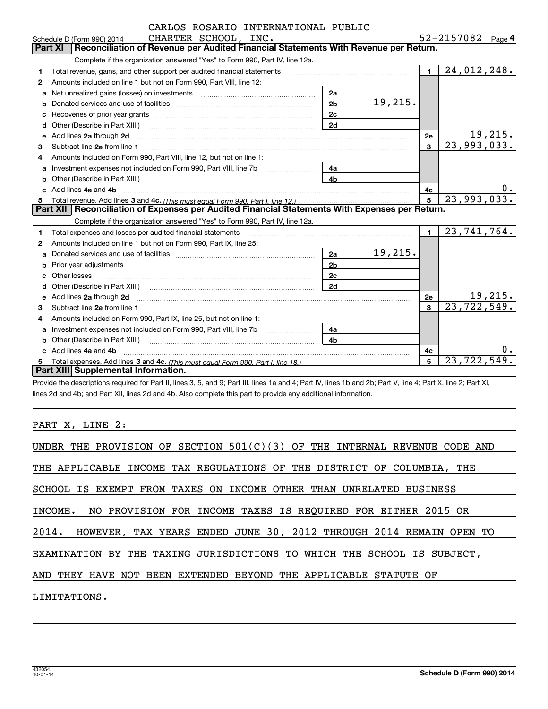|   | CARLOS ROSARIO INTERNATIONAL PUBLIC                                                                                                                                                                                            |                |         |                |                              |
|---|--------------------------------------------------------------------------------------------------------------------------------------------------------------------------------------------------------------------------------|----------------|---------|----------------|------------------------------|
|   | CHARTER SCHOOL, INC.<br>Schedule D (Form 990) 2014                                                                                                                                                                             |                |         |                | 52-2157082 Page 4            |
|   | Reconciliation of Revenue per Audited Financial Statements With Revenue per Return.<br>Part XI                                                                                                                                 |                |         |                |                              |
|   | Complete if the organization answered "Yes" to Form 990, Part IV, line 12a.                                                                                                                                                    |                |         |                |                              |
| 1 | Total revenue, gains, and other support per audited financial statements                                                                                                                                                       |                |         | $\blacksquare$ | 24,012,248.                  |
| 2 | Amounts included on line 1 but not on Form 990, Part VIII, line 12:                                                                                                                                                            |                |         |                |                              |
| a | Net unrealized gains (losses) on investments                                                                                                                                                                                   | 2a             |         |                |                              |
| b |                                                                                                                                                                                                                                | 2 <sub>b</sub> | 19,215. |                |                              |
| c |                                                                                                                                                                                                                                | 2c             |         |                |                              |
| d | Other (Describe in Part XIII.) <b>Construction Contract Construction</b> Chemistry Chemistry Chemistry Chemistry Chemistry                                                                                                     | 2d             |         |                |                              |
| е | Add lines 2a through 2d                                                                                                                                                                                                        |                |         | 2e             | $\frac{19,215}{23,993,033.}$ |
| 3 |                                                                                                                                                                                                                                |                |         | 3              |                              |
| 4 | Amounts included on Form 990, Part VIII, line 12, but not on line 1:                                                                                                                                                           |                |         |                |                              |
| a | Investment expenses not included on Form 990, Part VIII, line 7b [100] [100] [100] [100] [100] [100] [100] [10                                                                                                                 | 4a             |         |                |                              |
| b |                                                                                                                                                                                                                                | 4 <sub>h</sub> |         |                |                              |
|   | Add lines 4a and 4b                                                                                                                                                                                                            |                |         | 4c             | $0$ .                        |
| 5 |                                                                                                                                                                                                                                |                | 5       | 23,993,033.    |                              |
|   | Part XII   Reconciliation of Expenses per Audited Financial Statements With Expenses per Return.                                                                                                                               |                |         |                |                              |
|   | Complete if the organization answered "Yes" to Form 990, Part IV, line 12a.                                                                                                                                                    |                |         |                |                              |
| 1 | Total expenses and losses per audited financial statements [11,11] [11] Total expenses and losses per audited financial statements [11] [11] Total expenses and losses per audited financial statements                        |                |         | $\blacksquare$ | $\overline{23,741,764}$ .    |
| 2 | Amounts included on line 1 but not on Form 990, Part IX, line 25:                                                                                                                                                              |                |         |                |                              |
| a |                                                                                                                                                                                                                                | 2a             | 19,215. |                |                              |
| b | Prior year adjustments entertainment and the control of the control of the control of the control of the control of the control of the control of the control of the control of the control of the control of the control of t | 2 <sub>b</sub> |         |                |                              |
|   |                                                                                                                                                                                                                                | 2 <sub>c</sub> |         |                |                              |
| d |                                                                                                                                                                                                                                | 2d             |         |                |                              |
| е | Add lines 2a through 2d <b>continuum contract and all and all and all and all and all and all and all and all and a</b>                                                                                                        |                |         | 2e             | 19,215.                      |
| 3 |                                                                                                                                                                                                                                |                |         | $\mathbf{3}$   | 23, 722, 549.                |
| 4 | Amounts included on Form 990, Part IX, line 25, but not on line 1:                                                                                                                                                             |                |         |                |                              |
| a |                                                                                                                                                                                                                                | 4a             |         |                |                              |
| b |                                                                                                                                                                                                                                | 4 <sub>h</sub> |         |                |                              |
|   | Add lines 4a and 4b                                                                                                                                                                                                            |                |         | 4c             | 0.                           |
| 5 |                                                                                                                                                                                                                                |                |         | 5              | $23,72\overline{2,549}$      |
|   | Part XIII Supplemental Information.                                                                                                                                                                                            |                |         |                |                              |

Provide the descriptions required for Part II, lines 3, 5, and 9; Part III, lines 1a and 4; Part IV, lines 1b and 2b; Part V, line 4; Part X, line 2; Part XI, lines 2d and 4b; and Part XII, lines 2d and 4b. Also complete this part to provide any additional information.

## PART X, LINE 2: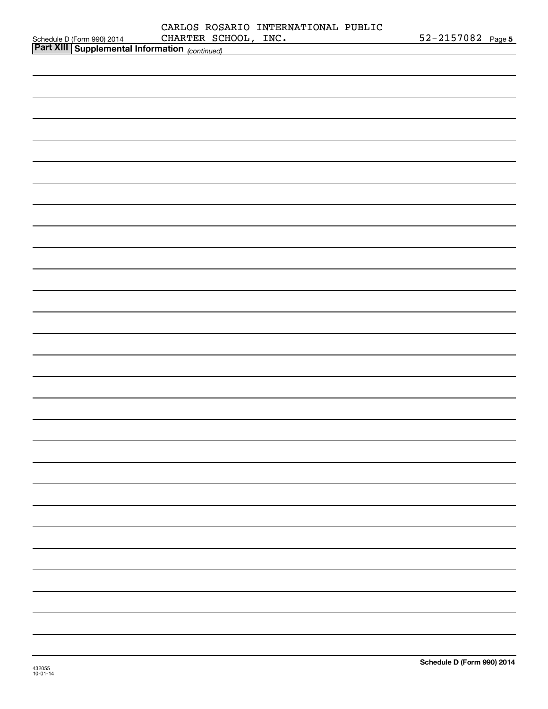| CARLOS ROSARIO INTERNATIONAL PUBLIC                                                                                                  |                   |
|--------------------------------------------------------------------------------------------------------------------------------------|-------------------|
| CHARTER SCHOOL, INC.<br>Schedule D (Form 990) 2014 CHARTER SCHOOL, INC.<br>Part XIII Supplemental Information <sub>(continued)</sub> | 52-2157082 Page 5 |
|                                                                                                                                      |                   |
|                                                                                                                                      |                   |
|                                                                                                                                      |                   |
|                                                                                                                                      |                   |
|                                                                                                                                      |                   |
|                                                                                                                                      |                   |
|                                                                                                                                      |                   |
|                                                                                                                                      |                   |
|                                                                                                                                      |                   |
|                                                                                                                                      |                   |
|                                                                                                                                      |                   |
|                                                                                                                                      |                   |
|                                                                                                                                      |                   |
|                                                                                                                                      |                   |
|                                                                                                                                      |                   |
|                                                                                                                                      |                   |
|                                                                                                                                      |                   |
|                                                                                                                                      |                   |
|                                                                                                                                      |                   |
|                                                                                                                                      |                   |
|                                                                                                                                      |                   |
|                                                                                                                                      |                   |
|                                                                                                                                      |                   |
|                                                                                                                                      |                   |
|                                                                                                                                      |                   |
|                                                                                                                                      |                   |
|                                                                                                                                      |                   |
|                                                                                                                                      |                   |
|                                                                                                                                      |                   |
|                                                                                                                                      |                   |
|                                                                                                                                      |                   |
|                                                                                                                                      |                   |
|                                                                                                                                      |                   |
|                                                                                                                                      |                   |
|                                                                                                                                      |                   |
|                                                                                                                                      |                   |
|                                                                                                                                      |                   |
|                                                                                                                                      |                   |
|                                                                                                                                      |                   |
|                                                                                                                                      |                   |
|                                                                                                                                      |                   |
|                                                                                                                                      |                   |
|                                                                                                                                      |                   |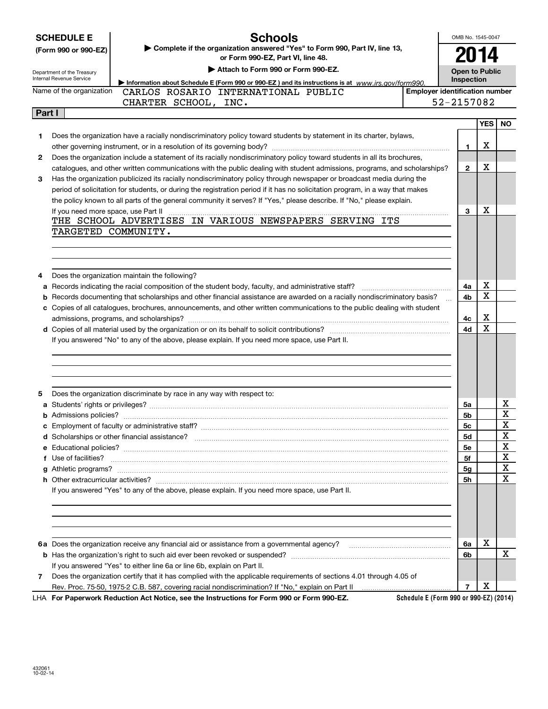|        | <b>Schools</b><br><b>SCHEDULE E</b>                                                                                                                                                                                                  | OMB No. 1545-0047 |                                       |             |  |
|--------|--------------------------------------------------------------------------------------------------------------------------------------------------------------------------------------------------------------------------------------|-------------------|---------------------------------------|-------------|--|
|        | > Complete if the organization answered "Yes" to Form 990, Part IV, line 13,<br>(Form 990 or 990-EZ)<br>or Form 990-EZ, Part VI, line 48.                                                                                            |                   | 2014                                  |             |  |
|        | Attach to Form 990 or Form 990-EZ.                                                                                                                                                                                                   |                   | <b>Open to Public</b>                 |             |  |
|        | Department of the Treasury<br>Internal Revenue Service<br>Information about Schedule E (Form 990 or 990-EZ) and its instructions is at www.irs.gov/form990.                                                                          | Inspection        |                                       |             |  |
|        | Name of the organization<br>CARLOS ROSARIO INTERNATIONAL PUBLIC                                                                                                                                                                      |                   | <b>Emplover identification number</b> |             |  |
|        | CHARTER SCHOOL, INC.                                                                                                                                                                                                                 | 52-2157082        |                                       |             |  |
| Part I |                                                                                                                                                                                                                                      |                   |                                       |             |  |
|        |                                                                                                                                                                                                                                      |                   | <b>YES</b>                            | <b>NO</b>   |  |
| 1.     | Does the organization have a racially nondiscriminatory policy toward students by statement in its charter, bylaws,                                                                                                                  |                   |                                       |             |  |
|        |                                                                                                                                                                                                                                      | 1                 | X                                     |             |  |
| 2      | Does the organization include a statement of its racially nondiscriminatory policy toward students in all its brochures,                                                                                                             |                   |                                       |             |  |
|        | catalogues, and other written communications with the public dealing with student admissions, programs, and scholarships?                                                                                                            | $\mathbf{2}$      | х                                     |             |  |
| З      | Has the organization publicized its racially nondiscriminatory policy through newspaper or broadcast media during the                                                                                                                |                   |                                       |             |  |
|        | period of solicitation for students, or during the registration period if it has no solicitation program, in a way that makes                                                                                                        |                   |                                       |             |  |
|        | the policy known to all parts of the general community it serves? If "Yes," please describe. If "No," please explain.                                                                                                                |                   |                                       |             |  |
|        |                                                                                                                                                                                                                                      | 3                 | х                                     |             |  |
|        | THE SCHOOL ADVERTISES IN VARIOUS NEWSPAPERS SERVING ITS                                                                                                                                                                              |                   |                                       |             |  |
|        | TARGETED COMMUNITY.                                                                                                                                                                                                                  |                   |                                       |             |  |
|        |                                                                                                                                                                                                                                      |                   |                                       |             |  |
|        |                                                                                                                                                                                                                                      |                   |                                       |             |  |
|        |                                                                                                                                                                                                                                      |                   |                                       |             |  |
| 4      | Does the organization maintain the following?                                                                                                                                                                                        |                   |                                       |             |  |
| а      |                                                                                                                                                                                                                                      | 4a                | х<br>X                                |             |  |
| b      | Records documenting that scholarships and other financial assistance are awarded on a racially nondiscriminatory basis?                                                                                                              | 4b                |                                       |             |  |
|        | c Copies of all catalogues, brochures, announcements, and other written communications to the public dealing with student                                                                                                            |                   | X                                     |             |  |
|        |                                                                                                                                                                                                                                      | 4c                | Χ                                     |             |  |
|        |                                                                                                                                                                                                                                      | 4d                |                                       |             |  |
|        | If you answered "No" to any of the above, please explain. If you need more space, use Part II.                                                                                                                                       |                   |                                       |             |  |
|        |                                                                                                                                                                                                                                      |                   |                                       |             |  |
|        |                                                                                                                                                                                                                                      |                   |                                       |             |  |
|        |                                                                                                                                                                                                                                      |                   |                                       |             |  |
| 5      | Does the organization discriminate by race in any way with respect to:                                                                                                                                                               |                   |                                       |             |  |
|        |                                                                                                                                                                                                                                      | 5a                |                                       | x           |  |
|        |                                                                                                                                                                                                                                      | 5b                |                                       | X           |  |
|        | Employment of faculty or administrative staff?                                                                                                                                                                                       | 5c                |                                       | X           |  |
|        |                                                                                                                                                                                                                                      | 5d                |                                       | X           |  |
|        |                                                                                                                                                                                                                                      | 5е                |                                       | X           |  |
|        | Use of facilities? <b>With the Contract of the Contract of the Contract of the Contract of the Contract of the Contract of the Contract of the Contract of the Contract of the Contract of the Contract of the Contract of the C</b> | 5f                |                                       | $\mathbf X$ |  |
| g      |                                                                                                                                                                                                                                      | 5g                |                                       | X           |  |
|        |                                                                                                                                                                                                                                      | 5h                |                                       | X           |  |
|        | If you answered "Yes" to any of the above, please explain. If you need more space, use Part II.                                                                                                                                      |                   |                                       |             |  |
|        |                                                                                                                                                                                                                                      |                   |                                       |             |  |
|        |                                                                                                                                                                                                                                      |                   |                                       |             |  |
|        |                                                                                                                                                                                                                                      |                   |                                       |             |  |
|        |                                                                                                                                                                                                                                      |                   |                                       |             |  |
|        | 6a Does the organization receive any financial aid or assistance from a governmental agency?                                                                                                                                         | 6a                | X                                     |             |  |
|        |                                                                                                                                                                                                                                      | 6b                |                                       | X           |  |
|        | If you answered "Yes" to either line 6a or line 6b, explain on Part II.                                                                                                                                                              |                   |                                       |             |  |
| 7      | Does the organization certify that it has complied with the applicable requirements of sections 4.01 through 4.05 of                                                                                                                 |                   |                                       |             |  |
|        |                                                                                                                                                                                                                                      | $\overline{7}$    | х                                     |             |  |
|        |                                                                                                                                                                                                                                      |                   |                                       |             |  |

**For Paperwork Reduction Act Notice, see the Instructions for Form 990 or Form 990-EZ.** LHA

**Schedule E (Form 990 or 990-EZ) (2014)**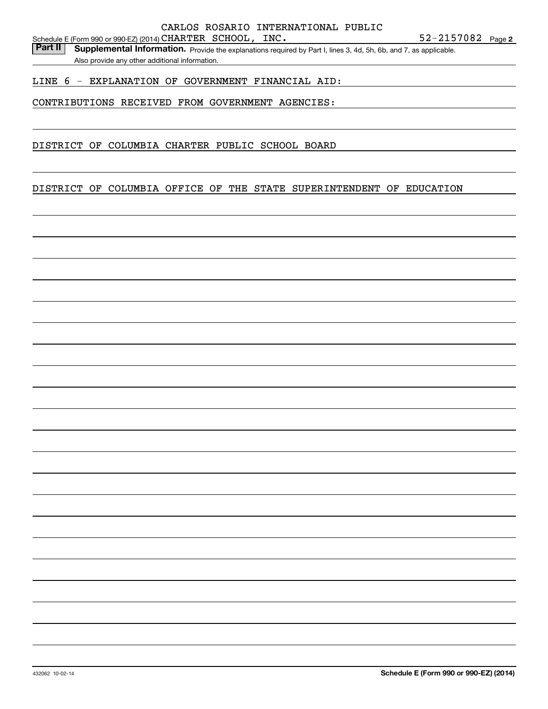Part II | Supplemental Information. Provide the explanations required by Part I, lines 3, 4d, 5h, 6b, and 7, as applicable. Also provide any other additional information.

### LINE 6 - EXPLANATION OF GOVERNMENT FINANCIAL AID:

## CONTRIBUTIONS RECEIVED FROM GOVERNMENT AGENCIES:

DISTRICT OF COLUMBIA CHARTER PUBLIC SCHOOL BOARD

### DISTRICT OF COLUMBIA OFFICE OF THE STATE SUPERINTENDENT OF EDUCATION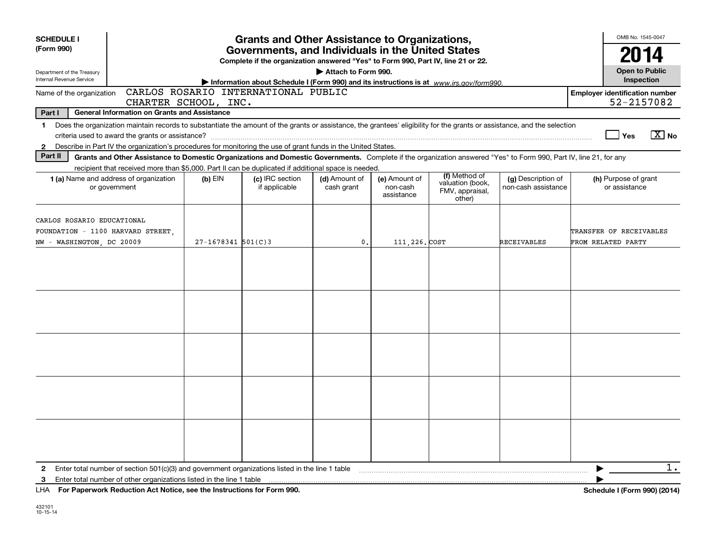| <b>SCHEDULE I</b>                                                                            |                                                                                                                                                                                                                                                                                                                                               |                        | <b>Grants and Other Assistance to Organizations,</b>                                                                                  |                             |                                         |                                                                |                                           | OMB No. 1545-0047                                   |        |
|----------------------------------------------------------------------------------------------|-----------------------------------------------------------------------------------------------------------------------------------------------------------------------------------------------------------------------------------------------------------------------------------------------------------------------------------------------|------------------------|---------------------------------------------------------------------------------------------------------------------------------------|-----------------------------|-----------------------------------------|----------------------------------------------------------------|-------------------------------------------|-----------------------------------------------------|--------|
| (Form 990)                                                                                   |                                                                                                                                                                                                                                                                                                                                               |                        | Governments, and Individuals in the United States<br>Complete if the organization answered "Yes" to Form 990, Part IV, line 21 or 22. |                             |                                         |                                                                |                                           | 2014                                                |        |
| Department of the Treasury<br>Internal Revenue Service                                       |                                                                                                                                                                                                                                                                                                                                               |                        | Information about Schedule I (Form 990) and its instructions is at $www.irs.gov/form990$ .                                            | Attach to Form 990.         |                                         |                                                                |                                           | <b>Open to Public</b><br>Inspection                 |        |
| Name of the organization                                                                     | CHARTER SCHOOL, INC.                                                                                                                                                                                                                                                                                                                          |                        | CARLOS ROSARIO INTERNATIONAL PUBLIC                                                                                                   |                             |                                         |                                                                |                                           | <b>Employer identification number</b><br>52-2157082 |        |
| Part I                                                                                       | <b>General Information on Grants and Assistance</b>                                                                                                                                                                                                                                                                                           |                        |                                                                                                                                       |                             |                                         |                                                                |                                           |                                                     |        |
| $\mathbf{1}$<br>$\mathbf{2}$                                                                 | Does the organization maintain records to substantiate the amount of the grants or assistance, the grantees' eligibility for the grants or assistance, and the selection<br>criteria used to award the grants or assistance?<br>Describe in Part IV the organization's procedures for monitoring the use of grant funds in the United States. |                        |                                                                                                                                       |                             |                                         |                                                                |                                           | Yes                                                 | $X$ No |
| Part II                                                                                      | Grants and Other Assistance to Domestic Organizations and Domestic Governments. Complete if the organization answered "Yes" to Form 990, Part IV, line 21, for any                                                                                                                                                                            |                        |                                                                                                                                       |                             |                                         |                                                                |                                           |                                                     |        |
|                                                                                              | recipient that received more than \$5,000. Part II can be duplicated if additional space is needed.<br>1 (a) Name and address of organization<br>or government                                                                                                                                                                                | $(b)$ EIN              | (c) IRC section<br>if applicable                                                                                                      | (d) Amount of<br>cash grant | (e) Amount of<br>non-cash<br>assistance | (f) Method of<br>valuation (book,<br>FMV, appraisal,<br>other) | (g) Description of<br>non-cash assistance | (h) Purpose of grant<br>or assistance               |        |
| CARLOS ROSARIO EDUCATIONAL<br>FOUNDATION - 1100 HARVARD STREET,<br>NW - WASHINGTON, DC 20009 |                                                                                                                                                                                                                                                                                                                                               | $27 - 1678341$ 501(C)3 |                                                                                                                                       | $\mathbf{0}$ .              | 111, 226. COST                          |                                                                | <b>RECEIVABLES</b>                        | TRANSFER OF RECEIVABLES<br>FROM RELATED PARTY       |        |
|                                                                                              |                                                                                                                                                                                                                                                                                                                                               |                        |                                                                                                                                       |                             |                                         |                                                                |                                           |                                                     |        |
|                                                                                              |                                                                                                                                                                                                                                                                                                                                               |                        |                                                                                                                                       |                             |                                         |                                                                |                                           |                                                     |        |
|                                                                                              |                                                                                                                                                                                                                                                                                                                                               |                        |                                                                                                                                       |                             |                                         |                                                                |                                           |                                                     |        |
|                                                                                              |                                                                                                                                                                                                                                                                                                                                               |                        |                                                                                                                                       |                             |                                         |                                                                |                                           |                                                     |        |
|                                                                                              |                                                                                                                                                                                                                                                                                                                                               |                        |                                                                                                                                       |                             |                                         |                                                                |                                           |                                                     |        |
| 2<br>3                                                                                       | Enter total number of section $501(c)(3)$ and government organizations listed in the line 1 table<br>Enter total number of other organizations listed in the line 1 table                                                                                                                                                                     |                        |                                                                                                                                       |                             |                                         |                                                                |                                           |                                                     | $1$ .  |

**For Paperwork Reduction Act Notice, see the Instructions for Form 990. Schedule I (Form 990) (2014)** LHA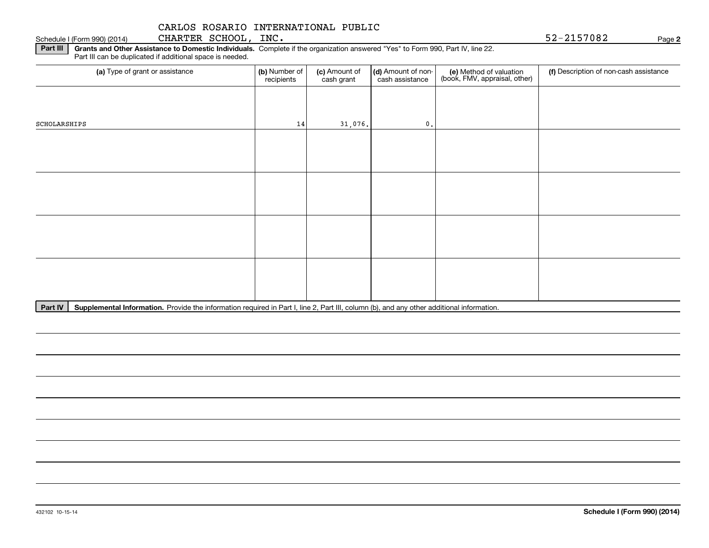Schedule I (Form 990) (2014) CHARTER SCHOOL, INC. 5 2-21570 8 2 Page

**2**

**Part III | Grants and Other Assistance to Domestic Individuals. Complete if the organization answered "Yes" to Form 990, Part IV, line 22.** Part III can be duplicated if additional space is needed.

| (a) Type of grant or assistance | (b) Number of<br>recipients | (c) Amount of<br>cash grant | (d) Amount of non-<br>cash assistance | (e) Method of valuation<br>(book, FMV, appraisal, other) | (f) Description of non-cash assistance |
|---------------------------------|-----------------------------|-----------------------------|---------------------------------------|----------------------------------------------------------|----------------------------------------|
|                                 |                             |                             |                                       |                                                          |                                        |
| SCHOLARSHIPS                    | 14                          | 31,076.                     | $\mathbf{0}$ .                        |                                                          |                                        |
|                                 |                             |                             |                                       |                                                          |                                        |
|                                 |                             |                             |                                       |                                                          |                                        |
|                                 |                             |                             |                                       |                                                          |                                        |
|                                 |                             |                             |                                       |                                                          |                                        |
|                                 |                             |                             |                                       |                                                          |                                        |
|                                 |                             |                             |                                       |                                                          |                                        |
|                                 |                             |                             |                                       |                                                          |                                        |
|                                 |                             |                             |                                       |                                                          |                                        |

Part IV | Supplemental Information. Provide the information required in Part I, line 2, Part III, column (b), and any other additional information.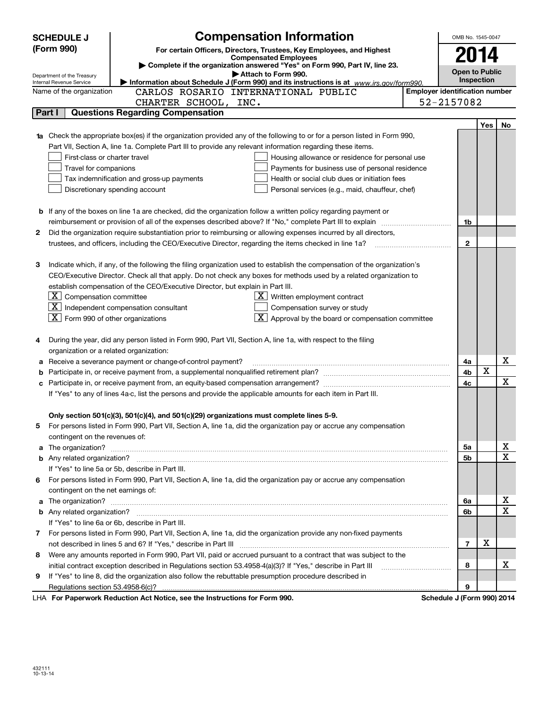|        | <b>SCHEDULE J</b>                                                                 | <b>Compensation Information</b>                                                                                                                                                                                                      |                                       | OMB No. 1545-0047          |     |    |  |  |
|--------|-----------------------------------------------------------------------------------|--------------------------------------------------------------------------------------------------------------------------------------------------------------------------------------------------------------------------------------|---------------------------------------|----------------------------|-----|----|--|--|
|        | (Form 990)                                                                        | For certain Officers, Directors, Trustees, Key Employees, and Highest                                                                                                                                                                |                                       |                            |     |    |  |  |
|        |                                                                                   | <b>Compensated Employees</b>                                                                                                                                                                                                         |                                       | 2014                       |     |    |  |  |
|        | Department of the Treasury                                                        | Complete if the organization answered "Yes" on Form 990, Part IV, line 23.<br>Attach to Form 990.                                                                                                                                    |                                       | <b>Open to Public</b>      |     |    |  |  |
|        | Internal Revenue Service                                                          | Information about Schedule J (Form 990) and its instructions is at $www.irs.gov/form990$ .                                                                                                                                           |                                       | Inspection                 |     |    |  |  |
|        | Name of the organization                                                          | CARLOS ROSARIO INTERNATIONAL PUBLIC                                                                                                                                                                                                  | <b>Employer identification number</b> |                            |     |    |  |  |
|        |                                                                                   | CHARTER SCHOOL, INC.                                                                                                                                                                                                                 |                                       | 52-2157082                 |     |    |  |  |
| Part I |                                                                                   | <b>Questions Regarding Compensation</b>                                                                                                                                                                                              |                                       |                            |     |    |  |  |
|        |                                                                                   |                                                                                                                                                                                                                                      |                                       |                            | Yes | No |  |  |
|        |                                                                                   | 1a Check the appropriate box(es) if the organization provided any of the following to or for a person listed in Form 990,                                                                                                            |                                       |                            |     |    |  |  |
|        |                                                                                   | Part VII, Section A, line 1a. Complete Part III to provide any relevant information regarding these items.                                                                                                                           |                                       |                            |     |    |  |  |
|        | First-class or charter travel                                                     | Housing allowance or residence for personal use                                                                                                                                                                                      |                                       |                            |     |    |  |  |
|        | Travel for companions                                                             | Payments for business use of personal residence                                                                                                                                                                                      |                                       |                            |     |    |  |  |
|        |                                                                                   | Tax indemnification and gross-up payments<br>Health or social club dues or initiation fees                                                                                                                                           |                                       |                            |     |    |  |  |
|        | Discretionary spending account<br>Personal services (e.g., maid, chauffeur, chef) |                                                                                                                                                                                                                                      |                                       |                            |     |    |  |  |
|        |                                                                                   |                                                                                                                                                                                                                                      |                                       |                            |     |    |  |  |
|        |                                                                                   | <b>b</b> If any of the boxes on line 1a are checked, did the organization follow a written policy regarding payment or                                                                                                               |                                       |                            |     |    |  |  |
|        |                                                                                   |                                                                                                                                                                                                                                      |                                       | 1b                         |     |    |  |  |
| 2      |                                                                                   | Did the organization require substantiation prior to reimbursing or allowing expenses incurred by all directors,                                                                                                                     |                                       |                            |     |    |  |  |
|        |                                                                                   | trustees, and officers, including the CEO/Executive Director, regarding the items checked in line 1a?                                                                                                                                |                                       | $\mathbf{2}$               |     |    |  |  |
|        |                                                                                   |                                                                                                                                                                                                                                      |                                       |                            |     |    |  |  |
| З      |                                                                                   | Indicate which, if any, of the following the filing organization used to establish the compensation of the organization's                                                                                                            |                                       |                            |     |    |  |  |
|        |                                                                                   | CEO/Executive Director. Check all that apply. Do not check any boxes for methods used by a related organization to                                                                                                                   |                                       |                            |     |    |  |  |
|        |                                                                                   | establish compensation of the CEO/Executive Director, but explain in Part III.                                                                                                                                                       |                                       |                            |     |    |  |  |
|        | $\boxed{\text{X}}$ Compensation committee                                         | $X$ Written employment contract                                                                                                                                                                                                      |                                       |                            |     |    |  |  |
|        |                                                                                   | $\boxed{\text{X}}$ Independent compensation consultant<br>Compensation survey or study                                                                                                                                               |                                       |                            |     |    |  |  |
|        | $\boxed{\text{X}}$ Form 990 of other organizations                                | $\boxed{\textbf{X}}$ Approval by the board or compensation committee                                                                                                                                                                 |                                       |                            |     |    |  |  |
|        |                                                                                   |                                                                                                                                                                                                                                      |                                       |                            |     |    |  |  |
| 4      |                                                                                   | During the year, did any person listed in Form 990, Part VII, Section A, line 1a, with respect to the filing                                                                                                                         |                                       |                            |     |    |  |  |
|        | organization or a related organization:                                           |                                                                                                                                                                                                                                      |                                       |                            |     | X  |  |  |
| а      |                                                                                   | Receive a severance payment or change-of-control payment?                                                                                                                                                                            |                                       | 4a<br>4b                   | X   |    |  |  |
| b      |                                                                                   |                                                                                                                                                                                                                                      |                                       | 4с                         |     | х  |  |  |
| c      |                                                                                   | If "Yes" to any of lines 4a-c, list the persons and provide the applicable amounts for each item in Part III.                                                                                                                        |                                       |                            |     |    |  |  |
|        |                                                                                   |                                                                                                                                                                                                                                      |                                       |                            |     |    |  |  |
|        |                                                                                   | Only section 501(c)(3), 501(c)(4), and 501(c)(29) organizations must complete lines 5-9.                                                                                                                                             |                                       |                            |     |    |  |  |
|        |                                                                                   | For persons listed in Form 990, Part VII, Section A, line 1a, did the organization pay or accrue any compensation                                                                                                                    |                                       |                            |     |    |  |  |
|        | contingent on the revenues of:                                                    |                                                                                                                                                                                                                                      |                                       |                            |     |    |  |  |
|        |                                                                                   | a The organization? <b>Constitution</b> and the organization?                                                                                                                                                                        |                                       | 5a                         |     | х  |  |  |
|        |                                                                                   |                                                                                                                                                                                                                                      |                                       | 5b                         |     | х  |  |  |
|        |                                                                                   | If "Yes" to line 5a or 5b, describe in Part III.                                                                                                                                                                                     |                                       |                            |     |    |  |  |
| 6.     |                                                                                   | For persons listed in Form 990, Part VII, Section A, line 1a, did the organization pay or accrue any compensation                                                                                                                    |                                       |                            |     |    |  |  |
|        | contingent on the net earnings of:                                                |                                                                                                                                                                                                                                      |                                       |                            |     |    |  |  |
| a      |                                                                                   | The organization? <b>With the contract of the contract of the contract of the contract of the contract of the contract of the contract of the contract of the contract of the contract of the contract of the contract of the co</b> |                                       | 6a                         |     | х  |  |  |
|        |                                                                                   |                                                                                                                                                                                                                                      |                                       | 6b                         |     | Х  |  |  |
|        |                                                                                   | If "Yes" to line 6a or 6b, describe in Part III.                                                                                                                                                                                     |                                       |                            |     |    |  |  |
|        |                                                                                   | 7 For persons listed in Form 990, Part VII, Section A, line 1a, did the organization provide any non-fixed payments                                                                                                                  |                                       |                            |     |    |  |  |
|        |                                                                                   |                                                                                                                                                                                                                                      |                                       | $\overline{7}$             | X   |    |  |  |
| 8      |                                                                                   | Were any amounts reported in Form 990, Part VII, paid or accrued pursuant to a contract that was subject to the                                                                                                                      |                                       |                            |     |    |  |  |
|        |                                                                                   | initial contract exception described in Regulations section 53.4958-4(a)(3)? If "Yes," describe in Part III                                                                                                                          |                                       | 8                          |     | x  |  |  |
| 9      |                                                                                   | If "Yes" to line 8, did the organization also follow the rebuttable presumption procedure described in                                                                                                                               |                                       |                            |     |    |  |  |
|        | Regulations section 53.4958-6(c)?                                                 |                                                                                                                                                                                                                                      |                                       | 9                          |     |    |  |  |
|        |                                                                                   | LHA For Paperwork Reduction Act Notice, see the Instructions for Form 990.                                                                                                                                                           |                                       | Schedule J (Form 990) 2014 |     |    |  |  |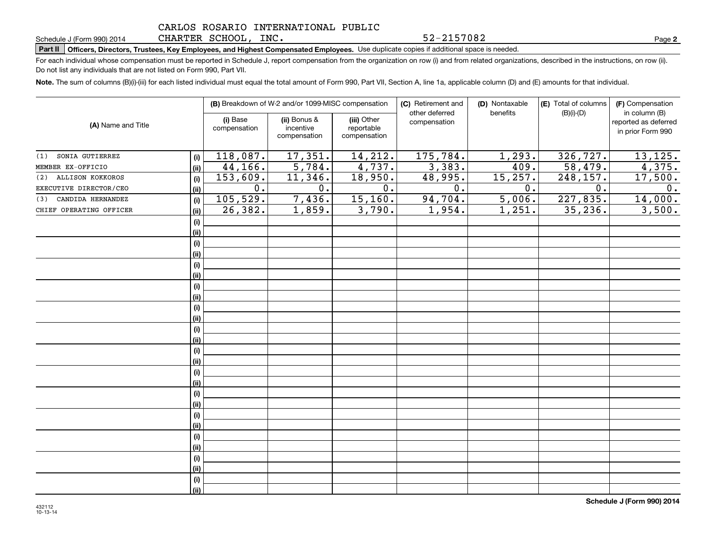CHARTER SCHOOL, INC.

# **Part II Officers, Directors, Trustees, Key Employees, and Highest Compensated Employees.**  Schedule J (Form 990) 2014 Page Use duplicate copies if additional space is needed.

For each individual whose compensation must be reported in Schedule J, report compensation from the organization on row (i) and from related organizations, described in the instructions, on row (ii). Do not list any individuals that are not listed on Form 990, Part VII.

**Note.**  The sum of columns (B)(i)-(iii) for each listed individual must equal the total amount of Form 990, Part VII, Section A, line 1a, applicable column (D) and (E) amounts for that individual.

|                          |      |                          | (B) Breakdown of W-2 and/or 1099-MISC compensation |                                           | (C) Retirement and<br>other deferred | (D) Nontaxable<br>benefits | (E) Total of columns<br>$(B)(i)-(D)$ | (F) Compensation<br>in column (B)         |
|--------------------------|------|--------------------------|----------------------------------------------------|-------------------------------------------|--------------------------------------|----------------------------|--------------------------------------|-------------------------------------------|
| (A) Name and Title       |      | (i) Base<br>compensation | (ii) Bonus &<br>incentive<br>compensation          | (iii) Other<br>reportable<br>compensation | compensation                         |                            |                                      | reported as deferred<br>in prior Form 990 |
| SONIA GUTIERREZ<br>(1)   | (i)  | 118,087.                 | 17,351.                                            | 14,212.                                   | 175,784.                             | 1,293.                     | 326, 727.                            | 13, 125.                                  |
| MEMBER EX-OFFICIO        | (ii) | 44,166.                  | 5,784.                                             | 4,737.                                    | 3,383.                               | 409.                       | 58,479.                              | 4,375.                                    |
| (2) ALLISON KOKKOROS     | (i)  | 153,609.                 | 11,346.                                            | 18,950.                                   | 48,995.                              | 15, 257.                   | 248, 157.                            | 17,500.                                   |
| EXECUTIVE DIRECTOR/CEO   | (ii) | $\overline{0}$ .         | 0.                                                 | $\overline{0}$ .                          | $\overline{0}$ .                     | 0.                         | 0.                                   | 0.                                        |
| CANDIDA HERNANDEZ<br>(3) | (i)  | 105,529.                 | 7,436.                                             | 15, 160.                                  | 94,704.                              | 5,006.                     | 227,835.                             | 14,000.                                   |
| CHIEF OPERATING OFFICER  | (ii) | 26,382.                  | 1,859.                                             | 3,790.                                    | 1,954.                               | 1,251.                     | 35, 236.                             | 3,500.                                    |
|                          | (i)  |                          |                                                    |                                           |                                      |                            |                                      |                                           |
|                          | (ii) |                          |                                                    |                                           |                                      |                            |                                      |                                           |
|                          | (i)  |                          |                                                    |                                           |                                      |                            |                                      |                                           |
|                          | (ii) |                          |                                                    |                                           |                                      |                            |                                      |                                           |
|                          | (i)  |                          |                                                    |                                           |                                      |                            |                                      |                                           |
|                          | (ii) |                          |                                                    |                                           |                                      |                            |                                      |                                           |
|                          | (i)  |                          |                                                    |                                           |                                      |                            |                                      |                                           |
|                          | (ii) |                          |                                                    |                                           |                                      |                            |                                      |                                           |
|                          | (i)  |                          |                                                    |                                           |                                      |                            |                                      |                                           |
|                          | (ii) |                          |                                                    |                                           |                                      |                            |                                      |                                           |
|                          | (i)  |                          |                                                    |                                           |                                      |                            |                                      |                                           |
|                          | (ii) |                          |                                                    |                                           |                                      |                            |                                      |                                           |
|                          | (i)  |                          |                                                    |                                           |                                      |                            |                                      |                                           |
|                          | (ii) |                          |                                                    |                                           |                                      |                            |                                      |                                           |
|                          | (i)  |                          |                                                    |                                           |                                      |                            |                                      |                                           |
|                          | (ii) |                          |                                                    |                                           |                                      |                            |                                      |                                           |
|                          | (i)  |                          |                                                    |                                           |                                      |                            |                                      |                                           |
|                          | (ii) |                          |                                                    |                                           |                                      |                            |                                      |                                           |
|                          | (i)  |                          |                                                    |                                           |                                      |                            |                                      |                                           |
|                          | (ii) |                          |                                                    |                                           |                                      |                            |                                      |                                           |
|                          | (i)  |                          |                                                    |                                           |                                      |                            |                                      |                                           |
|                          | (ii) |                          |                                                    |                                           |                                      |                            |                                      |                                           |
|                          | (i)  |                          |                                                    |                                           |                                      |                            |                                      |                                           |
|                          | (ii) |                          |                                                    |                                           |                                      |                            |                                      |                                           |
|                          | (i)  |                          |                                                    |                                           |                                      |                            |                                      |                                           |
|                          | (ii) |                          |                                                    |                                           |                                      |                            |                                      |                                           |

**2**

52-2157082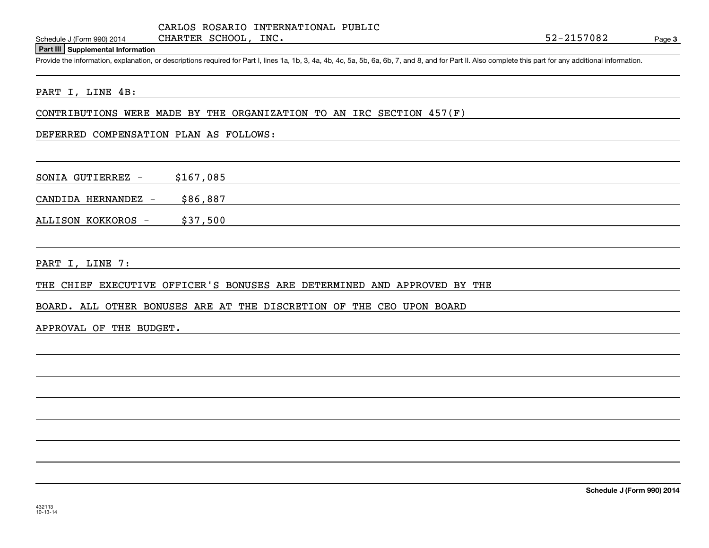CARLOS ROSARIO INTERNATIONAL PUBLIC CHARTER SCHOOL, INC.

#### **Part III Supplemental Information**

Schedule J (Form 990) 2014 CHARTER SCHOOL, INC.<br>
Part III Supplemental Information<br>
Provide the information, explanation, or descriptions required for Part I, lines 1a, 1b, 3, 4a, 4b, 4c, 5a, 5b, 6a, 6b, 7, and 8, and for

#### PART I, LINE 4B:

CONTRIBUTIONS WERE MADE BY THE ORGANIZATION TO AN IRC SECTION 457(F)

DEFERRED COMPENSATION PLAN AS FOLLOWS:

SONIA GUTIERREZ - \$167,085

CANDIDA HERNANDEZ  $-$  \$86,887

ALLISON KOKKOROS - \$37,500

PART I, LINE 7:

THE CHIEF EXECUTIVE OFFICER'S BONUSES ARE DETERMINED AND APPROVED BY THE

BOARD. ALL OTHER BONUSES ARE AT THE DISCRETION OF THE CEO UPON BOARD

APPROVAL OF THE BUDGET.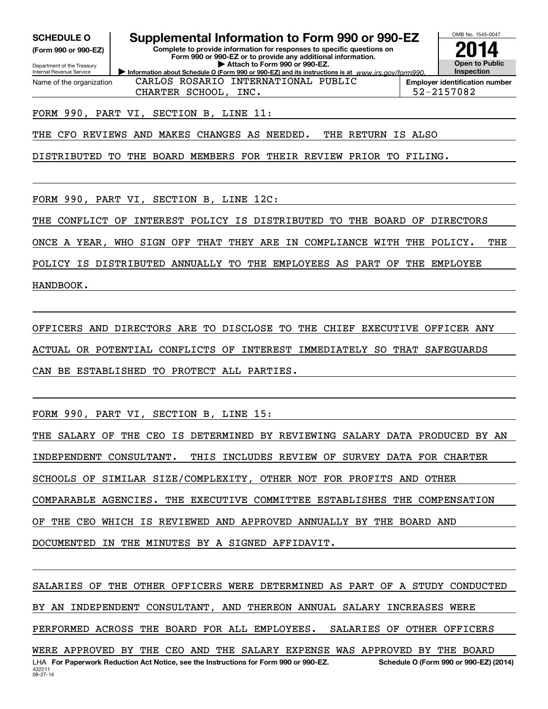**(Form 990 or 990-EZ)**

Department of the Treasury Internal Revenue Service Name of the organization

## **SCHEDULE O Supplemental Information to Form 990 or 990-EZ**

**Information about Schedule O (Form 990 or 990-EZ) and its instructions is at**  $www.irs.gov/form990.$ **Complete to provide information for responses to specific questions on Form 990 or 990-EZ or to provide any additional information. | Attach to Form 990 or 990-EZ.**



**Employer identification number** CHARTER SCHOOL, INC. 52-2157082

## FORM 990, PART VI, SECTION B, LINE 11:

THE CFO REVIEWS AND MAKES CHANGES AS NEEDED. THE RETURN IS ALSO

CARLOS ROSARIO INTERNATIONAL PUBLIC

DISTRIBUTED TO THE BOARD MEMBERS FOR THEIR REVIEW PRIOR TO FILING.

FORM 990, PART VI, SECTION B, LINE 12C:

THE CONFLICT OF INTEREST POLICY IS DISTRIBUTED TO THE BOARD OF DIRECTORS

ONCE A YEAR, WHO SIGN OFF THAT THEY ARE IN COMPLIANCE WITH THE POLICY. THE

POLICY IS DISTRIBUTED ANNUALLY TO THE EMPLOYEES AS PART OF THE EMPLOYEE

HANDBOOK.

OFFICERS AND DIRECTORS ARE TO DISCLOSE TO THE CHIEF EXECUTIVE OFFICER ANY ACTUAL OR POTENTIAL CONFLICTS OF INTEREST IMMEDIATELY SO THAT SAFEGUARDS CAN BE ESTABLISHED TO PROTECT ALL PARTIES.

FORM 990, PART VI, SECTION B, LINE 15:

THE SALARY OF THE CEO IS DETERMINED BY REVIEWING SALARY DATA PRODUCED BY AN INDEPENDENT CONSULTANT. THIS INCLUDES REVIEW OF SURVEY DATA FOR CHARTER SCHOOLS OF SIMILAR SIZE/COMPLEXITY, OTHER NOT FOR PROFITS AND OTHER COMPARABLE AGENCIES. THE EXECUTIVE COMMITTEE ESTABLISHES THE COMPENSATION OF THE CEO WHICH IS REVIEWED AND APPROVED ANNUALLY BY THE BOARD AND DOCUMENTED IN THE MINUTES BY A SIGNED AFFIDAVIT.

432211 08-27-14LHA For Paperwork Reduction Act Notice, see the Instructions for Form 990 or 990-EZ. Schedule O (Form 990 or 990-EZ) (2014) SALARIES OF THE OTHER OFFICERS WERE DETERMINED AS PART OF A STUDY CONDUCTED BY AN INDEPENDENT CONSULTANT, AND THEREON ANNUAL SALARY INCREASES WERE PERFORMED ACROSS THE BOARD FOR ALL EMPLOYEES. SALARIES OF OTHER OFFICERS WERE APPROVED BY THE CEO AND THE SALARY EXPENSE WAS APPROVED BY THE BOARD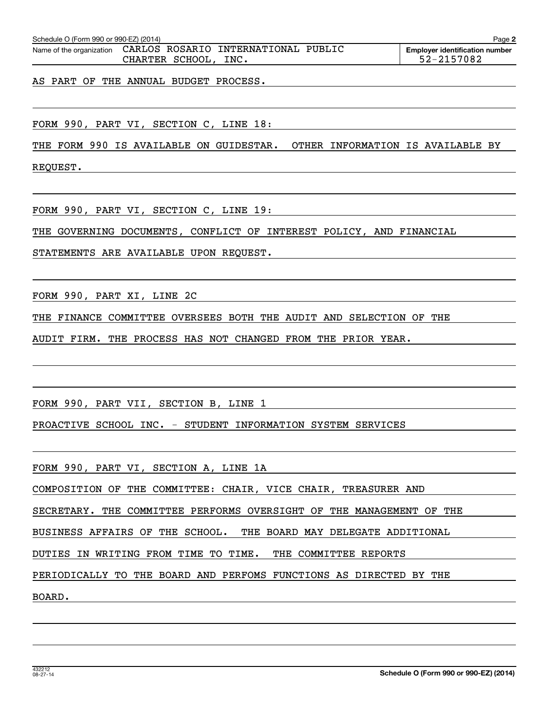| Schedule O (Form 990 or 990-EZ) (2014) |                 |                                                              | Page                                  |
|----------------------------------------|-----------------|--------------------------------------------------------------|---------------------------------------|
|                                        |                 | Name of the organization CARLOS ROSARIO INTERNATIONAL PUBLIC | <b>Emplover identification number</b> |
|                                        | CHARTER SCHOOL, | INC.                                                         | 52-2157082                            |

AS PART OF THE ANNUAL BUDGET PROCESS.

FORM 990, PART VI, SECTION C, LINE 18:

THE FORM 990 IS AVAILABLE ON GUIDESTAR. OTHER INFORMATION IS AVAILABLE BY

REQUEST.

FORM 990, PART VI, SECTION C, LINE 19:

THE GOVERNING DOCUMENTS, CONFLICT OF INTEREST POLICY, AND FINANCIAL

STATEMENTS ARE AVAILABLE UPON REQUEST.

FORM 990, PART XI, LINE 2C

THE FINANCE COMMITTEE OVERSEES BOTH THE AUDIT AND SELECTION OF THE

AUDIT FIRM. THE PROCESS HAS NOT CHANGED FROM THE PRIOR YEAR.

FORM 990, PART VII, SECTION B, LINE 1

PROACTIVE SCHOOL INC. - STUDENT INFORMATION SYSTEM SERVICES

FORM 990, PART VI, SECTION A, LINE 1A

COMPOSITION OF THE COMMITTEE: CHAIR, VICE CHAIR, TREASURER AND

SECRETARY. THE COMMITTEE PERFORMS OVERSIGHT OF THE MANAGEMENT OF THE

BUSINESS AFFAIRS OF THE SCHOOL. THE BOARD MAY DELEGATE ADDITIONAL

DUTIES IN WRITING FROM TIME TO TIME. THE COMMITTEE REPORTS

PERIODICALLY TO THE BOARD AND PERFOMS FUNCTIONS AS DIRECTED BY THE

BOARD.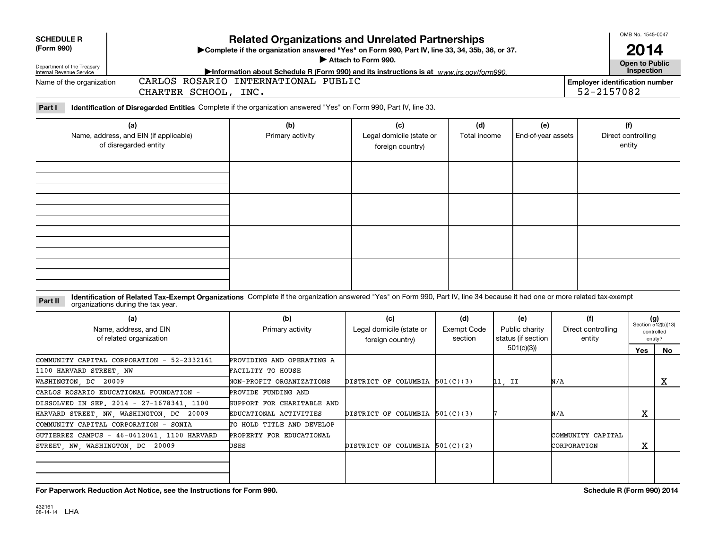| <b>SCHEDULE R</b><br>(Form 990)<br>Department of the Treasury<br>Internal Revenue Service<br>Name of the organization |                                                                                                                                                                                                                                                                              | <b>Related Organizations and Unrelated Partnerships</b><br>Complete if the organization answered "Yes" on Form 990, Part IV, line 33, 34, 35b, 36, or 37.<br>Attach to Form 990.<br>Information about Schedule R (Form 990) and its instructions is at www.jrs.gov/form990.<br>CARLOS ROSARIO INTERNATIONAL PUBLIC |                                                     | OMB No. 1545-0047<br><b>Open to Public</b><br>Inspection<br><b>Employer identification number</b> |                                             |                                     |                                     |                                                      |
|-----------------------------------------------------------------------------------------------------------------------|------------------------------------------------------------------------------------------------------------------------------------------------------------------------------------------------------------------------------------------------------------------------------|--------------------------------------------------------------------------------------------------------------------------------------------------------------------------------------------------------------------------------------------------------------------------------------------------------------------|-----------------------------------------------------|---------------------------------------------------------------------------------------------------|---------------------------------------------|-------------------------------------|-------------------------------------|------------------------------------------------------|
|                                                                                                                       | CHARTER SCHOOL, INC.                                                                                                                                                                                                                                                         |                                                                                                                                                                                                                                                                                                                    |                                                     |                                                                                                   |                                             | 52-2157082                          |                                     |                                                      |
| Part I                                                                                                                | Identification of Disregarded Entities Complete if the organization answered "Yes" on Form 990, Part IV, line 33.                                                                                                                                                            |                                                                                                                                                                                                                                                                                                                    |                                                     |                                                                                                   |                                             |                                     |                                     |                                                      |
| (a)<br>Name, address, and EIN (if applicable)<br>of disregarded entity                                                |                                                                                                                                                                                                                                                                              | (b)<br>Primary activity                                                                                                                                                                                                                                                                                            | (c)<br>Legal domicile (state or<br>foreign country) | (d)<br>Total income                                                                               | (e)<br>End-of-year assets                   |                                     | (f)<br>Direct controlling<br>entity |                                                      |
|                                                                                                                       |                                                                                                                                                                                                                                                                              |                                                                                                                                                                                                                                                                                                                    |                                                     |                                                                                                   |                                             |                                     |                                     |                                                      |
|                                                                                                                       |                                                                                                                                                                                                                                                                              |                                                                                                                                                                                                                                                                                                                    |                                                     |                                                                                                   |                                             |                                     |                                     |                                                      |
| Part II                                                                                                               | Identification of Related Tax-Exempt Organizations Complete if the organization answered "Yes" on Form 990, Part IV, line 34 because it had one or more related tax-exempt<br>organizations during the tax year.<br>(a)<br>Name, address, and EIN<br>of related organization | (b)<br>Primary activity                                                                                                                                                                                                                                                                                            | (c)<br>Legal domicile (state or<br>foreign country) | (d)<br><b>Exempt Code</b><br>section                                                              | (e)<br>Public charity<br>status (if section | (f)<br>Direct controlling<br>entity |                                     | $(g)$<br>Section 512(b)(13)<br>controlled<br>entity? |
| 1100 HARVARD STREET, NW<br>WASHINGTON, DC 20009                                                                       | COMMUNITY CAPITAL CORPORATION - 52-2332161                                                                                                                                                                                                                                   | PROVIDING AND OPERATING A<br>FACILITY TO HOUSE<br>NON-PROFIT ORGANIZATIONS                                                                                                                                                                                                                                         | DISTRICT OF COLUMBIA $501(C)(3)$                    |                                                                                                   | 501(c)(3)<br>11, II                         | N/A                                 | Yes                                 | No<br>x                                              |
|                                                                                                                       | CARLOS ROSARIO EDUCATIONAL FOUNDATION -<br>DISSOLVED IN SEP. 2014 - 27-1678341, 1100<br>HARVARD STREET, NW, WASHINGTON, DC 20009                                                                                                                                             | PROVIDE FUNDING AND<br>SUPPORT FOR CHARITABLE AND<br>EDUCATIONAL ACTIVITIES                                                                                                                                                                                                                                        | DISTRICT OF COLUMBIA $501(C)(3)$                    |                                                                                                   |                                             | N/A                                 | X                                   |                                                      |
| STREET, NW, WASHINGTON, DC 20009                                                                                      | COMMUNITY CAPITAL CORPORATION - SONIA<br>GUTIERREZ CAMPUS - 46-0612061, 1100 HARVARD                                                                                                                                                                                         | TO HOLD TITLE AND DEVELOP<br>PROPERTY FOR EDUCATIONAL<br>USES                                                                                                                                                                                                                                                      | DISTRICT OF COLUMBIA $501(C)(2)$                    |                                                                                                   |                                             | COMMUNITY CAPITAL<br>CORPORATION    | X                                   |                                                      |
|                                                                                                                       |                                                                                                                                                                                                                                                                              |                                                                                                                                                                                                                                                                                                                    |                                                     |                                                                                                   |                                             |                                     |                                     |                                                      |

**For Paperwork Reduction Act Notice, see the Instructions for Form 990. Schedule R (Form 990) 2014**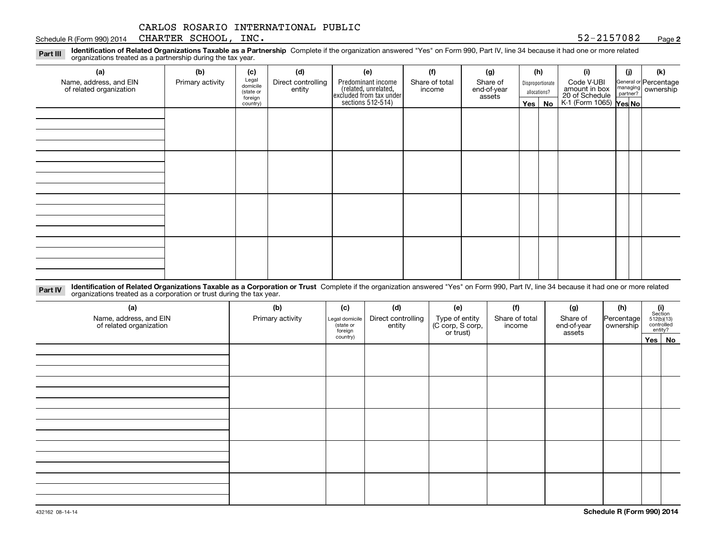#### Schedule R (Form 990) 2014 Page CHARTER SCHOOL, INC. 52-2157082

**2**

**Identification of Related Organizations Taxable as a Partnership** Complete if the organization answered "Yes" on Form 990, Part IV, line 34 because it had one or more related **Part III** organizations treated as a partnership during the tax year.

| (a)                     | (b)              | (c)                  | (d)                | (e)                                                                 | (f)            | (g)                   |                  | (h)      | (i)                                               | (i) | (k)                                                     |  |
|-------------------------|------------------|----------------------|--------------------|---------------------------------------------------------------------|----------------|-----------------------|------------------|----------|---------------------------------------------------|-----|---------------------------------------------------------|--|
| Name, address, and EIN  | Primary activity | Legal<br>domicile    | Direct controlling | Predominant income                                                  | Share of total | Share of              | Disproportionate |          | Code V-UBI<br>amount in box                       |     | General or Percentage<br>managing ownership<br>partner? |  |
| of related organization |                  | (state or<br>foreign | entity             | related, unrelated,<br>excluded from tax under<br>sections 512-514) | income         | end-of-year<br>assets | allocations?     |          | 20 of Schedule Partner?<br>K-1 (Form 1065) Yes No |     |                                                         |  |
|                         |                  | country)             |                    |                                                                     |                |                       |                  | Yes   No |                                                   |     |                                                         |  |
|                         |                  |                      |                    |                                                                     |                |                       |                  |          |                                                   |     |                                                         |  |
|                         |                  |                      |                    |                                                                     |                |                       |                  |          |                                                   |     |                                                         |  |
|                         |                  |                      |                    |                                                                     |                |                       |                  |          |                                                   |     |                                                         |  |
|                         |                  |                      |                    |                                                                     |                |                       |                  |          |                                                   |     |                                                         |  |
|                         |                  |                      |                    |                                                                     |                |                       |                  |          |                                                   |     |                                                         |  |
|                         |                  |                      |                    |                                                                     |                |                       |                  |          |                                                   |     |                                                         |  |
|                         |                  |                      |                    |                                                                     |                |                       |                  |          |                                                   |     |                                                         |  |
|                         |                  |                      |                    |                                                                     |                |                       |                  |          |                                                   |     |                                                         |  |
|                         |                  |                      |                    |                                                                     |                |                       |                  |          |                                                   |     |                                                         |  |
|                         |                  |                      |                    |                                                                     |                |                       |                  |          |                                                   |     |                                                         |  |
|                         |                  |                      |                    |                                                                     |                |                       |                  |          |                                                   |     |                                                         |  |
|                         |                  |                      |                    |                                                                     |                |                       |                  |          |                                                   |     |                                                         |  |
|                         |                  |                      |                    |                                                                     |                |                       |                  |          |                                                   |     |                                                         |  |
|                         |                  |                      |                    |                                                                     |                |                       |                  |          |                                                   |     |                                                         |  |
|                         |                  |                      |                    |                                                                     |                |                       |                  |          |                                                   |     |                                                         |  |
|                         |                  |                      |                    |                                                                     |                |                       |                  |          |                                                   |     |                                                         |  |
|                         |                  |                      |                    |                                                                     |                |                       |                  |          |                                                   |     |                                                         |  |

**Identification of Related Organizations Taxable as a Corporation or Trust** Complete if the organization answered "Yes" on Form 990, Part IV, line 34 because it had one or more related **Part IV** organizations treated as a corporation or trust during the tax year.

| (a)<br>Name, address, and EIN<br>of related organization | (b)<br>Primary activity | (c)<br>Legal domicile<br>(state or<br>foreign | (d)<br>Direct controlling<br>entity | (e)<br>Type of entity<br>(C corp, S corp,<br>or trust) | (f)<br>Share of total<br>income | (g)<br>Share of<br>end-of-year<br>assets | (h)<br>Percentage<br>ownership | $\begin{array}{c} \textbf{(i)}\\ \text{Section}\\ 512 \text{(b)} \text{(13)}\\ \text{controlled}\\ \text{entity?} \end{array}$ |
|----------------------------------------------------------|-------------------------|-----------------------------------------------|-------------------------------------|--------------------------------------------------------|---------------------------------|------------------------------------------|--------------------------------|--------------------------------------------------------------------------------------------------------------------------------|
|                                                          |                         | country)                                      |                                     |                                                        |                                 |                                          |                                | Yes   No                                                                                                                       |
|                                                          |                         |                                               |                                     |                                                        |                                 |                                          |                                |                                                                                                                                |
|                                                          |                         |                                               |                                     |                                                        |                                 |                                          |                                |                                                                                                                                |
|                                                          |                         |                                               |                                     |                                                        |                                 |                                          |                                |                                                                                                                                |
|                                                          |                         |                                               |                                     |                                                        |                                 |                                          |                                |                                                                                                                                |
|                                                          |                         |                                               |                                     |                                                        |                                 |                                          |                                |                                                                                                                                |
|                                                          |                         |                                               |                                     |                                                        |                                 |                                          |                                |                                                                                                                                |
|                                                          |                         |                                               |                                     |                                                        |                                 |                                          |                                |                                                                                                                                |
|                                                          |                         |                                               |                                     |                                                        |                                 |                                          |                                |                                                                                                                                |
|                                                          |                         |                                               |                                     |                                                        |                                 |                                          |                                |                                                                                                                                |
|                                                          |                         |                                               |                                     |                                                        |                                 |                                          |                                |                                                                                                                                |
|                                                          |                         |                                               |                                     |                                                        |                                 |                                          |                                |                                                                                                                                |
|                                                          |                         |                                               |                                     |                                                        |                                 |                                          |                                |                                                                                                                                |
|                                                          |                         |                                               |                                     |                                                        |                                 |                                          |                                |                                                                                                                                |
|                                                          |                         |                                               |                                     |                                                        |                                 |                                          |                                |                                                                                                                                |
|                                                          |                         |                                               |                                     |                                                        |                                 |                                          |                                |                                                                                                                                |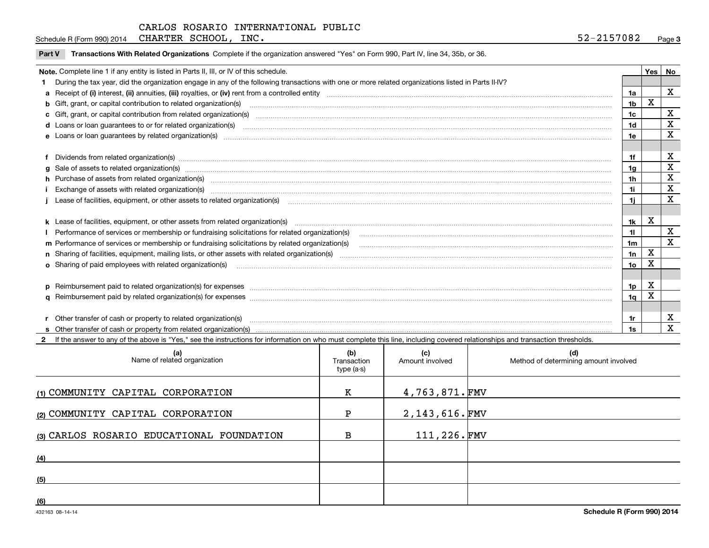Schedule R (Form 990) 2014 Page CHARTER SCHOOL, INC. 52-2157082

|  | Part V Transactions With Related Organizations Complete if the organization answered "Yes" on Form 990, Part IV, line 34, 35b, or 36. |  |  |
|--|---------------------------------------------------------------------------------------------------------------------------------------|--|--|
|--|---------------------------------------------------------------------------------------------------------------------------------------|--|--|

| Note. Complete line 1 if any entity is listed in Parts II, III, or IV of this schedule.                                                             |                                                                                                                                                                                                                                |                |             |             |  |
|-----------------------------------------------------------------------------------------------------------------------------------------------------|--------------------------------------------------------------------------------------------------------------------------------------------------------------------------------------------------------------------------------|----------------|-------------|-------------|--|
| During the tax year, did the organization engage in any of the following transactions with one or more related organizations listed in Parts II-IV? |                                                                                                                                                                                                                                |                |             |             |  |
|                                                                                                                                                     |                                                                                                                                                                                                                                | 1a             |             | $\mathbf X$ |  |
|                                                                                                                                                     |                                                                                                                                                                                                                                | 1 <sub>b</sub> | X           |             |  |
|                                                                                                                                                     | b Gift, grant, or capital contribution to related organization(s) manufaction contracts and contribution to related organization(s)                                                                                            |                |             | X           |  |
|                                                                                                                                                     | c Gift, grant, or capital contribution from related organization(s) manufaction(s) and contribution from related organization(s) manufaction contribution from related organization(s) manufaction contribution from related o | 1 <sub>c</sub> |             |             |  |
|                                                                                                                                                     | d Loans or loan guarantees to or for related organization(s) www.communically.com/www.communically.com/www.communically.com/www.communically.com/www.communically.com/www.communically.com/www.communically.com/www.communical | 1d             |             | х           |  |
|                                                                                                                                                     | e Loans or loan guarantees by related organization(s) encourance contained and contained and contained and contained and contained and contained and contained and contained and contained and contained and contained and con | 1e             |             | X           |  |
|                                                                                                                                                     |                                                                                                                                                                                                                                |                |             |             |  |
|                                                                                                                                                     | Dividends from related organization(s) manufactured and contract and contract or produced and contract and contract and contract and contract and contract and contract and contract and contract and contract and contract an | 1f             |             | х           |  |
|                                                                                                                                                     | g Sale of assets to related organization(s) www.assettion.com/www.assettion.com/www.assettion.com/www.assettion.com/www.assettion.com/www.assettion.com/www.assettion.com/www.assettion.com/www.assettion.com/www.assettion.co | 1g             |             | X           |  |
|                                                                                                                                                     | h Purchase of assets from related organization(s) www.communically.communically contract and a set of assets from related organization(s)                                                                                      | 1 <sub>h</sub> |             | X           |  |
|                                                                                                                                                     |                                                                                                                                                                                                                                | 1i             |             | X           |  |
|                                                                                                                                                     |                                                                                                                                                                                                                                | 11             |             | X           |  |
|                                                                                                                                                     |                                                                                                                                                                                                                                |                |             |             |  |
|                                                                                                                                                     |                                                                                                                                                                                                                                | 1k             | X           |             |  |
|                                                                                                                                                     |                                                                                                                                                                                                                                | 11             |             | х           |  |
|                                                                                                                                                     | m Performance of services or membership or fundraising solicitations by related organization(s)                                                                                                                                | 1 <sub>m</sub> |             | X           |  |
|                                                                                                                                                     |                                                                                                                                                                                                                                | 1n             | $\mathbf X$ |             |  |
|                                                                                                                                                     | <b>o</b> Sharing of paid employees with related organization(s)                                                                                                                                                                | 10             | Χ           |             |  |
|                                                                                                                                                     |                                                                                                                                                                                                                                |                |             |             |  |
|                                                                                                                                                     |                                                                                                                                                                                                                                | 1p             | X           |             |  |
|                                                                                                                                                     |                                                                                                                                                                                                                                | 1 <sub>q</sub> | X           |             |  |
|                                                                                                                                                     |                                                                                                                                                                                                                                |                |             |             |  |
|                                                                                                                                                     | Other transfer of cash or property to related organization(s)                                                                                                                                                                  | 1r             |             | х           |  |
|                                                                                                                                                     |                                                                                                                                                                                                                                |                |             | X           |  |

**2**If the answer to any of the above is "Yes," see the instructions for information on who must complete this line, including covered relationships and transaction thresholds.

| (a)<br>Name of related organization       | (b)<br>Transaction<br>type (a-s) | (c)<br>Amount involved | (d)<br>Method of determining amount involved |
|-------------------------------------------|----------------------------------|------------------------|----------------------------------------------|
| (1) COMMUNITY CAPITAL CORPORATION         | к                                | 4,763,871.FMV          |                                              |
| (2) COMMUNITY CAPITAL CORPORATION         | ъ                                | $2,143,616$ . FMV      |                                              |
| (3) CARLOS ROSARIO EDUCATIONAL FOUNDATION | в                                | 111,226.FMV            |                                              |
| (4)                                       |                                  |                        |                                              |
| (5)                                       |                                  |                        |                                              |
| (6)                                       |                                  |                        |                                              |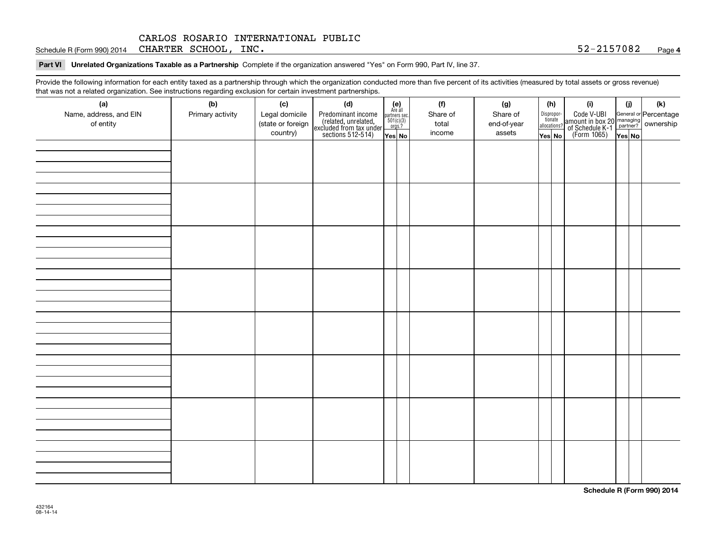Schedule R (Form 990) 2014 Page CHARTER SCHOOL, INC. 52-2157082

**Part VI Unrelated Organizations Taxable as a Partnership Complete if the organization answered "Yes" on Form 990, Part IV, line 37.** 

Provide the following information for each entity taxed as a partnership through which the organization conducted more than five percent of its activities (measured by total assets or gross revenue) that was not a related organization. See instructions regarding exclusion for certain investment partnerships.

| .<br>(a)<br>Name, address, and EIN<br>of entity | ໍ້<br>(b)<br>Primary activity | (c)<br>Legal domicile<br>(state or foreign | .<br>(d)<br>Predominant income<br>(related, unrelated,<br>excluded from tax under<br>sections 512-514) | $\begin{array}{c} \textbf{(e)}\\ \text{Are all} \\ \text{partners sec.}\\ 501(c)(3)\\ \text{orgs.?} \end{array}$ |  | (f)<br>Share of<br>total | (g)<br>Share of<br>end-of-year |  | (h)<br>Dispropor-<br>tionate<br>allocations? | (i)<br>Code V-UBI<br>amount in box 20 managing<br>of Schedule K-1 partner?<br>(Form 1065)<br>ves No | (i)    | $(\mathsf{k})$ |
|-------------------------------------------------|-------------------------------|--------------------------------------------|--------------------------------------------------------------------------------------------------------|------------------------------------------------------------------------------------------------------------------|--|--------------------------|--------------------------------|--|----------------------------------------------|-----------------------------------------------------------------------------------------------------|--------|----------------|
|                                                 |                               | country)                                   |                                                                                                        | Yes No                                                                                                           |  | income                   | assets                         |  | Yes No                                       |                                                                                                     | Yes No |                |
|                                                 |                               |                                            |                                                                                                        |                                                                                                                  |  |                          |                                |  |                                              |                                                                                                     |        |                |
|                                                 |                               |                                            |                                                                                                        |                                                                                                                  |  |                          |                                |  |                                              |                                                                                                     |        |                |
|                                                 |                               |                                            |                                                                                                        |                                                                                                                  |  |                          |                                |  |                                              |                                                                                                     |        |                |
|                                                 |                               |                                            |                                                                                                        |                                                                                                                  |  |                          |                                |  |                                              |                                                                                                     |        |                |
|                                                 |                               |                                            |                                                                                                        |                                                                                                                  |  |                          |                                |  |                                              |                                                                                                     |        |                |
|                                                 |                               |                                            |                                                                                                        |                                                                                                                  |  |                          |                                |  |                                              |                                                                                                     |        |                |
|                                                 |                               |                                            |                                                                                                        |                                                                                                                  |  |                          |                                |  |                                              |                                                                                                     |        |                |
|                                                 |                               |                                            |                                                                                                        |                                                                                                                  |  |                          |                                |  |                                              |                                                                                                     |        |                |
|                                                 |                               |                                            |                                                                                                        |                                                                                                                  |  |                          |                                |  |                                              |                                                                                                     |        |                |
|                                                 |                               |                                            |                                                                                                        |                                                                                                                  |  |                          |                                |  |                                              |                                                                                                     |        |                |
|                                                 |                               |                                            |                                                                                                        |                                                                                                                  |  |                          |                                |  |                                              |                                                                                                     |        |                |
|                                                 |                               |                                            |                                                                                                        |                                                                                                                  |  |                          |                                |  |                                              |                                                                                                     |        |                |
|                                                 |                               |                                            |                                                                                                        |                                                                                                                  |  |                          |                                |  |                                              |                                                                                                     |        |                |
|                                                 |                               |                                            |                                                                                                        |                                                                                                                  |  |                          |                                |  |                                              |                                                                                                     |        |                |
|                                                 |                               |                                            |                                                                                                        |                                                                                                                  |  |                          |                                |  |                                              |                                                                                                     |        |                |
|                                                 |                               |                                            |                                                                                                        |                                                                                                                  |  |                          |                                |  |                                              |                                                                                                     |        |                |
|                                                 |                               |                                            |                                                                                                        |                                                                                                                  |  |                          |                                |  |                                              |                                                                                                     |        |                |
|                                                 |                               |                                            |                                                                                                        |                                                                                                                  |  |                          |                                |  |                                              |                                                                                                     |        |                |
|                                                 |                               |                                            |                                                                                                        |                                                                                                                  |  |                          |                                |  |                                              |                                                                                                     |        |                |
|                                                 |                               |                                            |                                                                                                        |                                                                                                                  |  |                          |                                |  |                                              |                                                                                                     |        |                |
|                                                 |                               |                                            |                                                                                                        |                                                                                                                  |  |                          |                                |  |                                              |                                                                                                     |        |                |
|                                                 |                               |                                            |                                                                                                        |                                                                                                                  |  |                          |                                |  |                                              |                                                                                                     |        |                |
|                                                 |                               |                                            |                                                                                                        |                                                                                                                  |  |                          |                                |  |                                              |                                                                                                     |        |                |
|                                                 |                               |                                            |                                                                                                        |                                                                                                                  |  |                          |                                |  |                                              |                                                                                                     |        |                |
|                                                 |                               |                                            |                                                                                                        |                                                                                                                  |  |                          |                                |  |                                              |                                                                                                     |        |                |
|                                                 |                               |                                            |                                                                                                        |                                                                                                                  |  |                          |                                |  |                                              |                                                                                                     |        |                |
|                                                 |                               |                                            |                                                                                                        |                                                                                                                  |  |                          |                                |  |                                              |                                                                                                     |        |                |
|                                                 |                               |                                            |                                                                                                        |                                                                                                                  |  |                          |                                |  |                                              |                                                                                                     |        |                |
|                                                 |                               |                                            |                                                                                                        |                                                                                                                  |  |                          |                                |  |                                              |                                                                                                     |        |                |
|                                                 |                               |                                            |                                                                                                        |                                                                                                                  |  |                          |                                |  |                                              |                                                                                                     |        |                |
|                                                 |                               |                                            |                                                                                                        |                                                                                                                  |  |                          |                                |  |                                              |                                                                                                     |        |                |

**Schedule R (Form 990) 2014**